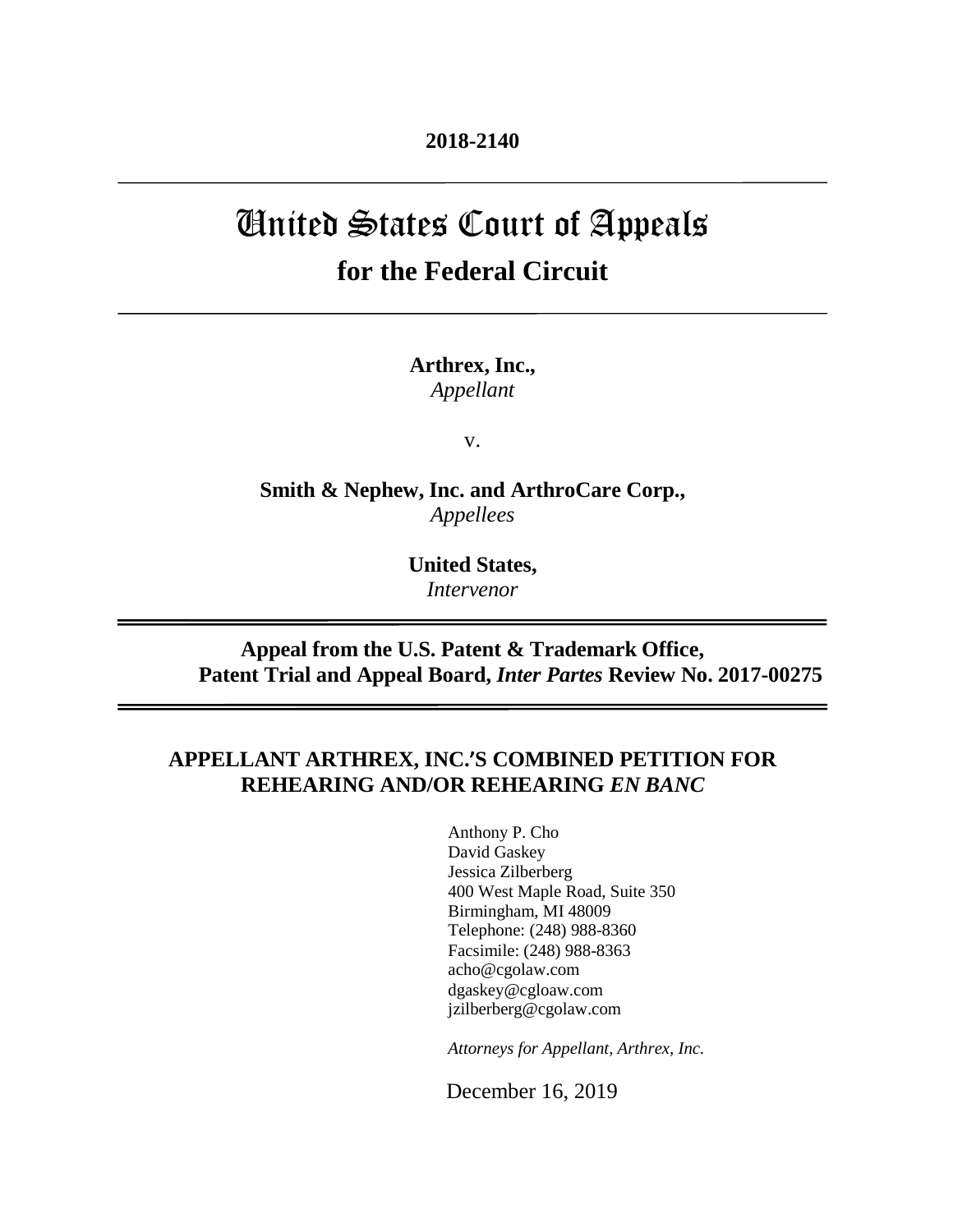# United States Court of Appeals **for the Federal Circuit**

**Arthrex, Inc.,** *Appellant*

v.

**Smith & Nephew, Inc. and ArthroCare Corp.,** *Appellees*

> **United States,** *Intervenor*

# **Appeal from the U.S. Patent & Trademark Office, Patent Trial and Appeal Board,** *Inter Partes* **Review No. 2017-00275**

# **APPELLANT ARTHREX, INC.'S COMBINED PETITION FOR REHEARING AND/OR REHEARING** *EN BANC*

Anthony P. Cho David Gaskey Jessica Zilberberg 400 West Maple Road, Suite 350 Birmingham, MI 48009 Telephone: (248) 988-8360 Facsimile: (248) 988-8363 acho@cgolaw.com dgaskey@cgloaw.com jzilberberg@cgolaw.com

*Attorneys for Appellant, Arthrex, Inc.*

December 16, 2019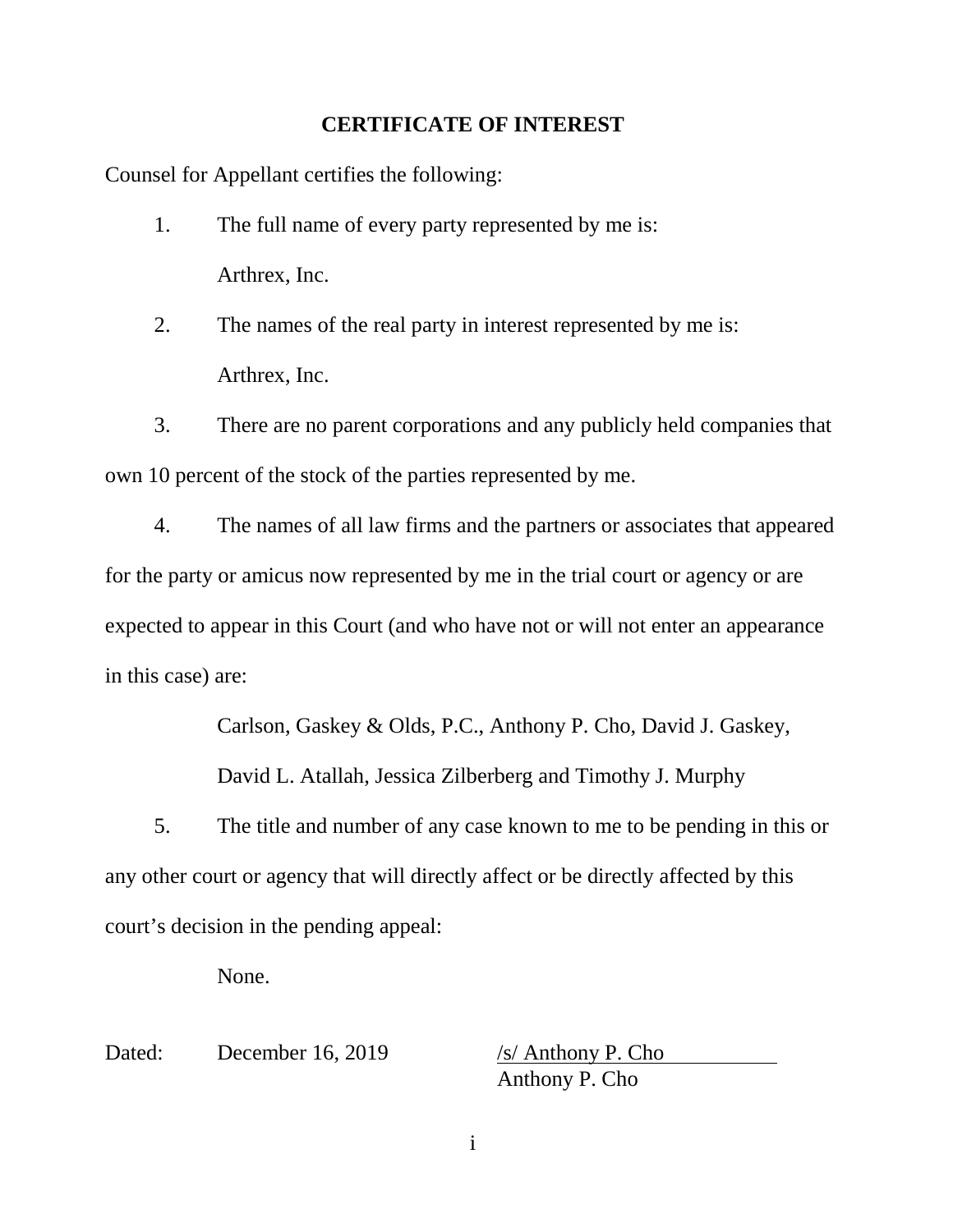## **CERTIFICATE OF INTEREST**

<span id="page-1-0"></span>Counsel for Appellant certifies the following:

- 1. The full name of every party represented by me is: Arthrex, Inc.
- 2. The names of the real party in interest represented by me is: Arthrex, Inc.

3. There are no parent corporations and any publicly held companies that own 10 percent of the stock of the parties represented by me.

4. The names of all law firms and the partners or associates that appeared for the party or amicus now represented by me in the trial court or agency or are expected to appear in this Court (and who have not or will not enter an appearance in this case) are:

Carlson, Gaskey & Olds, P.C., Anthony P. Cho, David J. Gaskey,

David L. Atallah, Jessica Zilberberg and Timothy J. Murphy

5. The title and number of any case known to me to be pending in this or any other court or agency that will directly affect or be directly affected by this court's decision in the pending appeal:

None.

Dated: December 16, 2019 /s/ Anthony P. Cho

Anthony P. Cho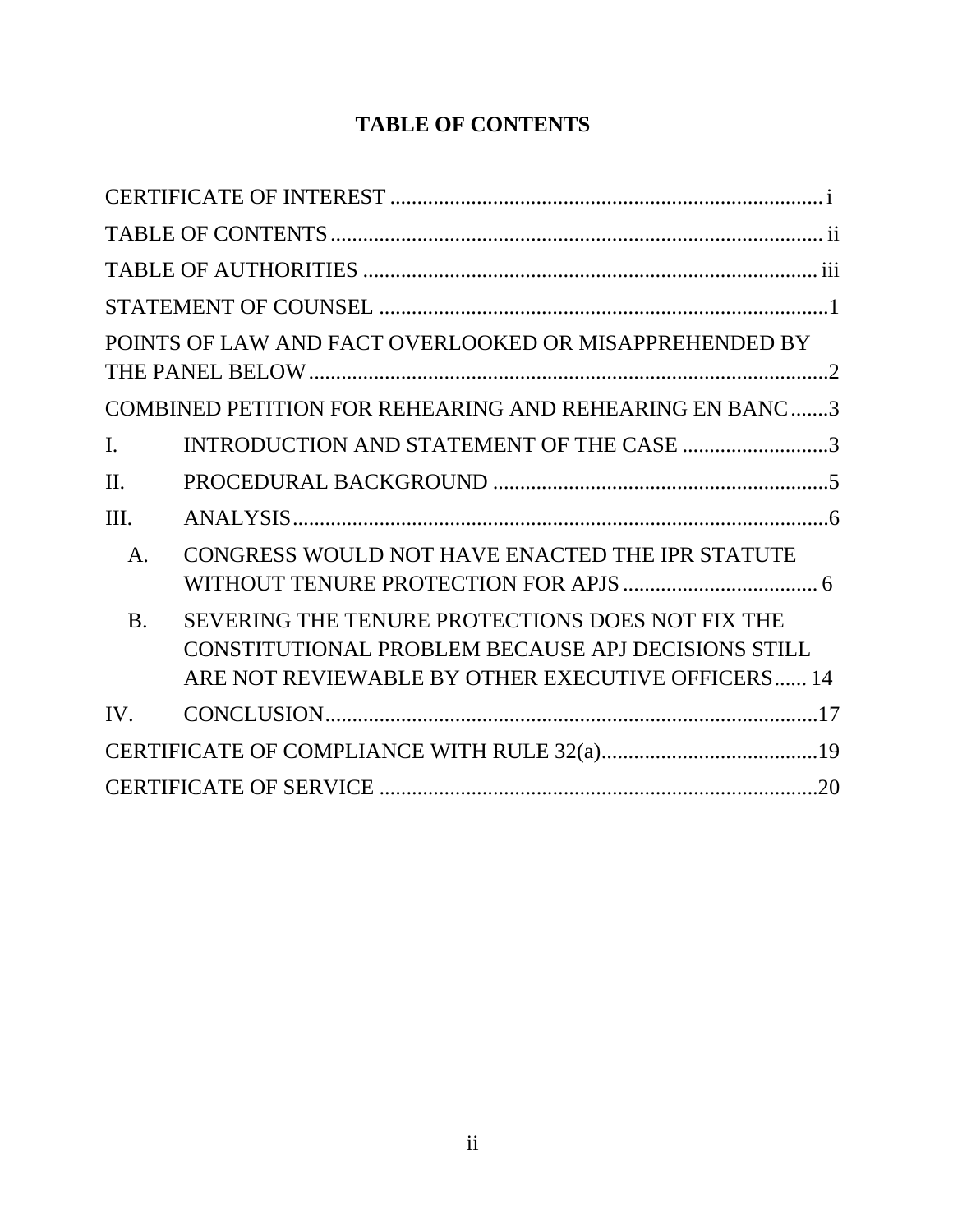# **TABLE OF CONTENTS**

<span id="page-2-0"></span>

|                | POINTS OF LAW AND FACT OVERLOOKED OR MISAPPREHENDED BY                                                                                                      |
|----------------|-------------------------------------------------------------------------------------------------------------------------------------------------------------|
|                | COMBINED PETITION FOR REHEARING AND REHEARING EN BANC3                                                                                                      |
| I.             | INTRODUCTION AND STATEMENT OF THE CASE 3                                                                                                                    |
| II.            |                                                                                                                                                             |
| III.           |                                                                                                                                                             |
| A.             | CONGRESS WOULD NOT HAVE ENACTED THE IPR STATUTE                                                                                                             |
| $\mathbf{B}$ . | SEVERING THE TENURE PROTECTIONS DOES NOT FIX THE<br>CONSTITUTIONAL PROBLEM BECAUSE APJ DECISIONS STILL<br>ARE NOT REVIEWABLE BY OTHER EXECUTIVE OFFICERS 14 |
| $IV_{-}$       |                                                                                                                                                             |
|                |                                                                                                                                                             |
|                |                                                                                                                                                             |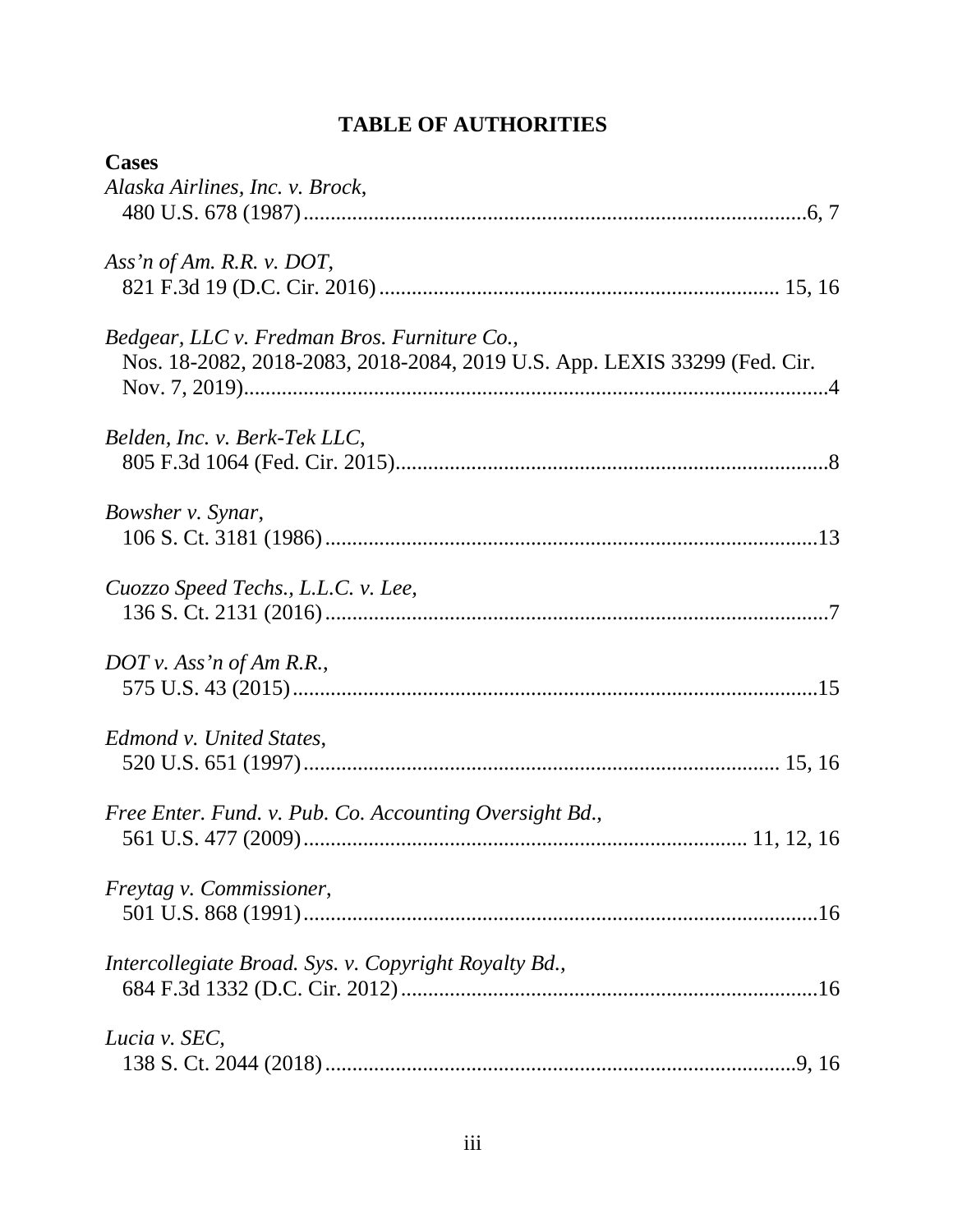# **TABLE OF AUTHORITIES**

<span id="page-3-0"></span>

| <b>Cases</b>                                                              |
|---------------------------------------------------------------------------|
| Alaska Airlines, Inc. v. Brock,                                           |
|                                                                           |
| Ass'n of Am. R.R. v. DOT,                                                 |
|                                                                           |
| Bedgear, LLC v. Fredman Bros. Furniture Co.,                              |
| Nos. 18-2082, 2018-2083, 2018-2084, 2019 U.S. App. LEXIS 33299 (Fed. Cir. |
|                                                                           |
| Belden, Inc. v. Berk-Tek LLC,                                             |
|                                                                           |
| Bowsher v. Synar,                                                         |
|                                                                           |
| Cuozzo Speed Techs., L.L.C. v. Lee,                                       |
|                                                                           |
| $DOT$ v. Ass'n of Am R.R.,                                                |
|                                                                           |
| Edmond v. United States,                                                  |
|                                                                           |
| Free Enter. Fund. v. Pub. Co. Accounting Oversight Bd.,                   |
|                                                                           |
| Freytag v. Commissioner,                                                  |
|                                                                           |
| Intercollegiate Broad. Sys. v. Copyright Royalty Bd.,                     |
|                                                                           |
| Lucia v. SEC,                                                             |
|                                                                           |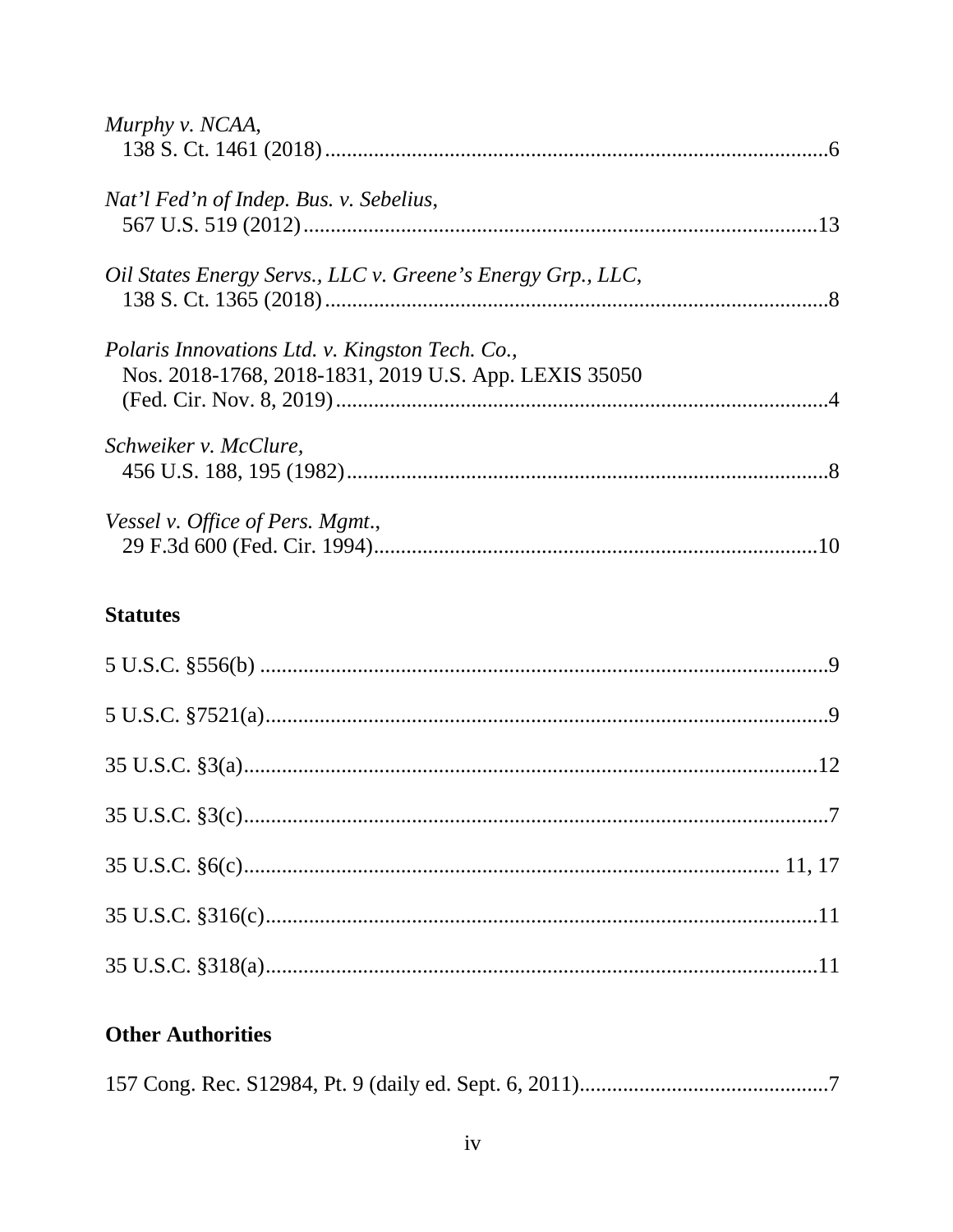| Murphy v. NCAA,                                             |  |
|-------------------------------------------------------------|--|
|                                                             |  |
| Nat'l Fed'n of Indep. Bus. v. Sebelius,                     |  |
|                                                             |  |
| Oil States Energy Servs., LLC v. Greene's Energy Grp., LLC, |  |
|                                                             |  |
| Polaris Innovations Ltd. v. Kingston Tech. Co.,             |  |
| Nos. 2018-1768, 2018-1831, 2019 U.S. App. LEXIS 35050       |  |
|                                                             |  |
| Schweiker v. McClure,                                       |  |
|                                                             |  |
| Vessel v. Office of Pers. Mgmt.,                            |  |
|                                                             |  |
|                                                             |  |

# **Statutes**

# **Other Authorities**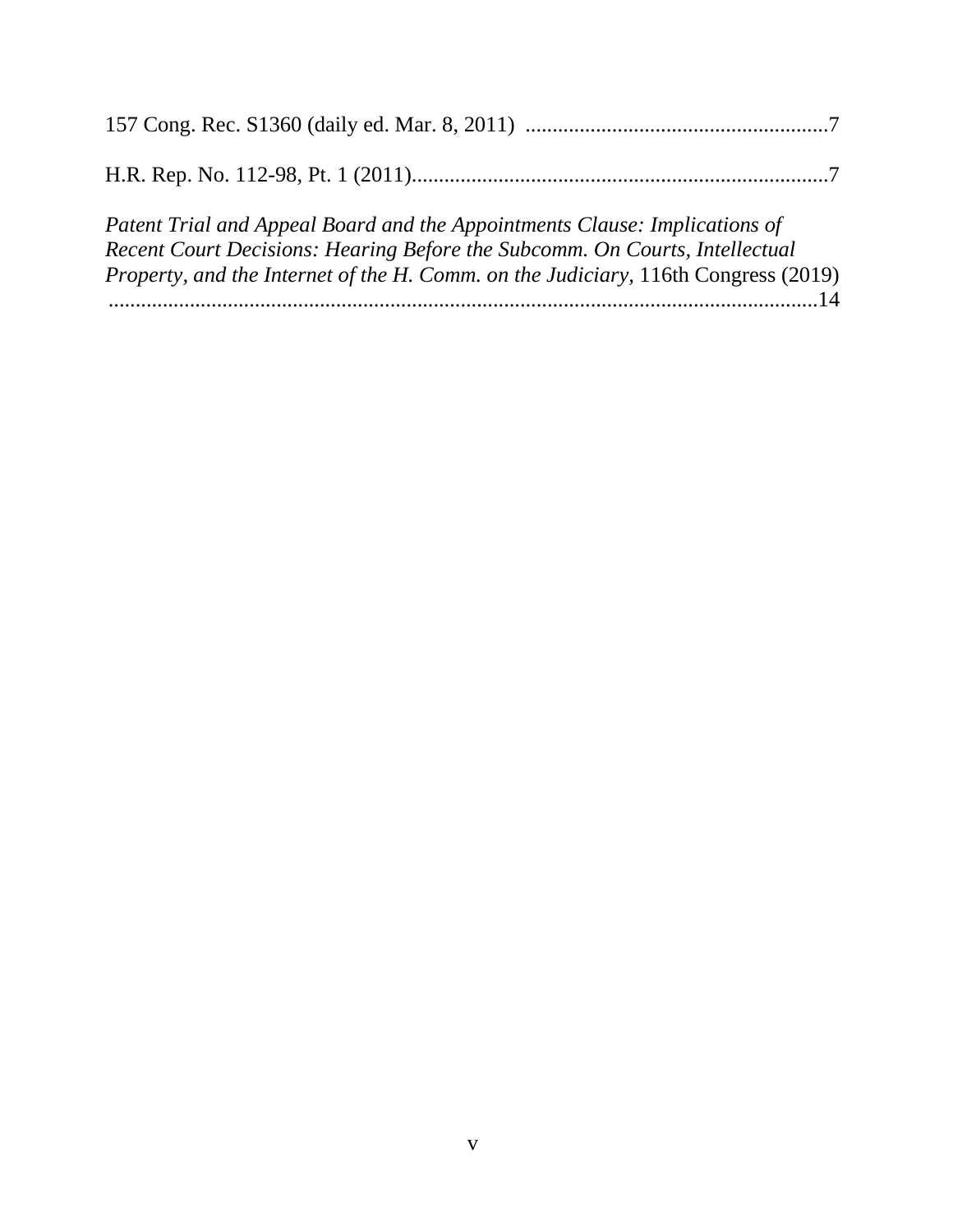| Patent Trial and Appeal Board and the Appointments Clause: Implications of<br>Recent Court Decisions: Hearing Before the Subcomm. On Courts, Intellectual |  |
|-----------------------------------------------------------------------------------------------------------------------------------------------------------|--|
| Property, and the Internet of the H. Comm. on the Judiciary, 116th Congress (2019)                                                                        |  |
|                                                                                                                                                           |  |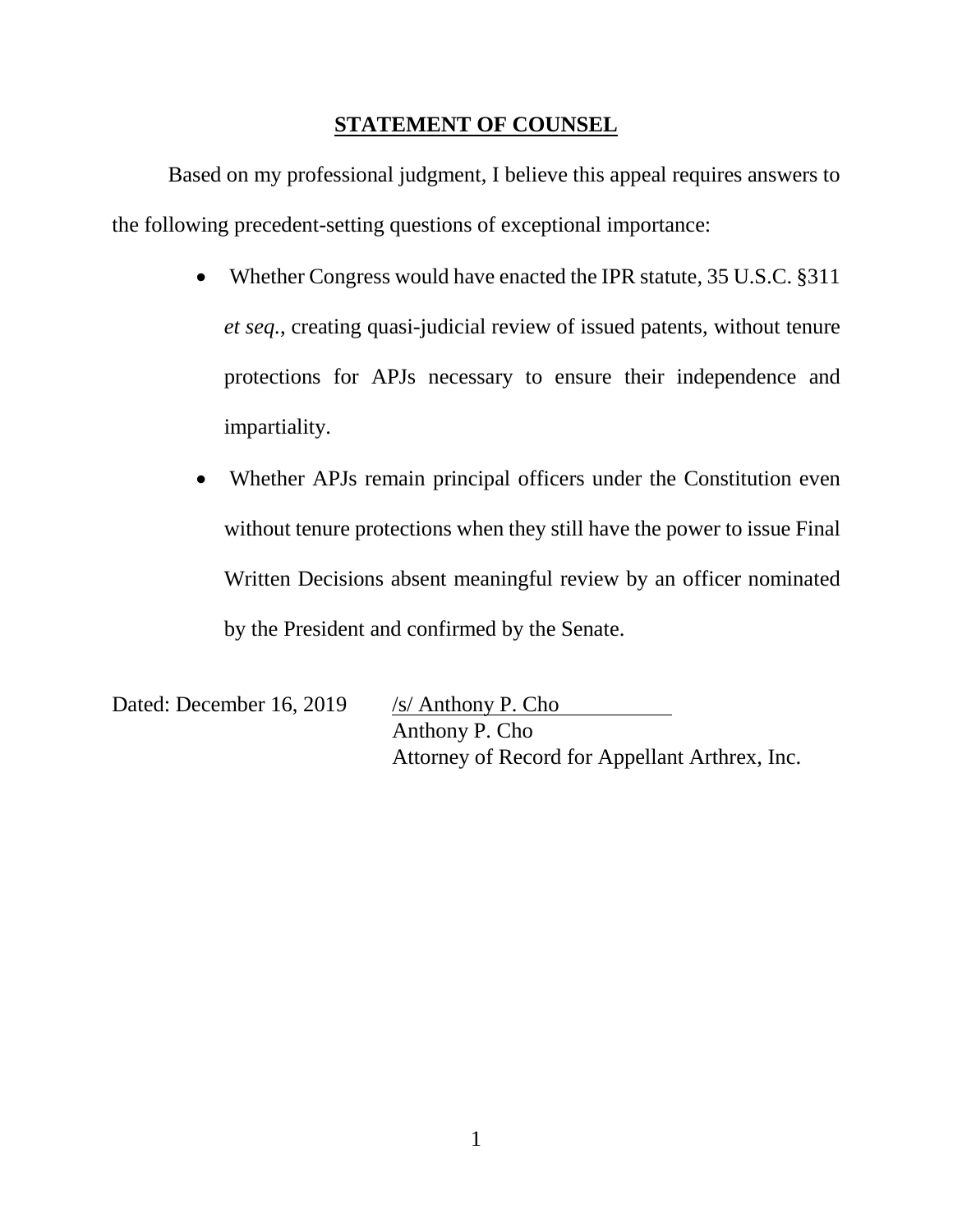# **STATEMENT OF COUNSEL**

<span id="page-6-0"></span>Based on my professional judgment, I believe this appeal requires answers to the following precedent-setting questions of exceptional importance:

- Whether Congress would have enacted the IPR statute, 35 U.S.C. §311 *et seq.*, creating quasi-judicial review of issued patents, without tenure protections for APJs necessary to ensure their independence and impartiality.
- Whether APJs remain principal officers under the Constitution even without tenure protections when they still have the power to issue Final Written Decisions absent meaningful review by an officer nominated by the President and confirmed by the Senate.

Dated: December 16, 2019 /s/ Anthony P. Cho

Anthony P. Cho Attorney of Record for Appellant Arthrex, Inc.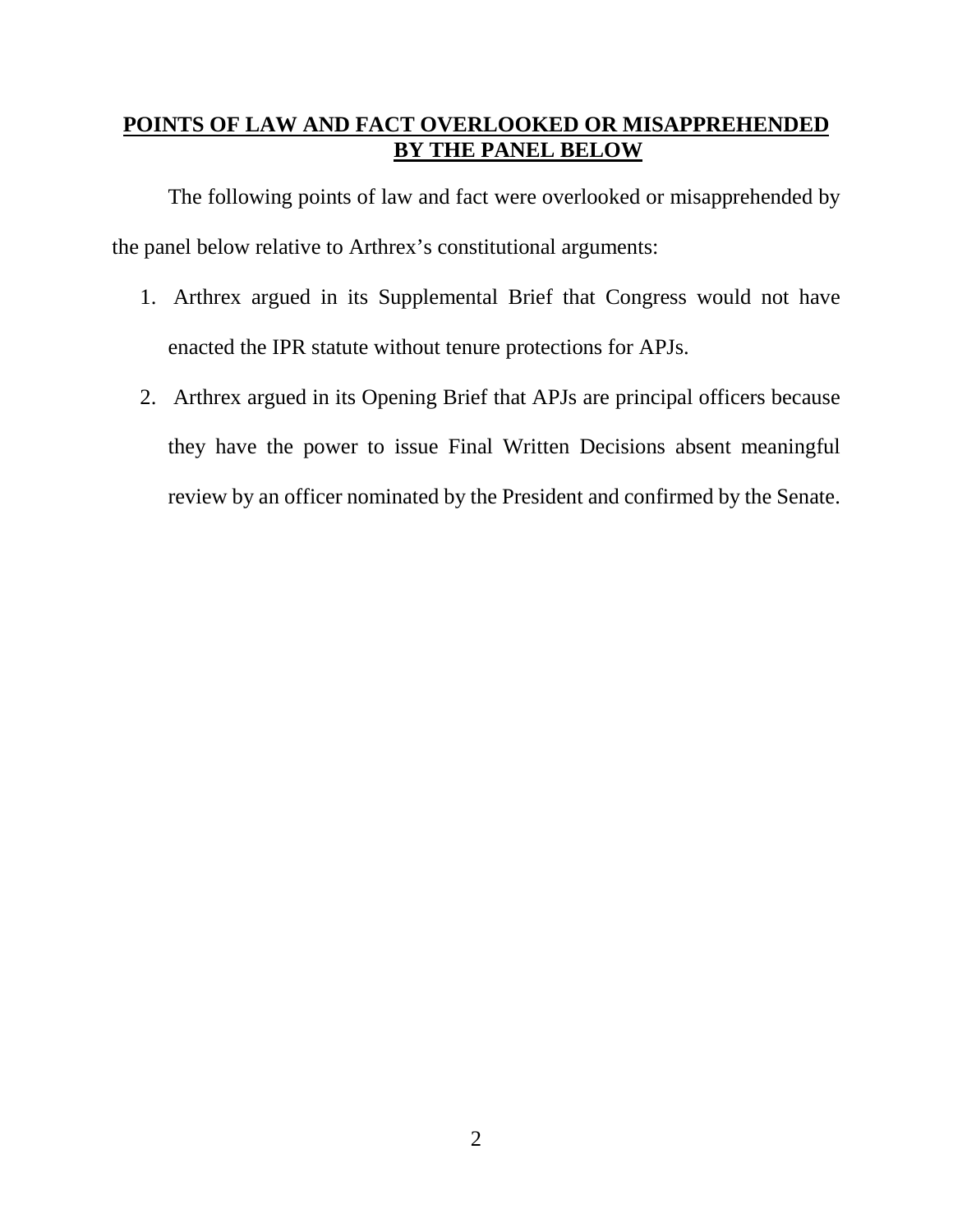# <span id="page-7-0"></span>**POINTS OF LAW AND FACT OVERLOOKED OR MISAPPREHENDED BY THE PANEL BELOW**

The following points of law and fact were overlooked or misapprehended by the panel below relative to Arthrex's constitutional arguments:

- 1. Arthrex argued in its Supplemental Brief that Congress would not have enacted the IPR statute without tenure protections for APJs.
- 2. Arthrex argued in its Opening Brief that APJs are principal officers because they have the power to issue Final Written Decisions absent meaningful review by an officer nominated by the President and confirmed by the Senate.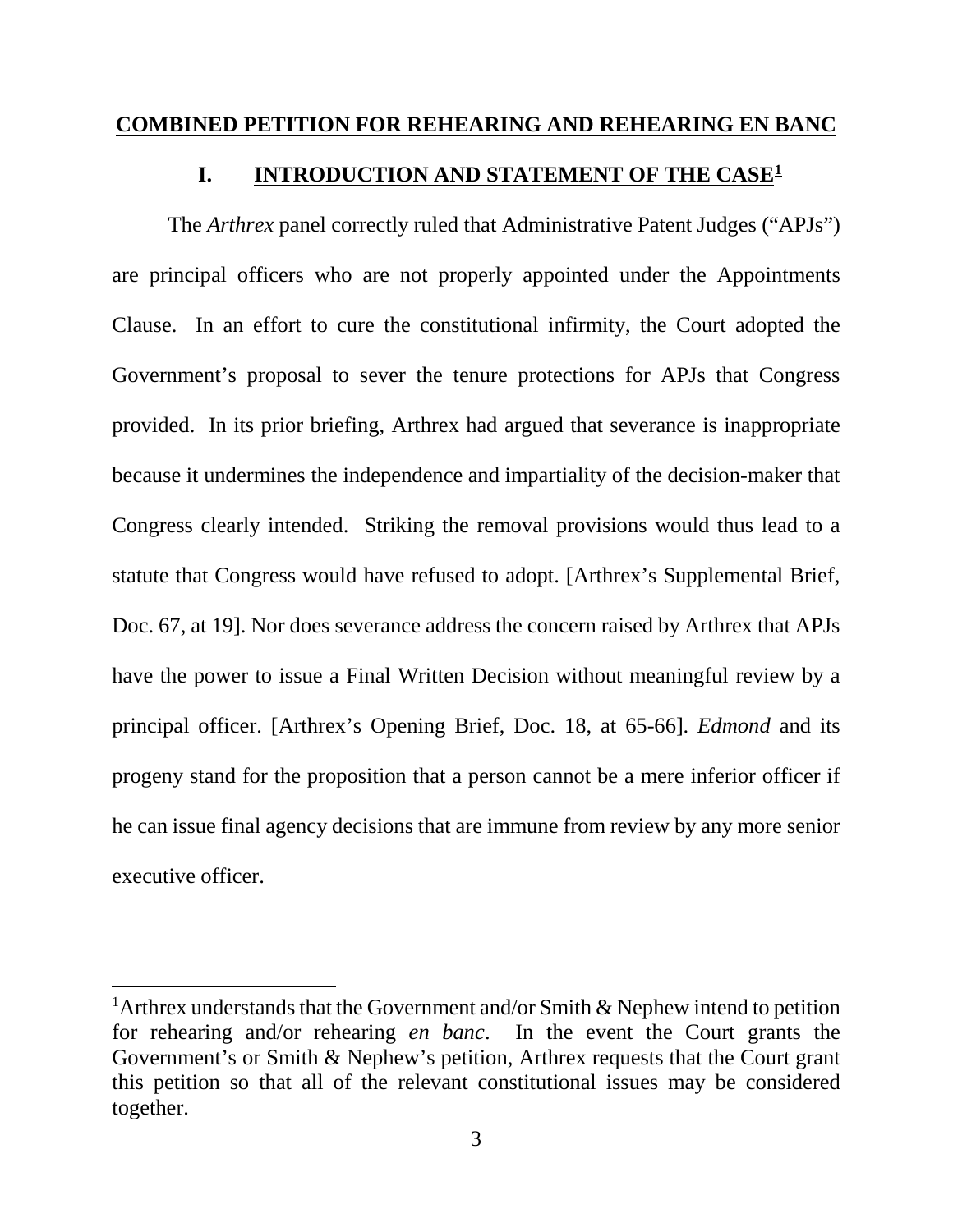## <span id="page-8-1"></span><span id="page-8-0"></span>**COMBINED PETITION FOR REHEARING AND REHEARING EN BANC**

## **I. INTRODUCTION AND STATEMENT OF THE CASE[1](#page-8-2)**

The *Arthrex* panel correctly ruled that Administrative Patent Judges ("APJs") are principal officers who are not properly appointed under the Appointments Clause. In an effort to cure the constitutional infirmity, the Court adopted the Government's proposal to sever the tenure protections for APJs that Congress provided. In its prior briefing, Arthrex had argued that severance is inappropriate because it undermines the independence and impartiality of the decision-maker that Congress clearly intended. Striking the removal provisions would thus lead to a statute that Congress would have refused to adopt. [Arthrex's Supplemental Brief, Doc. 67, at 19]. Nor does severance address the concern raised by Arthrex that APJs have the power to issue a Final Written Decision without meaningful review by a principal officer. [Arthrex's Opening Brief, Doc. 18, at 65-66]. *Edmond* and its progeny stand for the proposition that a person cannot be a mere inferior officer if he can issue final agency decisions that are immune from review by any more senior executive officer.

l

<span id="page-8-2"></span><sup>&</sup>lt;sup>1</sup> Arthrex understands that the Government and/or Smith & Nephew intend to petition for rehearing and/or rehearing *en banc*. In the event the Court grants the Government's or Smith & Nephew's petition, Arthrex requests that the Court grant this petition so that all of the relevant constitutional issues may be considered together.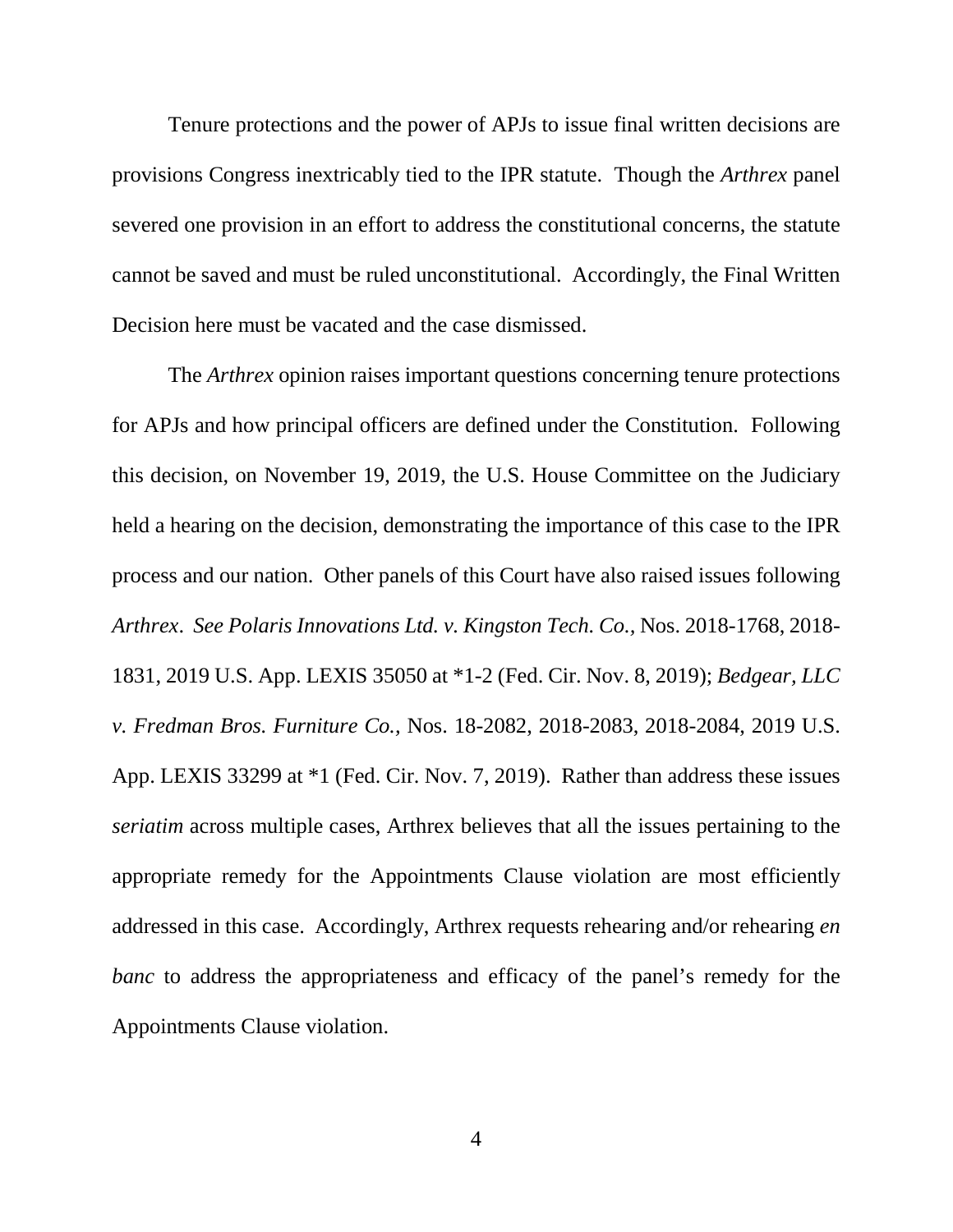Tenure protections and the power of APJs to issue final written decisions are provisions Congress inextricably tied to the IPR statute. Though the *Arthrex* panel severed one provision in an effort to address the constitutional concerns, the statute cannot be saved and must be ruled unconstitutional. Accordingly, the Final Written Decision here must be vacated and the case dismissed.

The *Arthrex* opinion raises important questions concerning tenure protections for APJs and how principal officers are defined under the Constitution. Following this decision, on November 19, 2019, the U.S. House Committee on the Judiciary held a hearing on the decision, demonstrating the importance of this case to the IPR process and our nation. Other panels of this Court have also raised issues following *Arthrex*. *See Polaris Innovations Ltd. v. Kingston Tech. Co.,* Nos. 2018-1768, 2018- 1831, 2019 U.S. App. LEXIS 35050 at \*1-2 (Fed. Cir. Nov. 8, 2019); *Bedgear, LLC v. Fredman Bros. Furniture Co.,* Nos. 18-2082, 2018-2083, 2018-2084, 2019 U.S. App. LEXIS 33299 at \*1 (Fed. Cir. Nov. 7, 2019). Rather than address these issues *seriatim* across multiple cases, Arthrex believes that all the issues pertaining to the appropriate remedy for the Appointments Clause violation are most efficiently addressed in this case. Accordingly, Arthrex requests rehearing and/or rehearing *en banc* to address the appropriateness and efficacy of the panel's remedy for the Appointments Clause violation.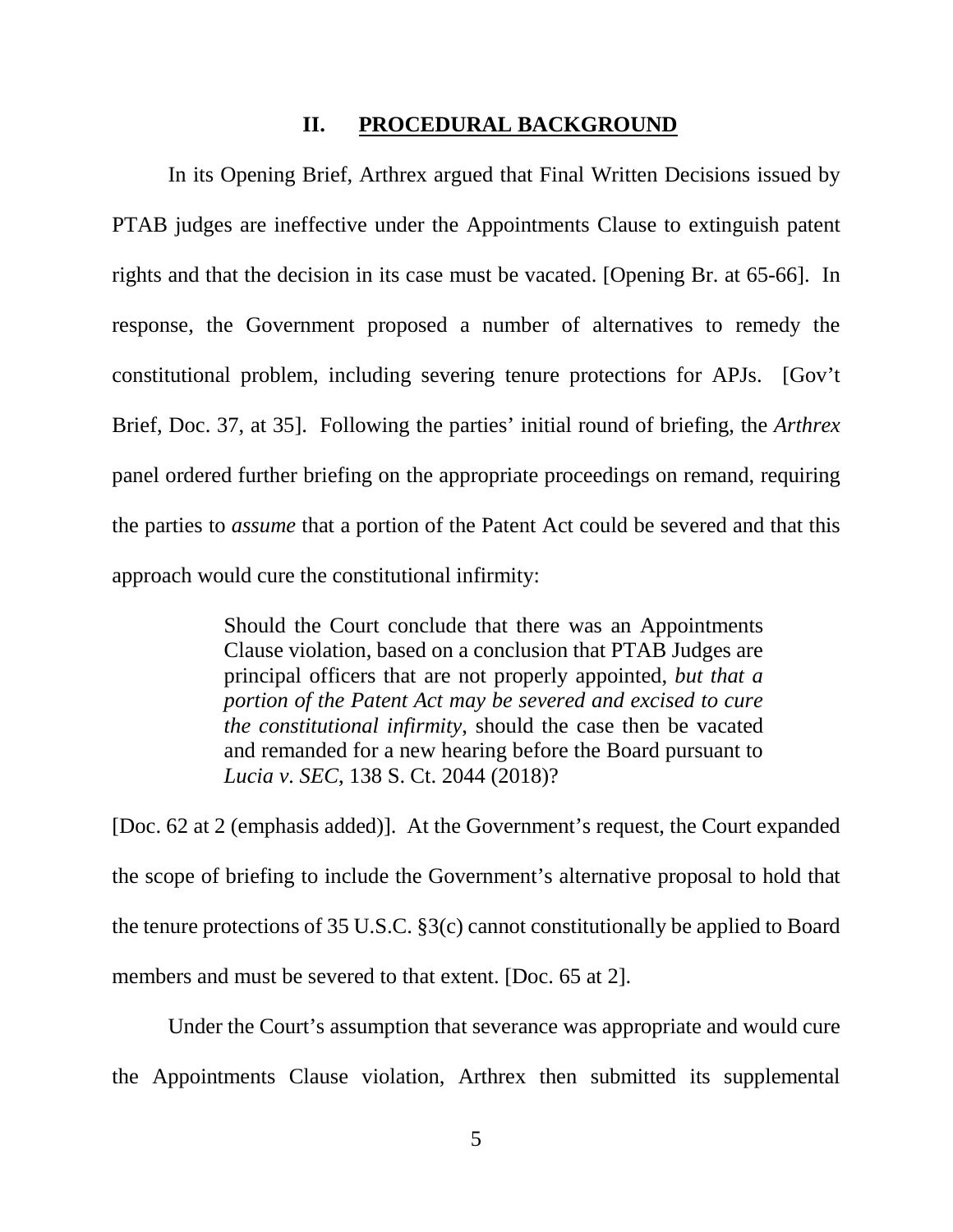## **II. PROCEDURAL BACKGROUND**

<span id="page-10-0"></span>In its Opening Brief, Arthrex argued that Final Written Decisions issued by PTAB judges are ineffective under the Appointments Clause to extinguish patent rights and that the decision in its case must be vacated. [Opening Br. at 65-66]. In response, the Government proposed a number of alternatives to remedy the constitutional problem, including severing tenure protections for APJs. [Gov't Brief, Doc. 37, at 35]. Following the parties' initial round of briefing, the *Arthrex* panel ordered further briefing on the appropriate proceedings on remand, requiring the parties to *assume* that a portion of the Patent Act could be severed and that this approach would cure the constitutional infirmity:

> Should the Court conclude that there was an Appointments Clause violation, based on a conclusion that PTAB Judges are principal officers that are not properly appointed, *but that a portion of the Patent Act may be severed and excised to cure the constitutional infirmity*, should the case then be vacated and remanded for a new hearing before the Board pursuant to *Lucia v. SEC*, 138 S. Ct. 2044 (2018)?

[Doc. 62 at 2 (emphasis added)]. At the Government's request, the Court expanded the scope of briefing to include the Government's alternative proposal to hold that the tenure protections of 35 U.S.C. §3(c) cannot constitutionally be applied to Board members and must be severed to that extent. [Doc. 65 at 2].

Under the Court's assumption that severance was appropriate and would cure the Appointments Clause violation, Arthrex then submitted its supplemental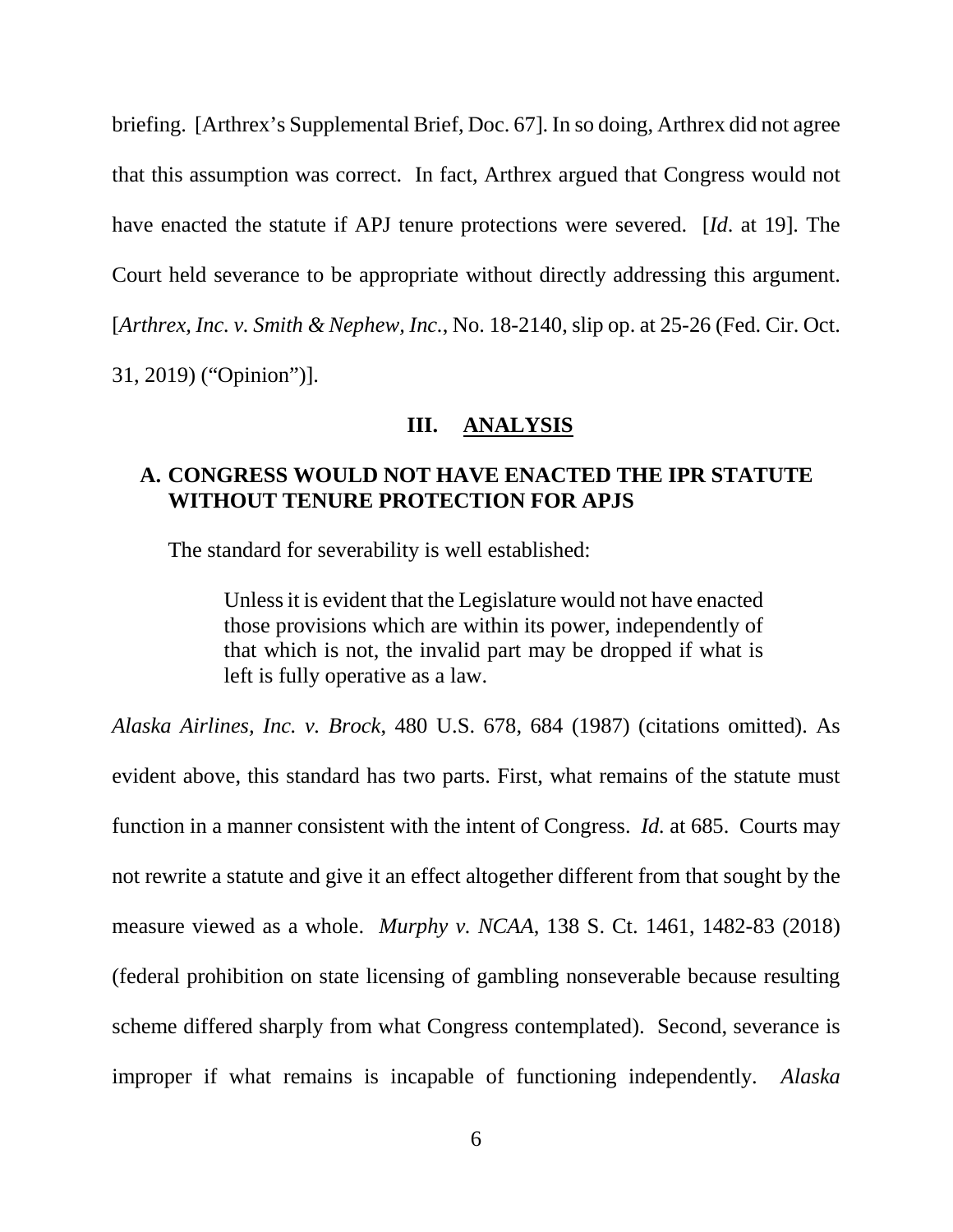briefing. [Arthrex's Supplemental Brief, Doc. 67]. In so doing, Arthrex did not agree that this assumption was correct. In fact, Arthrex argued that Congress would not have enacted the statute if APJ tenure protections were severed. [*Id*. at 19]. The Court held severance to be appropriate without directly addressing this argument. [*Arthrex, Inc. v. Smith & Nephew, Inc.*, No. 18-2140, slip op. at 25-26 (Fed. Cir. Oct. 31, 2019) ("Opinion")].

## **III. ANALYSIS**

## <span id="page-11-1"></span><span id="page-11-0"></span>**A. CONGRESS WOULD NOT HAVE ENACTED THE IPR STATUTE WITHOUT TENURE PROTECTION FOR APJS**

The standard for severability is well established:

Unless it is evident that the Legislature would not have enacted those provisions which are within its power, independently of that which is not, the invalid part may be dropped if what is left is fully operative as a law.

*Alaska Airlines, Inc. v. Brock*, 480 U.S. 678, 684 (1987) (citations omitted). As evident above, this standard has two parts. First, what remains of the statute must function in a manner consistent with the intent of Congress. *Id.* at 685. Courts may not rewrite a statute and give it an effect altogether different from that sought by the measure viewed as a whole. *Murphy v. NCAA*, 138 S. Ct. 1461, 1482-83 (2018) (federal prohibition on state licensing of gambling nonseverable because resulting scheme differed sharply from what Congress contemplated). Second, severance is improper if what remains is incapable of functioning independently. *Alaska*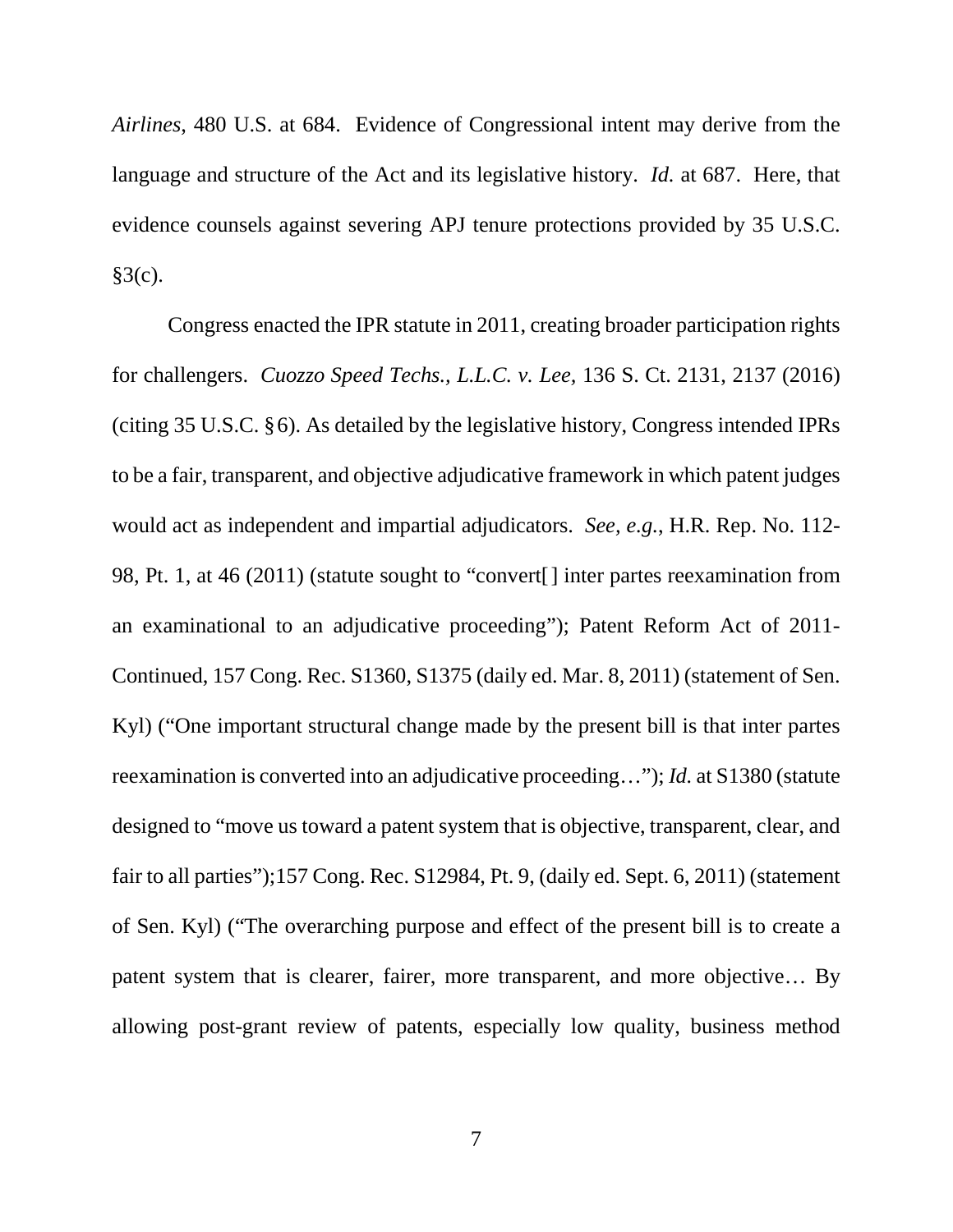*Airlines*, 480 U.S. at 684. Evidence of Congressional intent may derive from the language and structure of the Act and its legislative history. *Id.* at 687. Here, that evidence counsels against severing APJ tenure protections provided by 35 U.S.C.  $§3(c).$ 

Congress enacted the IPR statute in 2011, creating broader participation rights for challengers. *Cuozzo Speed Techs., L.L.C. v. Lee,* 136 S. Ct. 2131, 2137 (2016) (citing 35 U.S.C. §6). As detailed by the legislative history, Congress intended IPRs to be a fair, transparent, and objective adjudicative framework in which patent judges would act as independent and impartial adjudicators. *See, e.g.*, H.R. Rep. No. 112- 98, Pt. 1, at 46 (2011) (statute sought to "convert[] inter partes reexamination from an examinational to an adjudicative proceeding"); Patent Reform Act of 2011- Continued, 157 Cong. Rec. S1360, S1375 (daily ed. Mar. 8, 2011) (statement of Sen. Kyl) ("One important structural change made by the present bill is that inter partes reexamination is converted into an adjudicative proceeding…"); *Id.* at S1380 (statute designed to "move us toward a patent system that is objective, transparent, clear, and fair to all parties");157 Cong. Rec. S12984, Pt. 9, (daily ed. Sept. 6, 2011) (statement of Sen. Kyl) ("The overarching purpose and effect of the present bill is to create a patent system that is clearer, fairer, more transparent, and more objective… By allowing post-grant review of patents, especially low quality, business method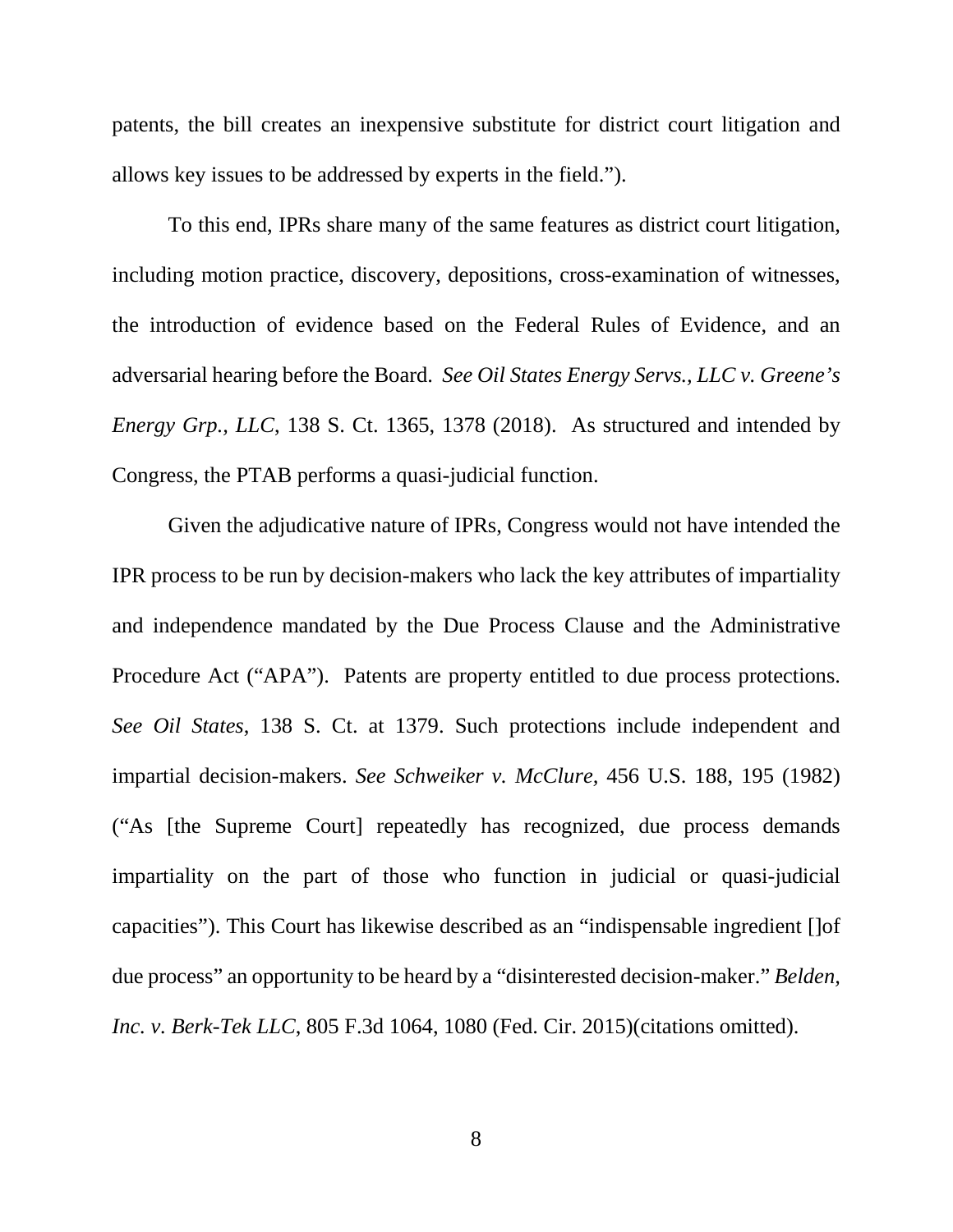patents, the bill creates an inexpensive substitute for district court litigation and allows key issues to be addressed by experts in the field.").

To this end, IPRs share many of the same features as district court litigation, including motion practice, discovery, depositions, cross-examination of witnesses, the introduction of evidence based on the Federal Rules of Evidence, and an adversarial hearing before the Board. *See Oil States Energy Servs., LLC v. Greene's Energy Grp., LLC*, 138 S. Ct. 1365, 1378 (2018). As structured and intended by Congress, the PTAB performs a quasi-judicial function.

Given the adjudicative nature of IPRs, Congress would not have intended the IPR process to be run by decision-makers who lack the key attributes of impartiality and independence mandated by the Due Process Clause and the Administrative Procedure Act ("APA"). Patents are property entitled to due process protections. *See Oil States*, 138 S. Ct. at 1379. Such protections include independent and impartial decision-makers. *See Schweiker v. McClure,* 456 U.S. 188, 195 (1982) ("As [the Supreme Court] repeatedly has recognized, due process demands impartiality on the part of those who function in judicial or quasi-judicial capacities"). This Court has likewise described as an "indispensable ingredient []of due process" an opportunity to be heard by a "disinterested decision-maker." *Belden, Inc. v. Berk-Tek LLC*, 805 F.3d 1064, 1080 (Fed. Cir. 2015)(citations omitted).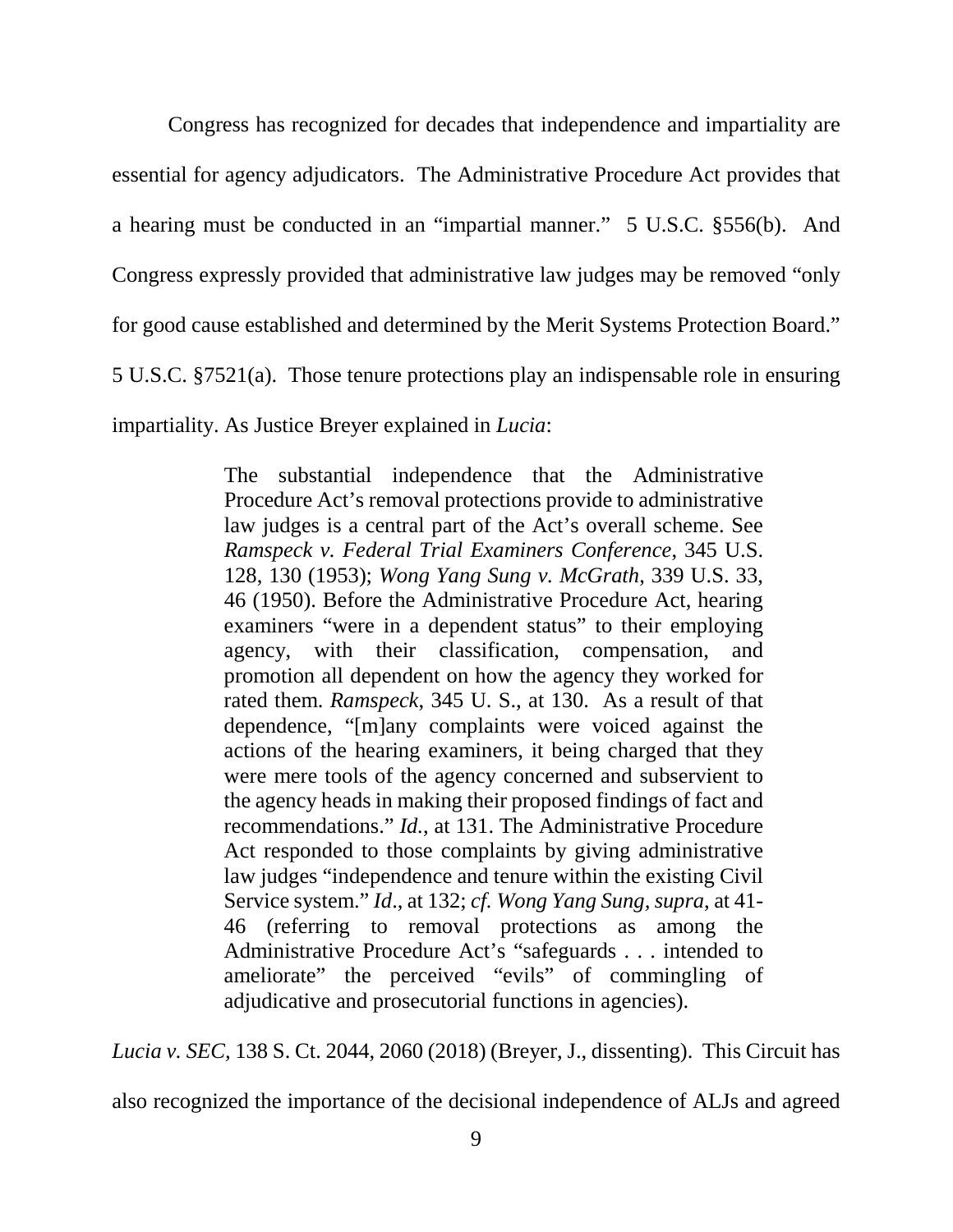Congress has recognized for decades that independence and impartiality are essential for agency adjudicators. The Administrative Procedure Act provides that a hearing must be conducted in an "impartial manner." 5 U.S.C. §556(b). And Congress expressly provided that administrative law judges may be removed "only for good cause established and determined by the Merit Systems Protection Board." 5 U.S.C. §7521(a). Those tenure protections play an indispensable role in ensuring impartiality. As Justice Breyer explained in *Lucia*:

> The substantial independence that the Administrative Procedure Act's removal protections provide to administrative law judges is a central part of the Act's overall scheme. See *Ramspeck v. Federal Trial Examiners Conference*, 345 U.S. 128, 130 (1953); *Wong Yang Sung v. McGrath*, 339 U.S. 33, 46 (1950). Before the Administrative Procedure Act, hearing examiners "were in a dependent status" to their employing agency, with their classification, compensation, and promotion all dependent on how the agency they worked for rated them. *Ramspeck*, 345 U. S., at 130. As a result of that dependence, "[m]any complaints were voiced against the actions of the hearing examiners, it being charged that they were mere tools of the agency concerned and subservient to the agency heads in making their proposed findings of fact and recommendations." *Id.*, at 131. The Administrative Procedure Act responded to those complaints by giving administrative law judges "independence and tenure within the existing Civil Service system." *Id*., at 132; *cf. Wong Yang Sung, supra*, at 41- 46 (referring to removal protections as among the Administrative Procedure Act's "safeguards . . . intended to ameliorate" the perceived "evils" of commingling of adjudicative and prosecutorial functions in agencies).

*Lucia v. SEC,* 138 S. Ct. 2044, 2060 (2018) (Breyer, J., dissenting). This Circuit has

also recognized the importance of the decisional independence of ALJs and agreed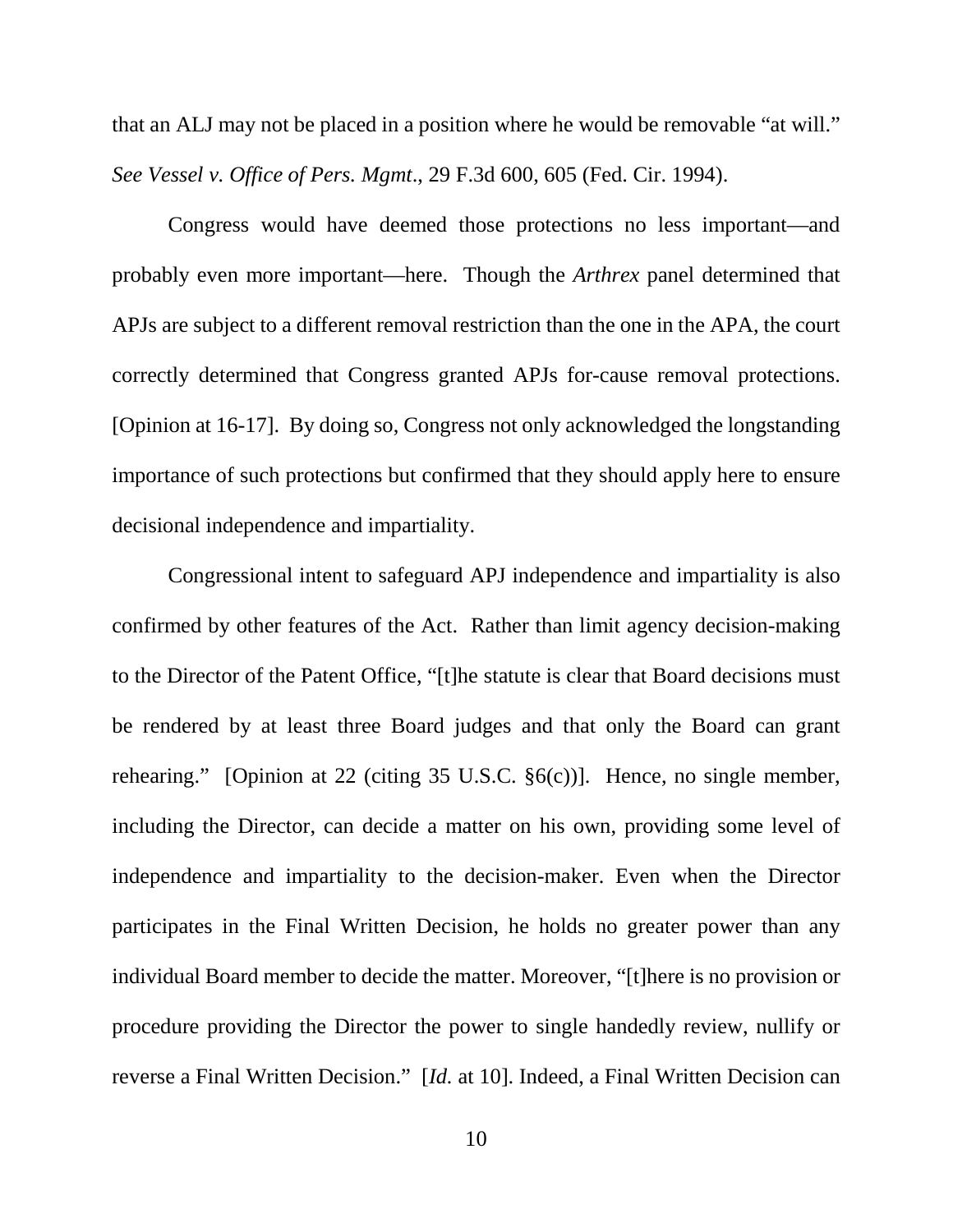that an ALJ may not be placed in a position where he would be removable "at will." *See Vessel v. Office of Pers. Mgmt*., 29 F.3d 600, 605 (Fed. Cir. 1994).

Congress would have deemed those protections no less important—and probably even more important—here. Though the *Arthrex* panel determined that APJs are subject to a different removal restriction than the one in the APA, the court correctly determined that Congress granted APJs for-cause removal protections. [Opinion at 16-17]. By doing so, Congress not only acknowledged the longstanding importance of such protections but confirmed that they should apply here to ensure decisional independence and impartiality.

Congressional intent to safeguard APJ independence and impartiality is also confirmed by other features of the Act. Rather than limit agency decision-making to the Director of the Patent Office, "[t]he statute is clear that Board decisions must be rendered by at least three Board judges and that only the Board can grant rehearing." [Opinion at 22 (citing 35 U.S.C. §6(c))]. Hence, no single member, including the Director, can decide a matter on his own, providing some level of independence and impartiality to the decision-maker. Even when the Director participates in the Final Written Decision, he holds no greater power than any individual Board member to decide the matter. Moreover, "[t]here is no provision or procedure providing the Director the power to single handedly review, nullify or reverse a Final Written Decision." [*Id.* at 10]. Indeed, a Final Written Decision can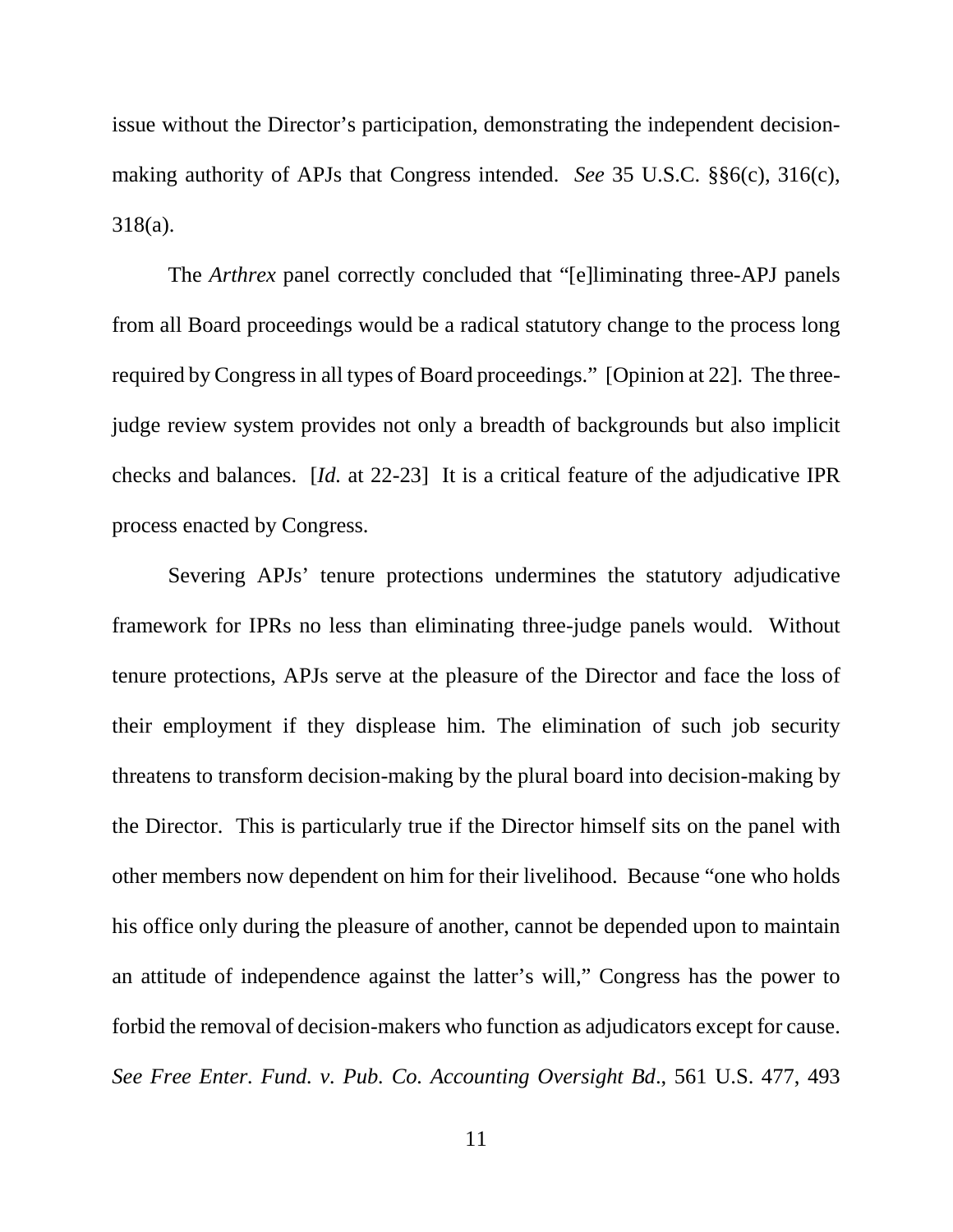issue without the Director's participation, demonstrating the independent decisionmaking authority of APJs that Congress intended. *See* 35 U.S.C. §§6(c), 316(c), 318(a).

The *Arthrex* panel correctly concluded that "[e]liminating three-APJ panels from all Board proceedings would be a radical statutory change to the process long required by Congress in all types of Board proceedings." [Opinion at 22]. The threejudge review system provides not only a breadth of backgrounds but also implicit checks and balances. [*Id.* at 22-23] It is a critical feature of the adjudicative IPR process enacted by Congress.

Severing APJs' tenure protections undermines the statutory adjudicative framework for IPRs no less than eliminating three-judge panels would. Without tenure protections, APJs serve at the pleasure of the Director and face the loss of their employment if they displease him. The elimination of such job security threatens to transform decision-making by the plural board into decision-making by the Director. This is particularly true if the Director himself sits on the panel with other members now dependent on him for their livelihood. Because "one who holds his office only during the pleasure of another, cannot be depended upon to maintain an attitude of independence against the latter's will," Congress has the power to forbid the removal of decision-makers who function as adjudicators except for cause. *See Free Enter. Fund. v. Pub. Co. Accounting Oversight Bd*., 561 U.S. 477, 493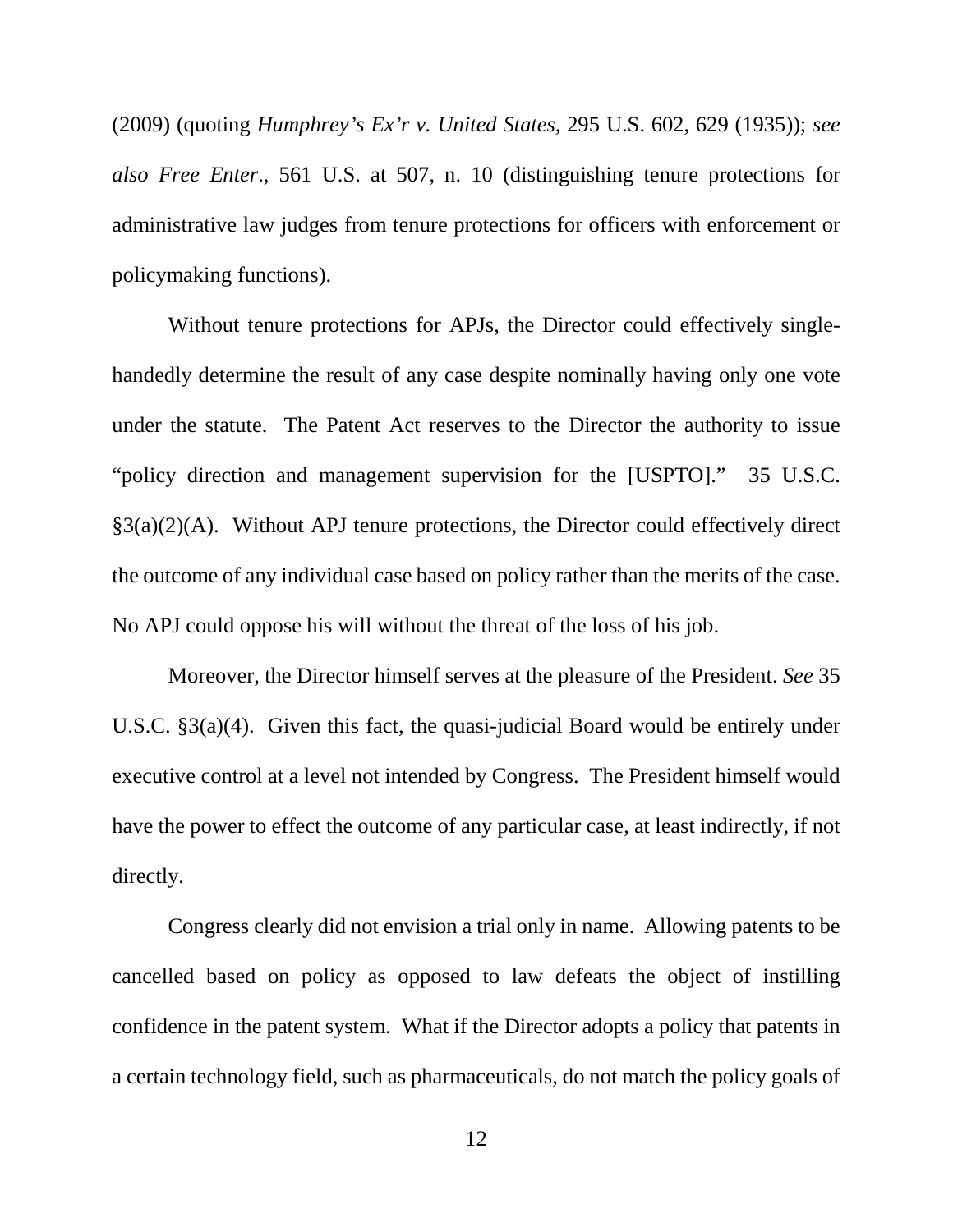(2009) (quoting *Humphrey's Ex'r v. United States,* 295 U.S. 602, 629 (1935)); *see also Free Enter*., 561 U.S. at 507, n. 10 (distinguishing tenure protections for administrative law judges from tenure protections for officers with enforcement or policymaking functions).

Without tenure protections for APJs, the Director could effectively singlehandedly determine the result of any case despite nominally having only one vote under the statute. The Patent Act reserves to the Director the authority to issue "policy direction and management supervision for the [USPTO]." 35 U.S.C.  $\S3(a)(2)(A)$ . Without APJ tenure protections, the Director could effectively direct the outcome of any individual case based on policy rather than the merits of the case. No APJ could oppose his will without the threat of the loss of his job.

Moreover, the Director himself serves at the pleasure of the President. *See* 35 U.S.C. §3(a)(4). Given this fact, the quasi-judicial Board would be entirely under executive control at a level not intended by Congress. The President himself would have the power to effect the outcome of any particular case, at least indirectly, if not directly.

Congress clearly did not envision a trial only in name. Allowing patents to be cancelled based on policy as opposed to law defeats the object of instilling confidence in the patent system. What if the Director adopts a policy that patents in a certain technology field, such as pharmaceuticals, do not match the policy goals of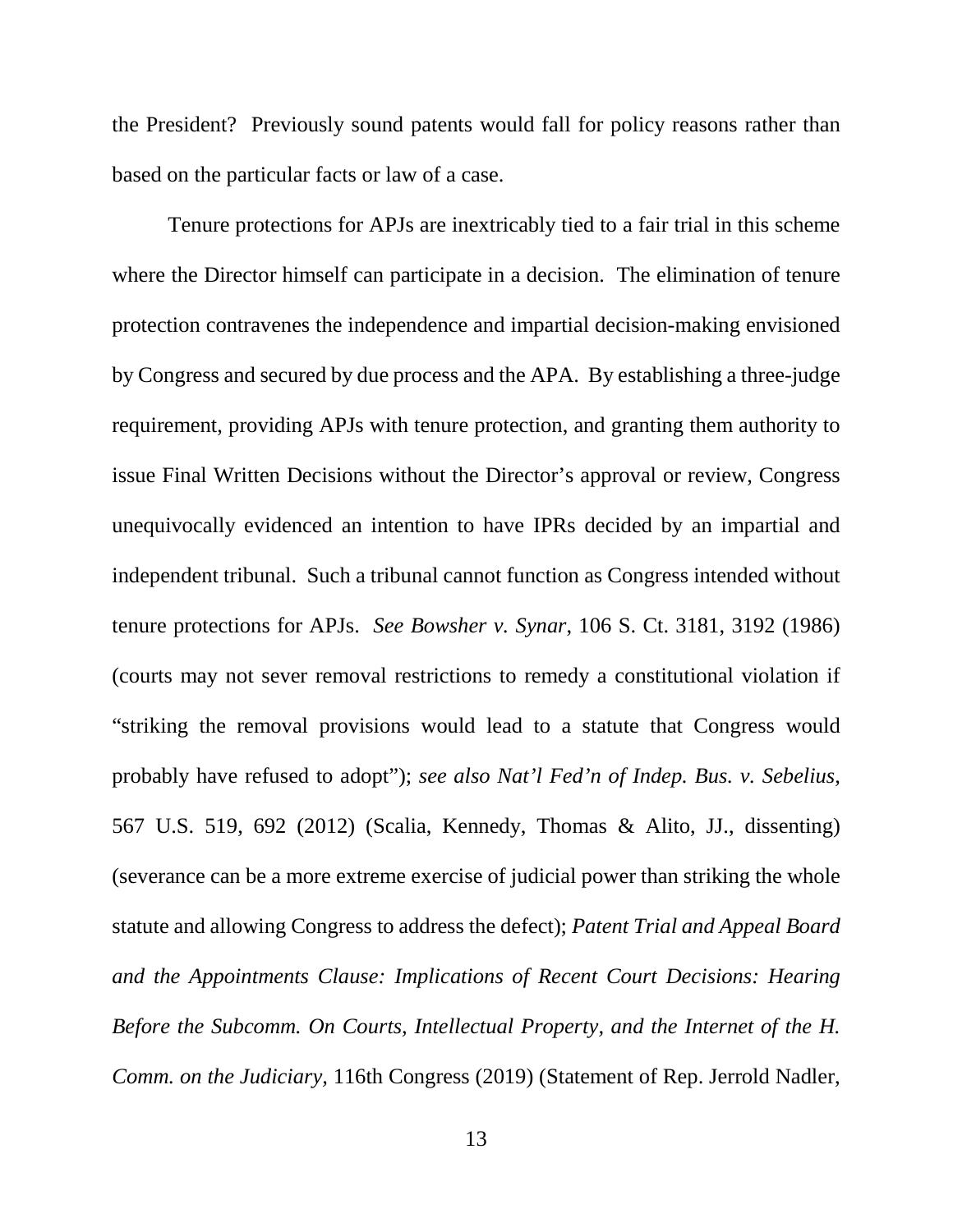the President? Previously sound patents would fall for policy reasons rather than based on the particular facts or law of a case.

Tenure protections for APJs are inextricably tied to a fair trial in this scheme where the Director himself can participate in a decision. The elimination of tenure protection contravenes the independence and impartial decision-making envisioned by Congress and secured by due process and the APA. By establishing a three-judge requirement, providing APJs with tenure protection, and granting them authority to issue Final Written Decisions without the Director's approval or review, Congress unequivocally evidenced an intention to have IPRs decided by an impartial and independent tribunal. Such a tribunal cannot function as Congress intended without tenure protections for APJs. *See Bowsher v. Synar*, 106 S. Ct. 3181, 3192 (1986) (courts may not sever removal restrictions to remedy a constitutional violation if "striking the removal provisions would lead to a statute that Congress would probably have refused to adopt"); *see also Nat'l Fed'n of Indep. Bus. v. Sebelius*, 567 U.S. 519, 692 (2012) (Scalia, Kennedy, Thomas & Alito, JJ., dissenting) (severance can be a more extreme exercise of judicial power than striking the whole statute and allowing Congress to address the defect); *Patent Trial and Appeal Board and the Appointments Clause: Implications of Recent Court Decisions: Hearing Before the Subcomm. On Courts, Intellectual Property, and the Internet of the H. Comm. on the Judiciary,* 116th Congress (2019) (Statement of Rep. Jerrold Nadler,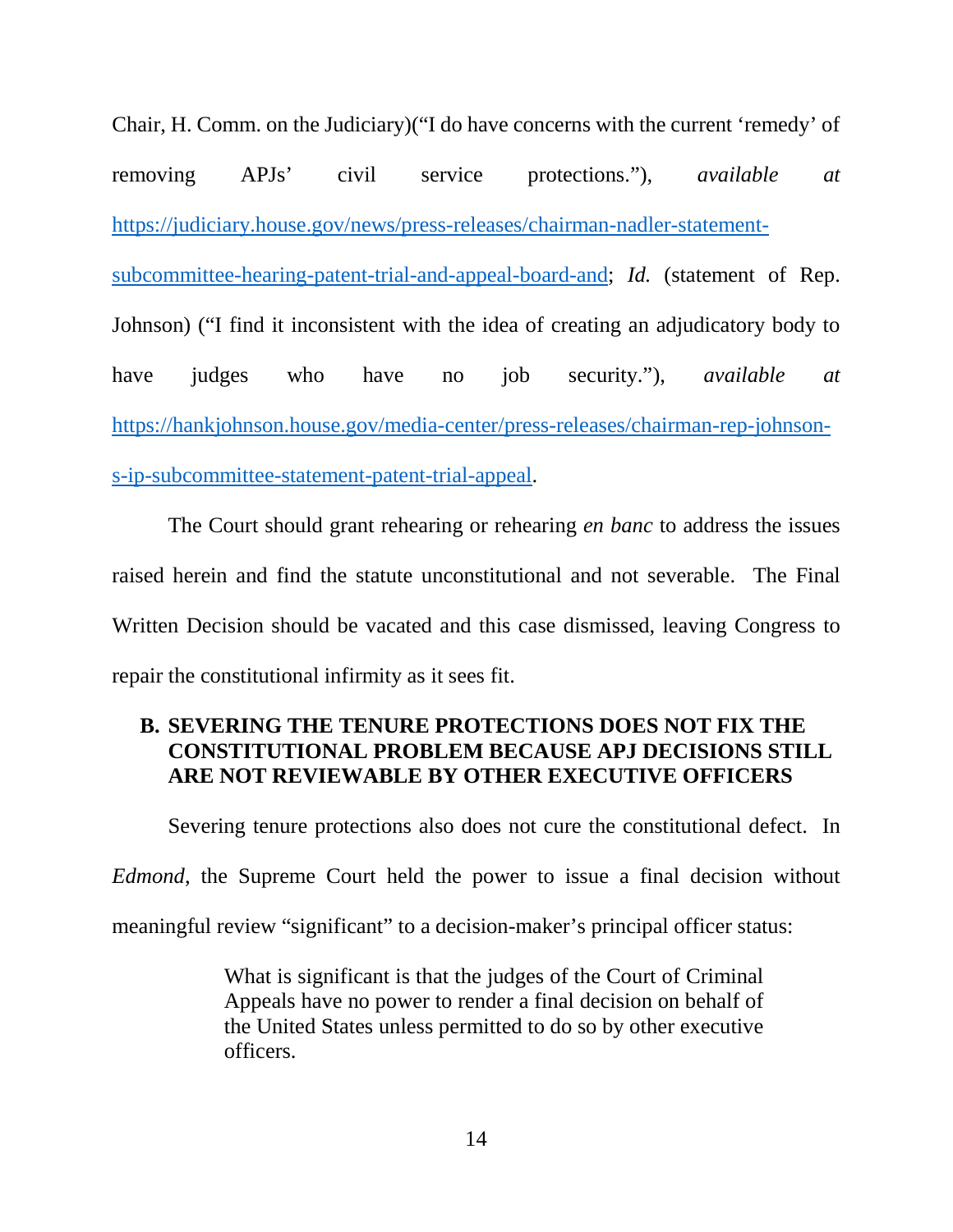Chair, H. Comm. on the Judiciary)("I do have concerns with the current 'remedy' of removing APJs' civil service protections."), *available at* [https://judiciary.house.gov/news/press-releases/chairman-nadler-statement](https://judiciary.house.gov/news/press-releases/chairman-nadler-statement-subcommittee-hearing-patent-trial-and-appeal-board-and)[subcommittee-hearing-patent-trial-and-appeal-board-and;](https://judiciary.house.gov/news/press-releases/chairman-nadler-statement-subcommittee-hearing-patent-trial-and-appeal-board-and) *Id.* (statement of Rep. Johnson) ("I find it inconsistent with the idea of creating an adjudicatory body to have judges who have no job security."), *available at* [https://hankjohnson.house.gov/media-center/press-releases/chairman-rep-johnson](https://hankjohnson.house.gov/media-center/press-releases/chairman-rep-johnson-s-ip-subcommittee-statement-patent-trial-appeal)[s-ip-subcommittee-statement-patent-trial-appeal.](https://hankjohnson.house.gov/media-center/press-releases/chairman-rep-johnson-s-ip-subcommittee-statement-patent-trial-appeal)

The Court should grant rehearing or rehearing *en banc* to address the issues raised herein and find the statute unconstitutional and not severable. The Final Written Decision should be vacated and this case dismissed, leaving Congress to repair the constitutional infirmity as it sees fit.

# <span id="page-19-0"></span>**B. SEVERING THE TENURE PROTECTIONS DOES NOT FIX THE CONSTITUTIONAL PROBLEM BECAUSE APJ DECISIONS STILL ARE NOT REVIEWABLE BY OTHER EXECUTIVE OFFICERS**

Severing tenure protections also does not cure the constitutional defect. In

*Edmond*, the Supreme Court held the power to issue a final decision without

meaningful review "significant" to a decision-maker's principal officer status:

What is significant is that the judges of the Court of Criminal Appeals have no power to render a final decision on behalf of the United States unless permitted to do so by other executive officers.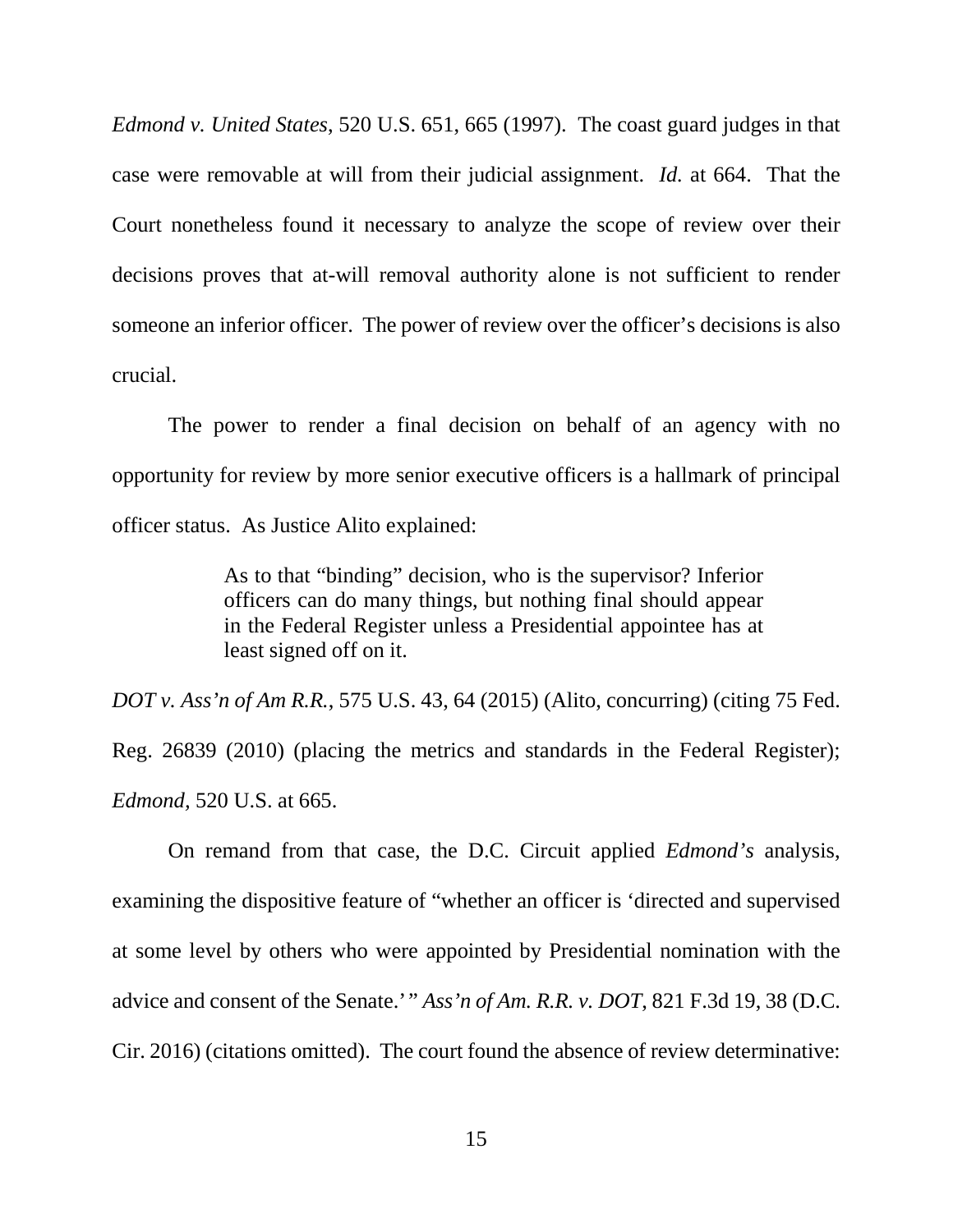*Edmond v. United States*, 520 U.S. 651, 665 (1997). The coast guard judges in that case were removable at will from their judicial assignment. *Id.* at 664. That the Court nonetheless found it necessary to analyze the scope of review over their decisions proves that at-will removal authority alone is not sufficient to render someone an inferior officer. The power of review over the officer's decisions is also crucial.

The power to render a final decision on behalf of an agency with no opportunity for review by more senior executive officers is a hallmark of principal officer status. As Justice Alito explained:

> As to that "binding" decision, who is the supervisor? Inferior officers can do many things, but nothing final should appear in the Federal Register unless a Presidential appointee has at least signed off on it.

*DOT v. Ass'n of Am R.R.*, 575 U.S. 43, 64 (2015) (Alito, concurring) (citing 75 Fed. Reg. 26839 (2010) (placing the metrics and standards in the Federal Register); *Edmond,* 520 U.S. at 665.

On remand from that case, the D.C. Circuit applied *Edmond's* analysis, examining the dispositive feature of "whether an officer is 'directed and supervised at some level by others who were appointed by Presidential nomination with the advice and consent of the Senate.'" *Ass'n of Am. R.R. v. DOT*, 821 F.3d 19, 38 (D.C. Cir. 2016) (citations omitted). The court found the absence of review determinative: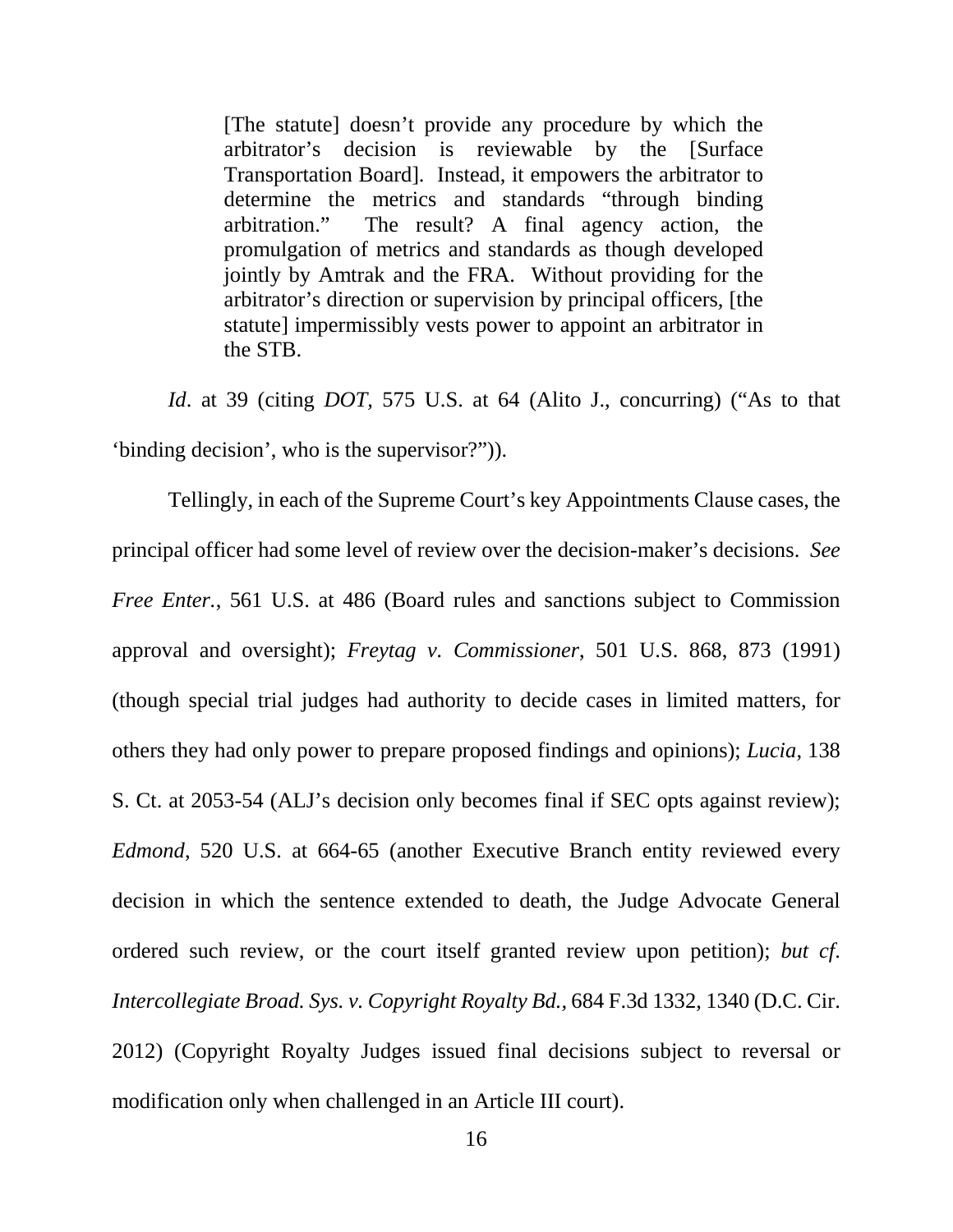[The statute] doesn't provide any procedure by which the arbitrator's decision is reviewable by the [Surface Transportation Board]. Instead, it empowers the arbitrator to determine the metrics and standards "through binding arbitration." The result? A final agency action, the promulgation of metrics and standards as though developed jointly by Amtrak and the FRA. Without providing for the arbitrator's direction or supervision by principal officers, [the statute] impermissibly vests power to appoint an arbitrator in the STB.

*Id*. at 39 (citing *DOT,* 575 U.S. at 64 (Alito J., concurring) ("As to that 'binding decision', who is the supervisor?")).

Tellingly, in each of the Supreme Court's key Appointments Clause cases, the principal officer had some level of review over the decision-maker's decisions. *See Free Enter.*, 561 U.S. at 486 (Board rules and sanctions subject to Commission approval and oversight); *Freytag v. Commissioner*, 501 U.S. 868, 873 (1991) (though special trial judges had authority to decide cases in limited matters, for others they had only power to prepare proposed findings and opinions); *Lucia*, 138 S. Ct. at 2053-54 (ALJ's decision only becomes final if SEC opts against review); *Edmond*, 520 U.S. at 664-65 (another Executive Branch entity reviewed every decision in which the sentence extended to death, the Judge Advocate General ordered such review, or the court itself granted review upon petition); *but cf*. *Intercollegiate Broad. Sys. v. Copyright Royalty Bd.,* 684 F.3d 1332, 1340 (D.C. Cir. 2012) (Copyright Royalty Judges issued final decisions subject to reversal or modification only when challenged in an Article III court).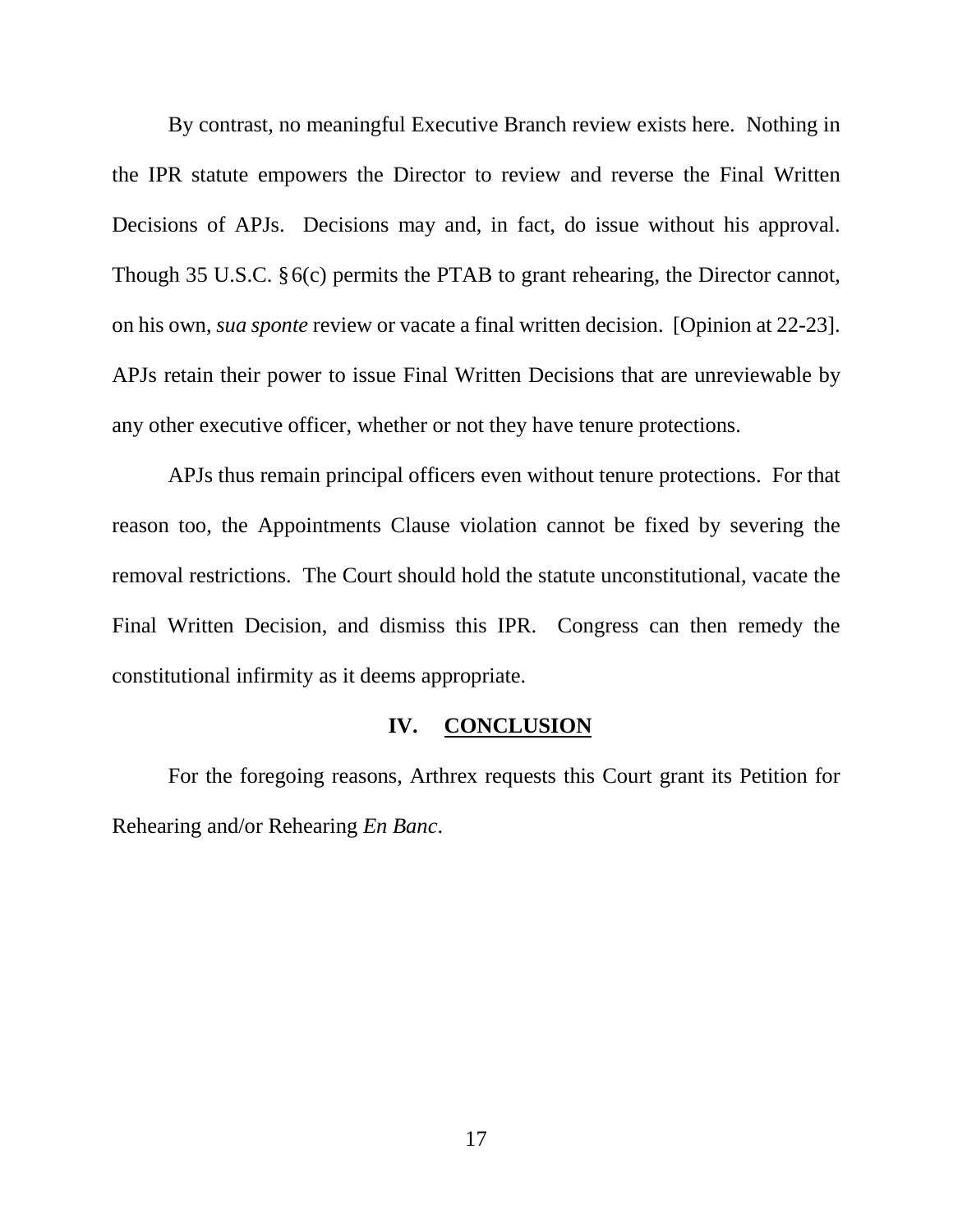By contrast, no meaningful Executive Branch review exists here. Nothing in the IPR statute empowers the Director to review and reverse the Final Written Decisions of APJs. Decisions may and, in fact, do issue without his approval. Though 35 U.S.C. §6(c) permits the PTAB to grant rehearing, the Director cannot, on his own, *sua sponte* review or vacate a final written decision. [Opinion at 22-23]. APJs retain their power to issue Final Written Decisions that are unreviewable by any other executive officer, whether or not they have tenure protections.

APJs thus remain principal officers even without tenure protections. For that reason too, the Appointments Clause violation cannot be fixed by severing the removal restrictions. The Court should hold the statute unconstitutional, vacate the Final Written Decision, and dismiss this IPR. Congress can then remedy the constitutional infirmity as it deems appropriate.

## **IV. CONCLUSION**

<span id="page-22-0"></span>For the foregoing reasons, Arthrex requests this Court grant its Petition for Rehearing and/or Rehearing *En Banc*.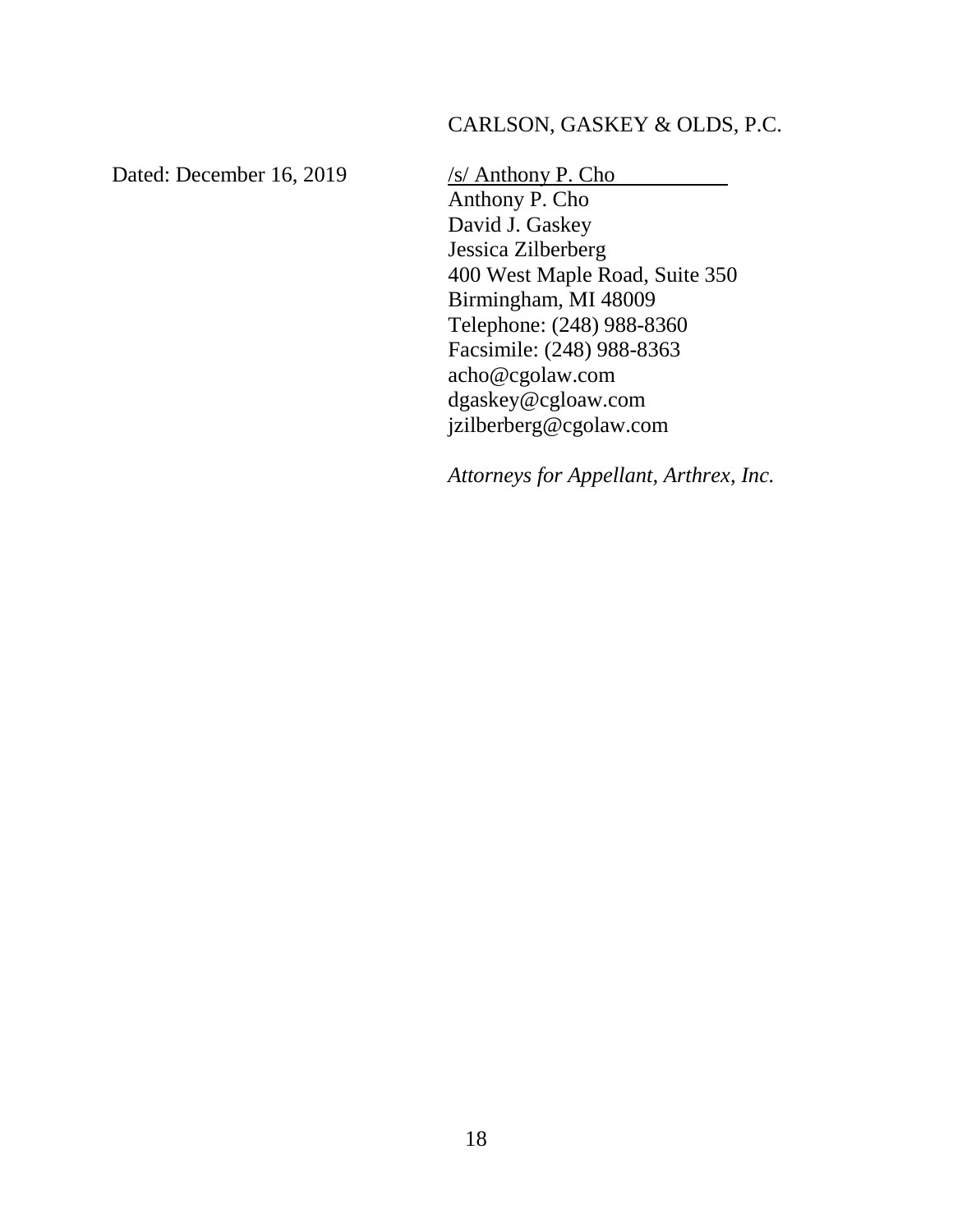# CARLSON, GASKEY & OLDS, P.C.

Dated: December 16, 2019 /s/ Anthony P. Cho

Anthony P. Cho David J. Gaskey Jessica Zilberberg 400 West Maple Road, Suite 350 Birmingham, MI 48009 Telephone: (248) 988-8360 Facsimile: (248) 988-8363 acho@cgolaw.com dgaskey@cgloaw.com jzilberberg@cgolaw.com

*Attorneys for Appellant, Arthrex, Inc.*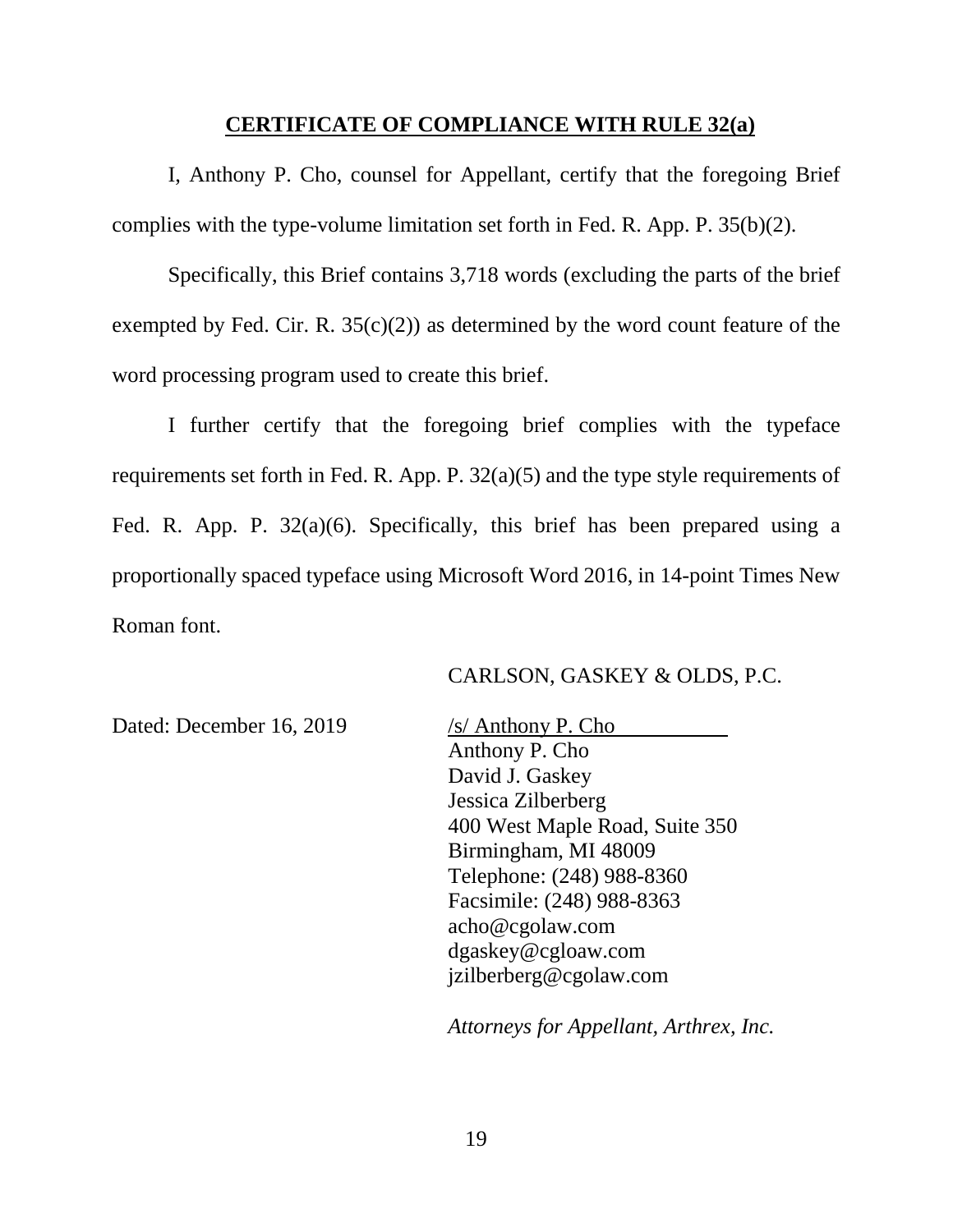#### **CERTIFICATE OF COMPLIANCE WITH RULE 32(a)**

<span id="page-24-0"></span>I, Anthony P. Cho, counsel for Appellant, certify that the foregoing Brief complies with the type-volume limitation set forth in Fed. R. App. P. 35(b)(2).

Specifically, this Brief contains 3,718 words (excluding the parts of the brief exempted by Fed. Cir. R.  $35(c)(2)$  as determined by the word count feature of the word processing program used to create this brief.

I further certify that the foregoing brief complies with the typeface requirements set forth in Fed. R. App. P. 32(a)(5) and the type style requirements of Fed. R. App. P. 32(a)(6). Specifically, this brief has been prepared using a proportionally spaced typeface using Microsoft Word 2016, in 14-point Times New Roman font.

## CARLSON, GASKEY & OLDS, P.C.

Dated: December 16, 2019 /s/ Anthony P. Cho

Anthony P. Cho David J. Gaskey Jessica Zilberberg 400 West Maple Road, Suite 350 Birmingham, MI 48009 Telephone: (248) 988-8360 Facsimile: (248) 988-8363 acho@cgolaw.com dgaskey@cgloaw.com jzilberberg@cgolaw.com

*Attorneys for Appellant, Arthrex, Inc.*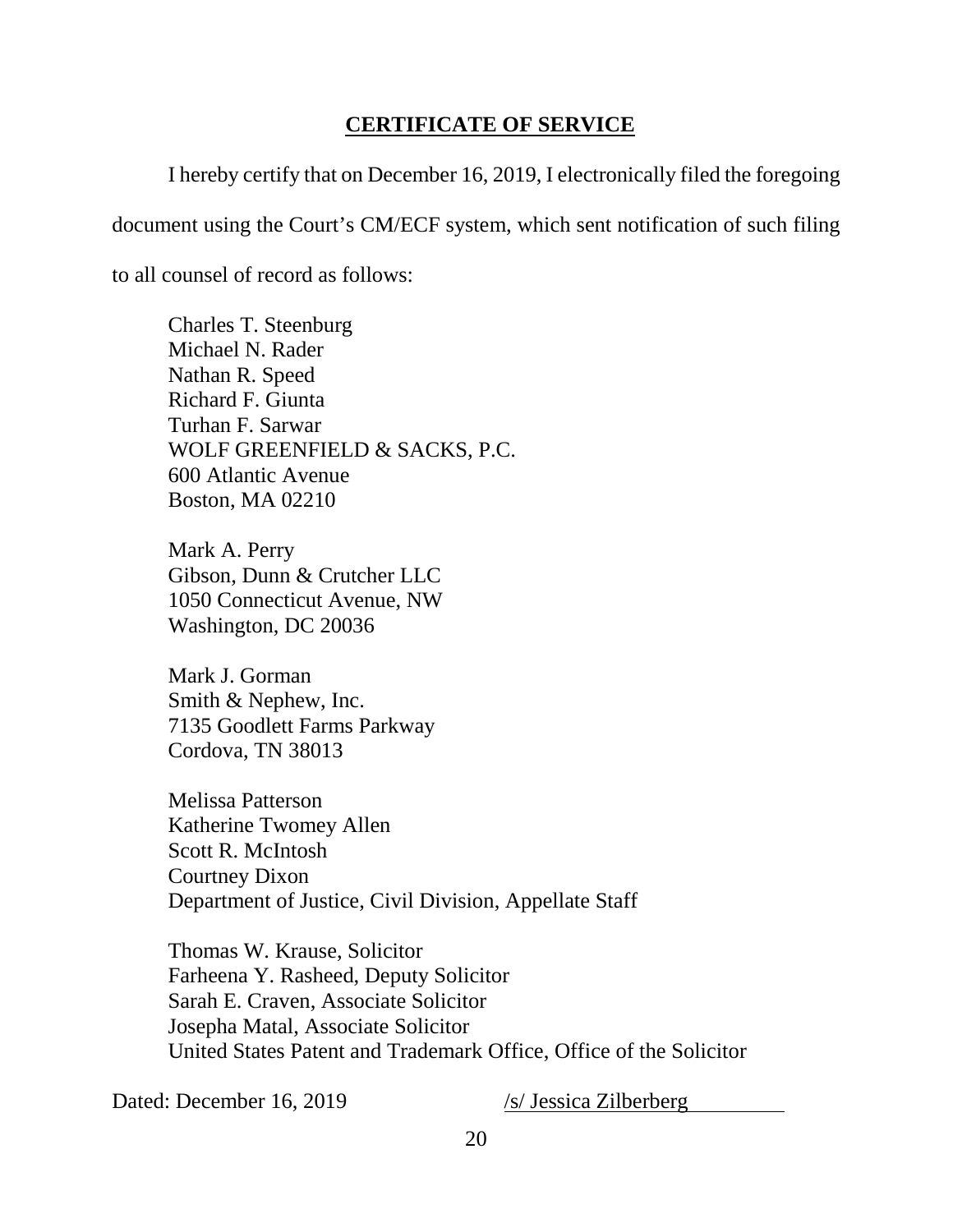# **CERTIFICATE OF SERVICE**

<span id="page-25-0"></span>I hereby certify that on December 16, 2019, I electronically filed the foregoing document using the Court's CM/ECF system, which sent notification of such filing to all counsel of record as follows:

Charles T. Steenburg Michael N. Rader Nathan R. Speed Richard F. Giunta Turhan F. Sarwar WOLF GREENFIELD & SACKS, P.C. 600 Atlantic Avenue Boston, MA 02210

Mark A. Perry Gibson, Dunn & Crutcher LLC 1050 Connecticut Avenue, NW Washington, DC 20036

Mark J. Gorman Smith & Nephew, Inc. 7135 Goodlett Farms Parkway Cordova, TN 38013

Melissa Patterson Katherine Twomey Allen Scott R. McIntosh Courtney Dixon Department of Justice, Civil Division, Appellate Staff

Thomas W. Krause, Solicitor Farheena Y. Rasheed, Deputy Solicitor Sarah E. Craven, Associate Solicitor Josepha Matal, Associate Solicitor United States Patent and Trademark Office, Office of the Solicitor

Dated: December 16, 2019 /s/ Jessica Zilberberg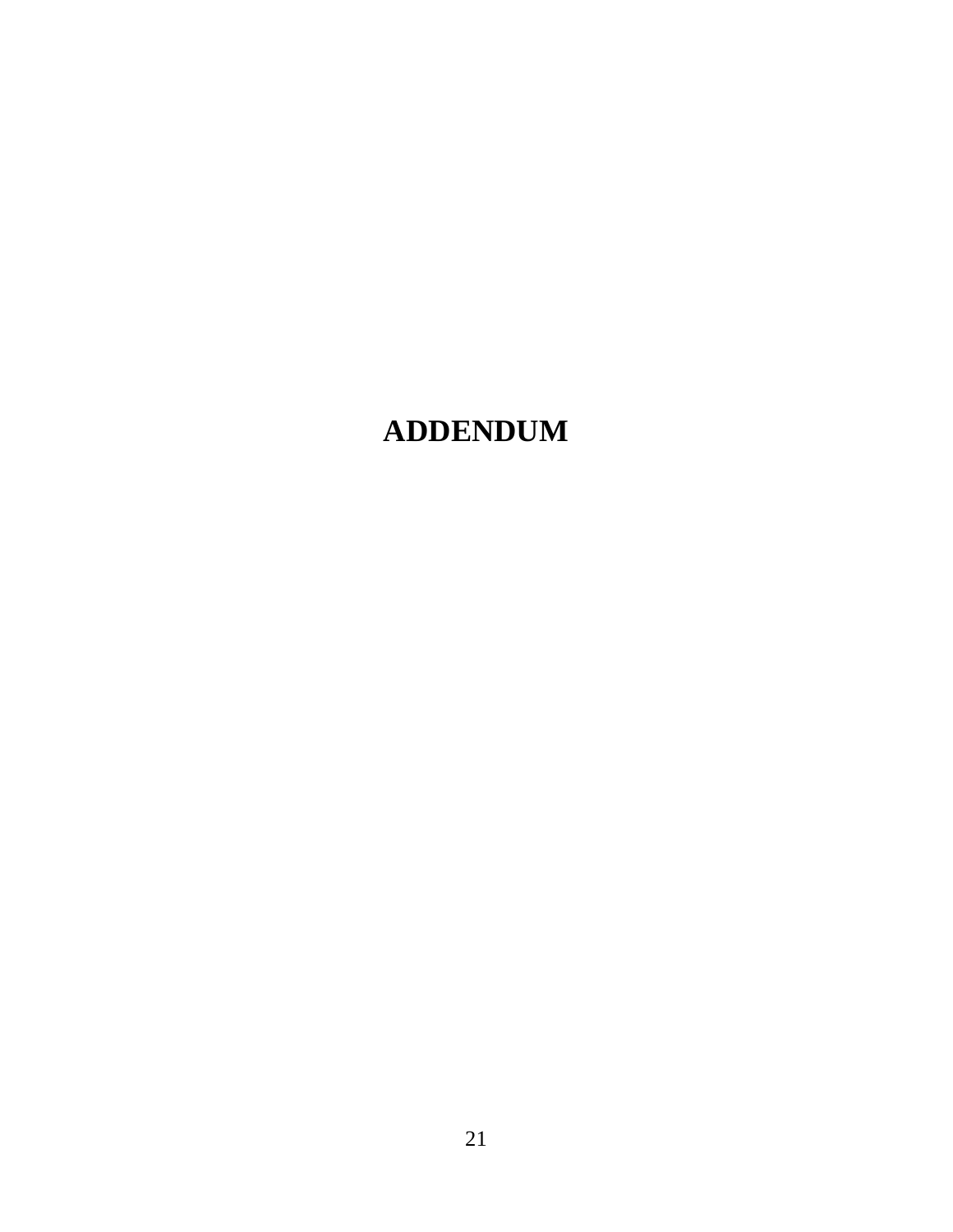# **ADDENDUM**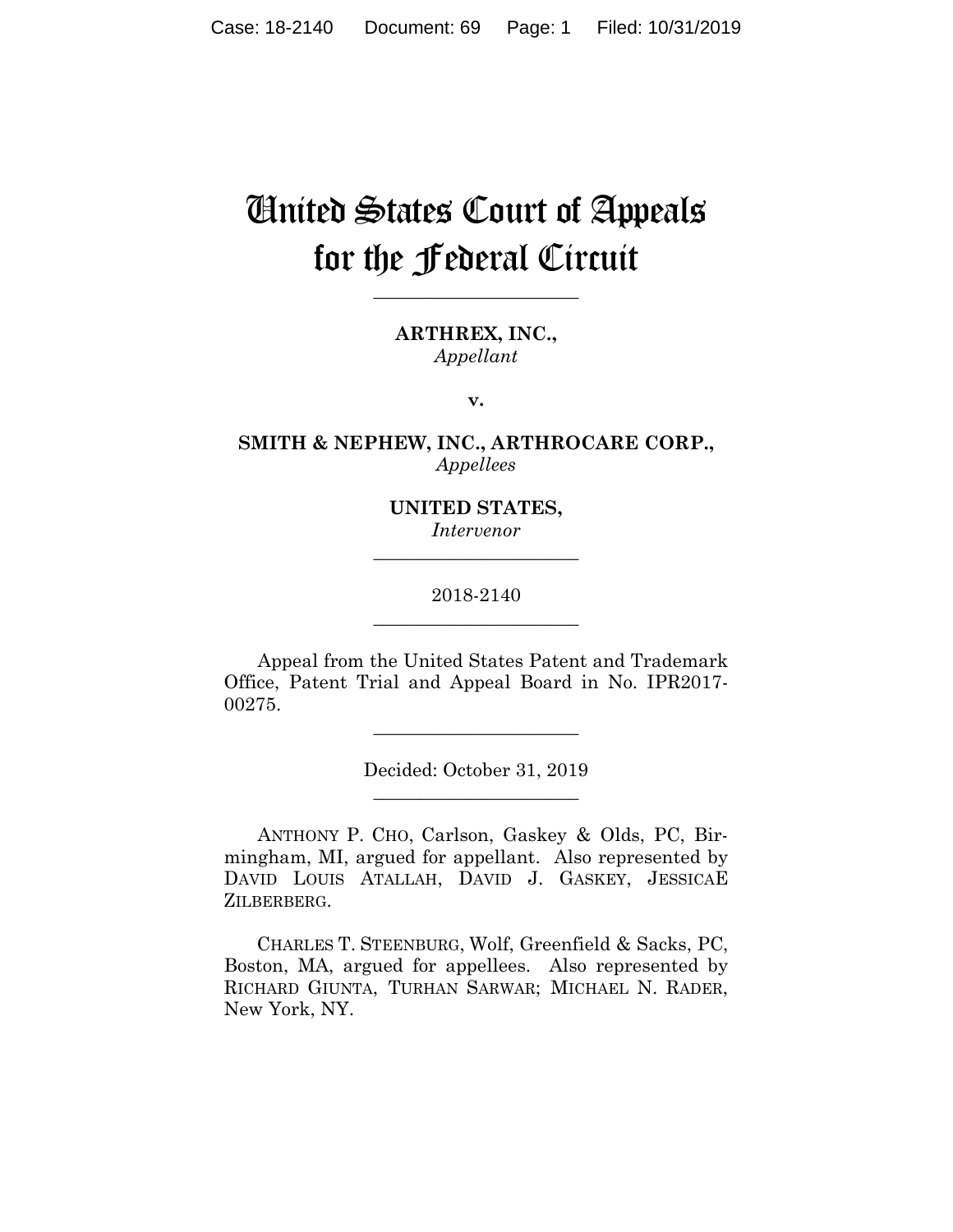# United States Court of Appeals for the Federal Circuit

**\_\_\_\_\_\_\_\_\_\_\_\_\_\_\_\_\_\_\_\_\_\_**

**ARTHREX, INC.,** *Appellant*

**v.**

**SMITH & NEPHEW, INC., ARTHROCARE CORP.,** *Appellees*

> **UNITED STATES,** *Intervenor* **\_\_\_\_\_\_\_\_\_\_\_\_\_\_\_\_\_\_\_\_\_\_**

> 2018-2140 **\_\_\_\_\_\_\_\_\_\_\_\_\_\_\_\_\_\_\_\_\_\_**

Appeal from the United States Patent and Trademark Office, Patent Trial and Appeal Board in No. IPR2017- 00275.

> Decided: October 31, 2019 **\_\_\_\_\_\_\_\_\_\_\_\_\_\_\_\_\_\_\_\_\_\_**

**\_\_\_\_\_\_\_\_\_\_\_\_\_\_\_\_\_\_\_\_\_\_**

ANTHONY P. CHO, Carlson, Gaskey & Olds, PC, Birmingham, MI, argued for appellant. Also represented by DAVID LOUIS ATALLAH, DAVID J. GASKEY, JESSICAE ZILBERBERG.

 CHARLES T. STEENBURG, Wolf, Greenfield & Sacks, PC, Boston, MA, argued for appellees. Also represented by RICHARD GIUNTA, TURHAN SARWAR; MICHAEL N. RADER, New York, NY.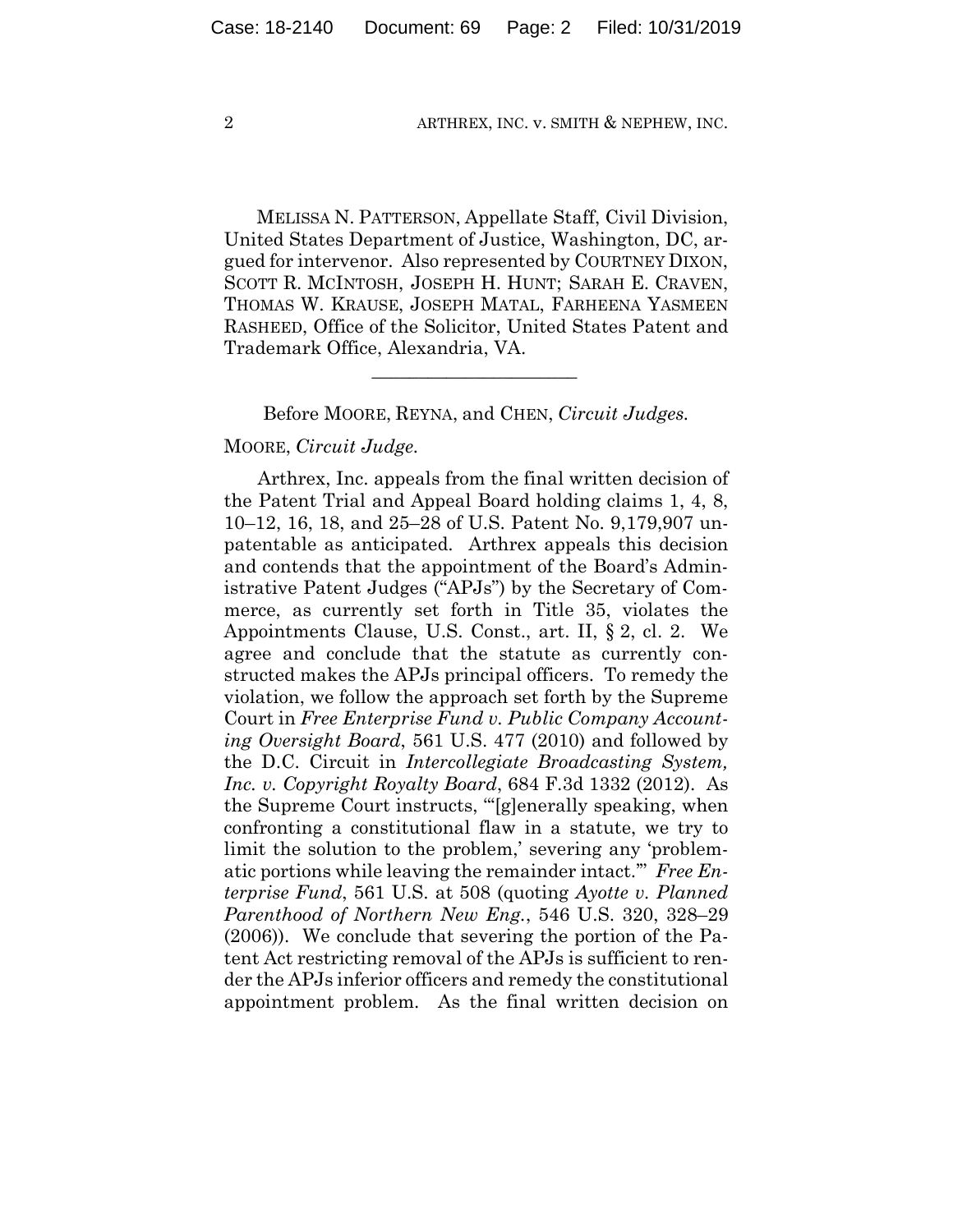MELISSA N. PATTERSON, Appellate Staff, Civil Division, United States Department of Justice, Washington, DC, argued for intervenor. Also represented by COURTNEY DIXON, SCOTT R. MCINTOSH, JOSEPH H. HUNT; SARAH E. CRAVEN, THOMAS W. KRAUSE, JOSEPH MATAL, FARHEENA YASMEEN RASHEED, Office of the Solicitor, United States Patent and Trademark Office, Alexandria, VA.

#### Before MOORE, REYNA, and CHEN, *Circuit Judges.*

 $\mathcal{L}_\text{max}$  and  $\mathcal{L}_\text{max}$  and  $\mathcal{L}_\text{max}$  and  $\mathcal{L}_\text{max}$ 

#### MOORE, *Circuit Judge.*

Arthrex, Inc. appeals from the final written decision of the Patent Trial and Appeal Board holding claims 1, 4, 8, 10–12, 16, 18, and 25–28 of U.S. Patent No. 9,179,907 unpatentable as anticipated. Arthrex appeals this decision and contends that the appointment of the Board's Administrative Patent Judges ("APJs") by the Secretary of Commerce, as currently set forth in Title 35, violates the Appointments Clause, U.S. Const., art. II, § 2, cl. 2. We agree and conclude that the statute as currently constructed makes the APJs principal officers. To remedy the violation, we follow the approach set forth by the Supreme Court in *Free Enterprise Fund v. Public Company Accounting Oversight Board*, 561 U.S. 477 (2010) and followed by the D.C. Circuit in *Intercollegiate Broadcasting System, Inc. v. Copyright Royalty Board*, 684 F.3d 1332 (2012). As the Supreme Court instructs, "'[g]enerally speaking, when confronting a constitutional flaw in a statute, we try to limit the solution to the problem,' severing any 'problematic portions while leaving the remainder intact.'" *Free Enterprise Fund*, 561 U.S. at 508 (quoting *Ayotte v. Planned Parenthood of Northern New Eng.*, 546 U.S. 320, 328–29 (2006)). We conclude that severing the portion of the Patent Act restricting removal of the APJs is sufficient to render the APJs inferior officers and remedy the constitutional appointment problem. As the final written decision on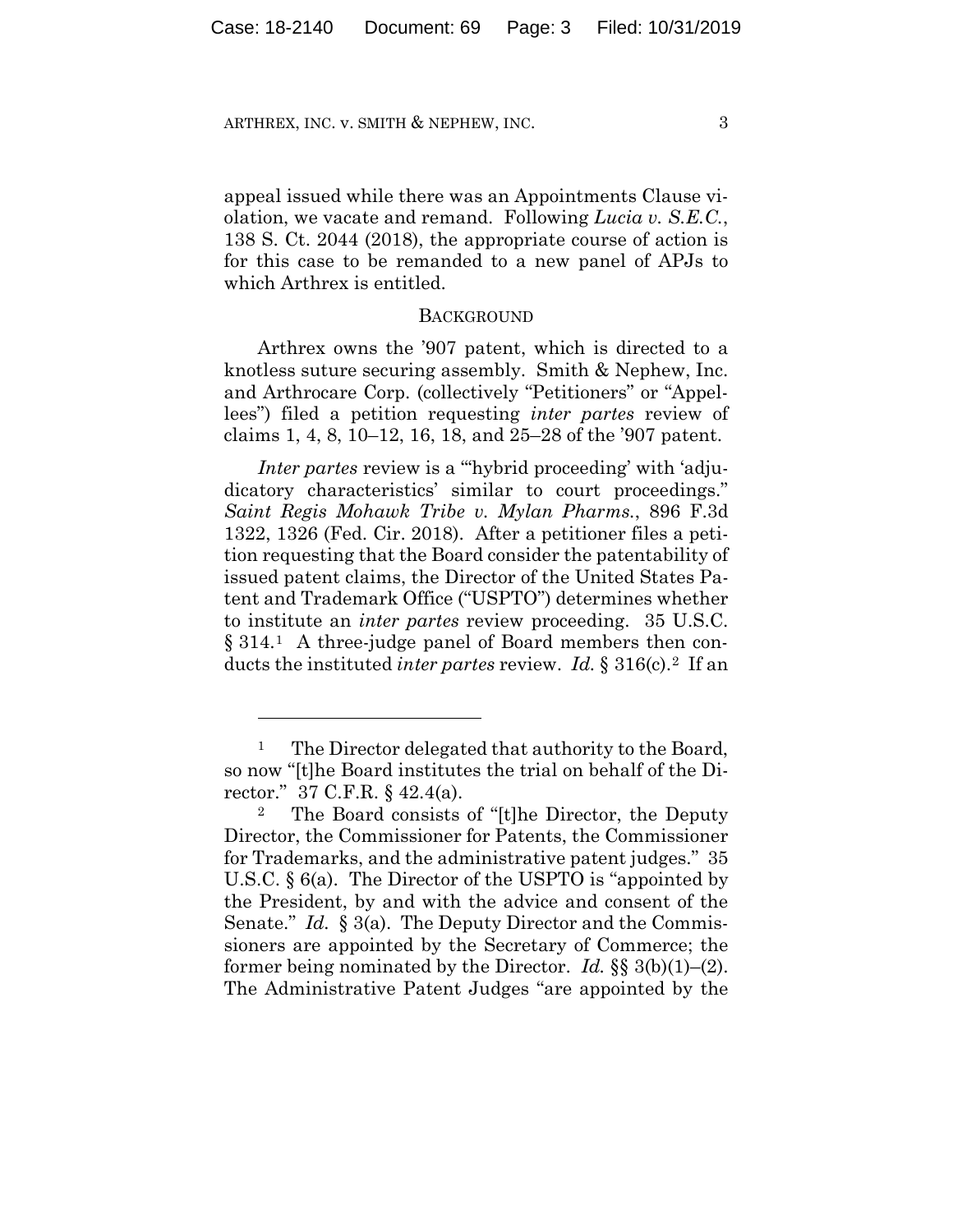appeal issued while there was an Appointments Clause violation, we vacate and remand. Following *Lucia v. S.E.C.*, 138 S. Ct. 2044 (2018), the appropriate course of action is for this case to be remanded to a new panel of APJs to which Arthrex is entitled.

#### **BACKGROUND**

Arthrex owns the '907 patent, which is directed to a knotless suture securing assembly. Smith & Nephew, Inc. and Arthrocare Corp. (collectively "Petitioners" or "Appellees") filed a petition requesting *inter partes* review of claims 1, 4, 8, 10–12, 16, 18, and 25–28 of the '907 patent.

*Inter partes review is a "hybrid proceeding' with 'adju*dicatory characteristics' similar to court proceedings." *Saint Regis Mohawk Tribe v. Mylan Pharms.*, 896 F.3d 1322, 1326 (Fed. Cir. 2018). After a petitioner files a petition requesting that the Board consider the patentability of issued patent claims, the Director of the United States Patent and Trademark Office ("USPTO") determines whether to institute an *inter partes* review proceeding. 35 U.S.C. § 314.1 A three-judge panel of Board members then conducts the instituted *inter partes* review. *Id.* § 316(c).2 If an

<u>.</u>

<sup>&</sup>lt;sup>1</sup> The Director delegated that authority to the Board, so now "[t]he Board institutes the trial on behalf of the Director." 37 C.F.R. § 42.4(a).

<sup>2</sup> The Board consists of "[t]he Director, the Deputy Director, the Commissioner for Patents, the Commissioner for Trademarks, and the administrative patent judges." 35 U.S.C. § 6(a). The Director of the USPTO is "appointed by the President, by and with the advice and consent of the Senate." *Id.* § 3(a). The Deputy Director and the Commissioners are appointed by the Secretary of Commerce; the former being nominated by the Director. *Id.* §§ 3(b)(1)–(2). The Administrative Patent Judges "are appointed by the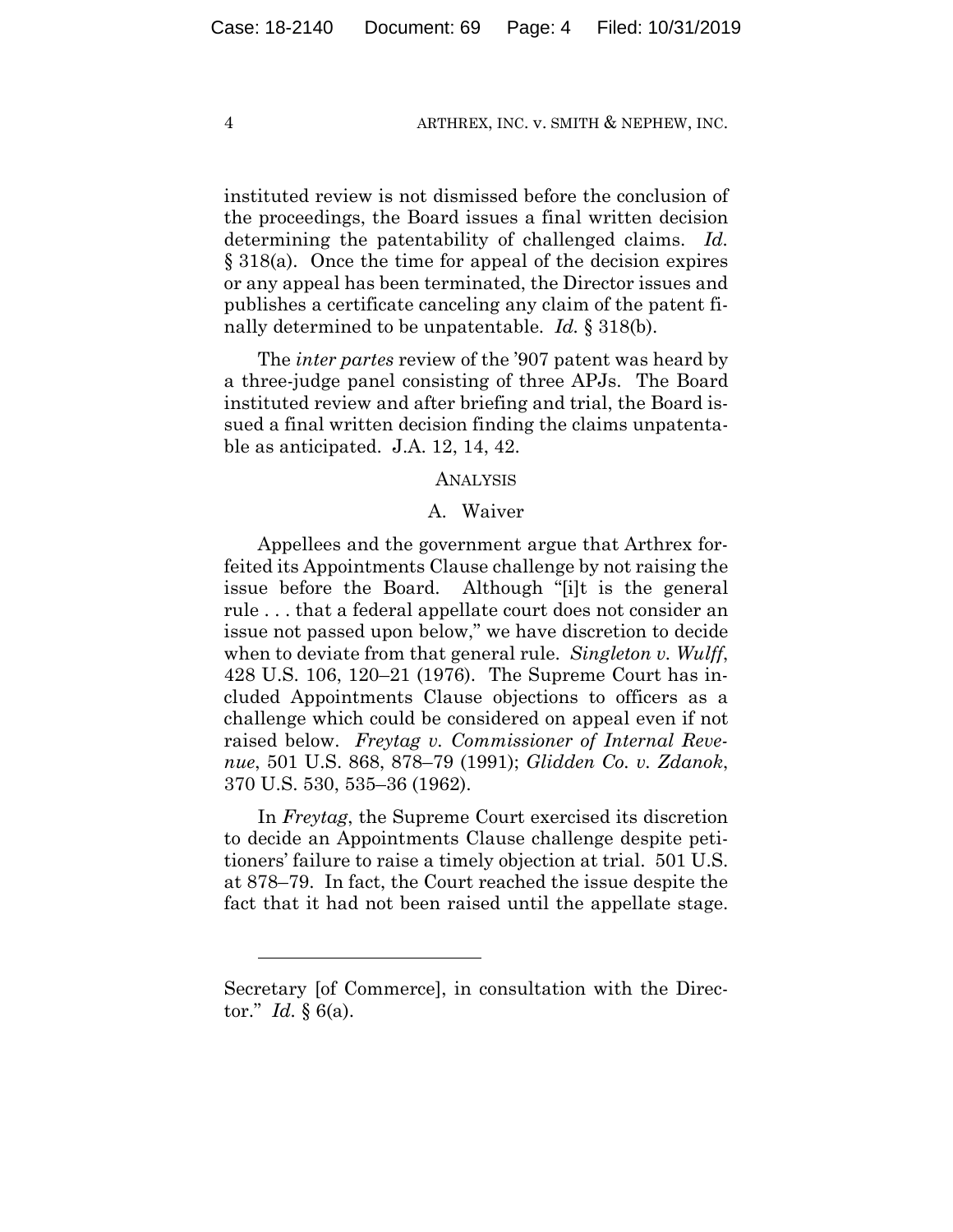instituted review is not dismissed before the conclusion of the proceedings, the Board issues a final written decision determining the patentability of challenged claims. *Id.* § 318(a). Once the time for appeal of the decision expires or any appeal has been terminated, the Director issues and publishes a certificate canceling any claim of the patent finally determined to be unpatentable. *Id.* § 318(b).

The *inter partes* review of the '907 patent was heard by a three-judge panel consisting of three APJs. The Board instituted review and after briefing and trial, the Board issued a final written decision finding the claims unpatentable as anticipated. J.A. 12, 14, 42.

#### ANALYSIS

#### A. Waiver

Appellees and the government argue that Arthrex forfeited its Appointments Clause challenge by not raising the issue before the Board. Although "[i]t is the general rule . . . that a federal appellate court does not consider an issue not passed upon below," we have discretion to decide when to deviate from that general rule. *Singleton v. Wulff*, 428 U.S. 106, 120–21 (1976). The Supreme Court has included Appointments Clause objections to officers as a challenge which could be considered on appeal even if not raised below. *Freytag v. Commissioner of Internal Revenue*, 501 U.S. 868, 878–79 (1991); *Glidden Co. v. Zdanok*, 370 U.S. 530, 535–36 (1962).

In *Freytag*, the Supreme Court exercised its discretion to decide an Appointments Clause challenge despite petitioners' failure to raise a timely objection at trial. 501 U.S. at 878–79. In fact, the Court reached the issue despite the fact that it had not been raised until the appellate stage.

1

Secretary [of Commerce], in consultation with the Director." *Id.* § 6(a).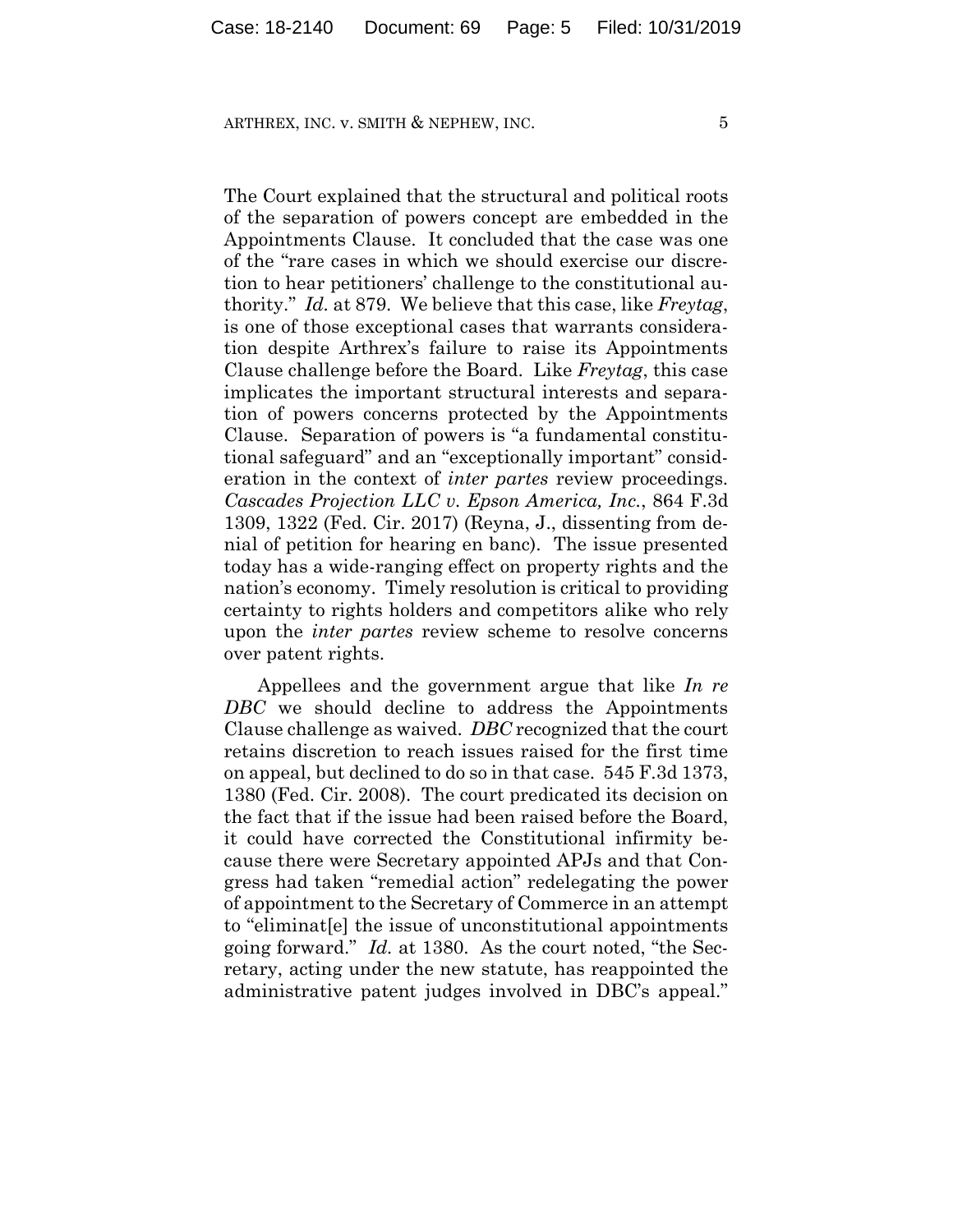The Court explained that the structural and political roots of the separation of powers concept are embedded in the Appointments Clause. It concluded that the case was one of the "rare cases in which we should exercise our discretion to hear petitioners' challenge to the constitutional authority." *Id.* at 879. We believe that this case, like *Freytag*, is one of those exceptional cases that warrants consideration despite Arthrex's failure to raise its Appointments Clause challenge before the Board. Like *Freytag*, this case implicates the important structural interests and separation of powers concerns protected by the Appointments Clause. Separation of powers is "a fundamental constitutional safeguard" and an "exceptionally important" consideration in the context of *inter partes* review proceedings. *Cascades Projection LLC v. Epson America, Inc.*, 864 F.3d 1309, 1322 (Fed. Cir. 2017) (Reyna, J., dissenting from denial of petition for hearing en banc). The issue presented today has a wide-ranging effect on property rights and the nation's economy. Timely resolution is critical to providing certainty to rights holders and competitors alike who rely upon the *inter partes* review scheme to resolve concerns over patent rights.

Appellees and the government argue that like *In re DBC* we should decline to address the Appointments Clause challenge as waived. *DBC* recognized that the court retains discretion to reach issues raised for the first time on appeal, but declined to do so in that case. 545 F.3d 1373, 1380 (Fed. Cir. 2008). The court predicated its decision on the fact that if the issue had been raised before the Board, it could have corrected the Constitutional infirmity because there were Secretary appointed APJs and that Congress had taken "remedial action" redelegating the power of appointment to the Secretary of Commerce in an attempt to "eliminat[e] the issue of unconstitutional appointments going forward." *Id.* at 1380. As the court noted, "the Secretary, acting under the new statute, has reappointed the administrative patent judges involved in DBC's appeal."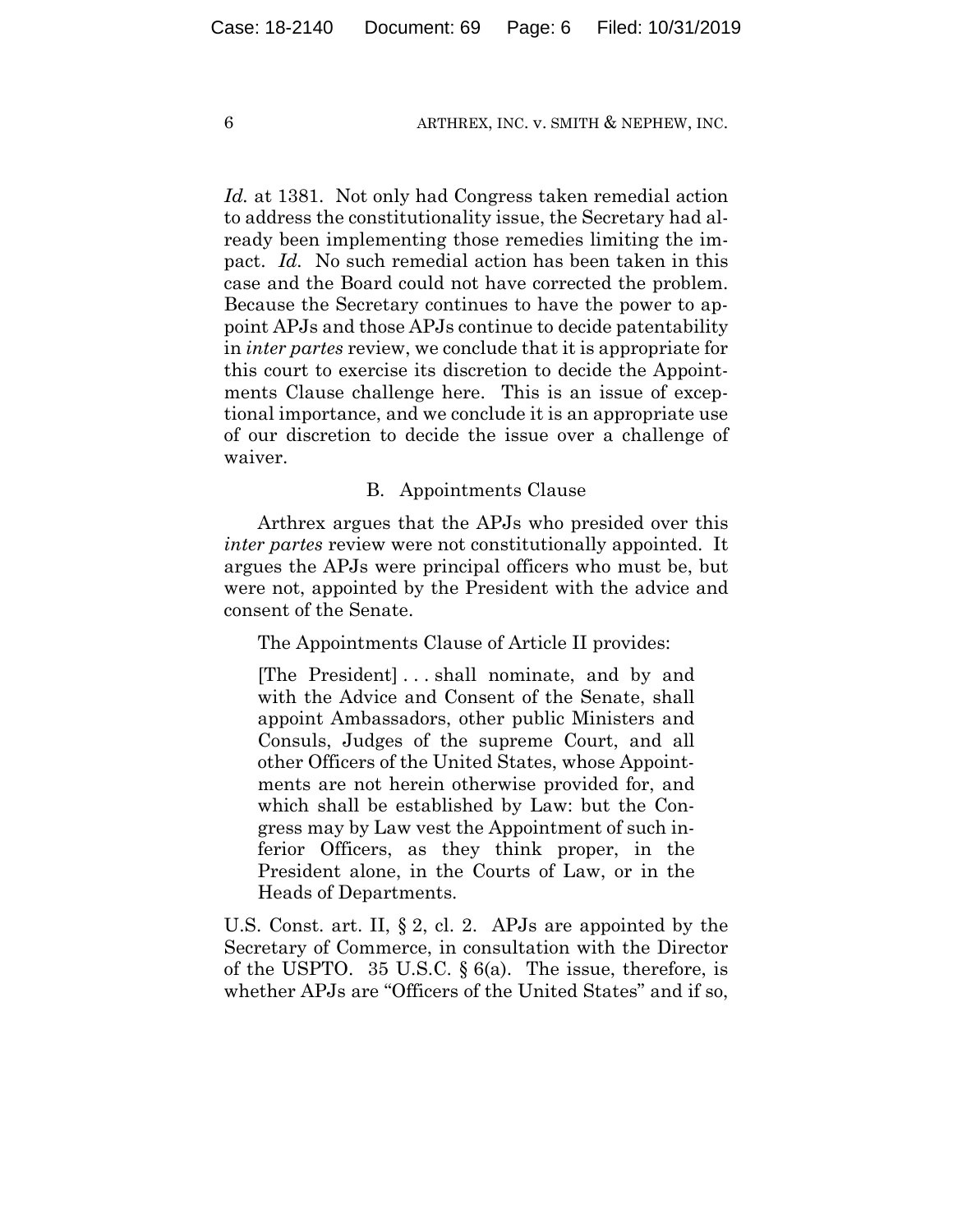*Id.* at 1381. Not only had Congress taken remedial action to address the constitutionality issue, the Secretary had already been implementing those remedies limiting the impact. *Id.* No such remedial action has been taken in this case and the Board could not have corrected the problem. Because the Secretary continues to have the power to appoint APJs and those APJs continue to decide patentability in *inter partes* review, we conclude that it is appropriate for this court to exercise its discretion to decide the Appointments Clause challenge here. This is an issue of exceptional importance, and we conclude it is an appropriate use of our discretion to decide the issue over a challenge of waiver.

#### B. Appointments Clause

Arthrex argues that the APJs who presided over this *inter partes* review were not constitutionally appointed. It argues the APJs were principal officers who must be, but were not, appointed by the President with the advice and consent of the Senate.

The Appointments Clause of Article II provides:

[The President] . . . shall nominate, and by and with the Advice and Consent of the Senate, shall appoint Ambassadors, other public Ministers and Consuls, Judges of the supreme Court, and all other Officers of the United States, whose Appointments are not herein otherwise provided for, and which shall be established by Law: but the Congress may by Law vest the Appointment of such inferior Officers, as they think proper, in the President alone, in the Courts of Law, or in the Heads of Departments.

U.S. Const. art. II, § 2, cl. 2. APJs are appointed by the Secretary of Commerce, in consultation with the Director of the USPTO. 35 U.S.C.  $\S 6(a)$ . The issue, therefore, is whether APJs are "Officers of the United States" and if so,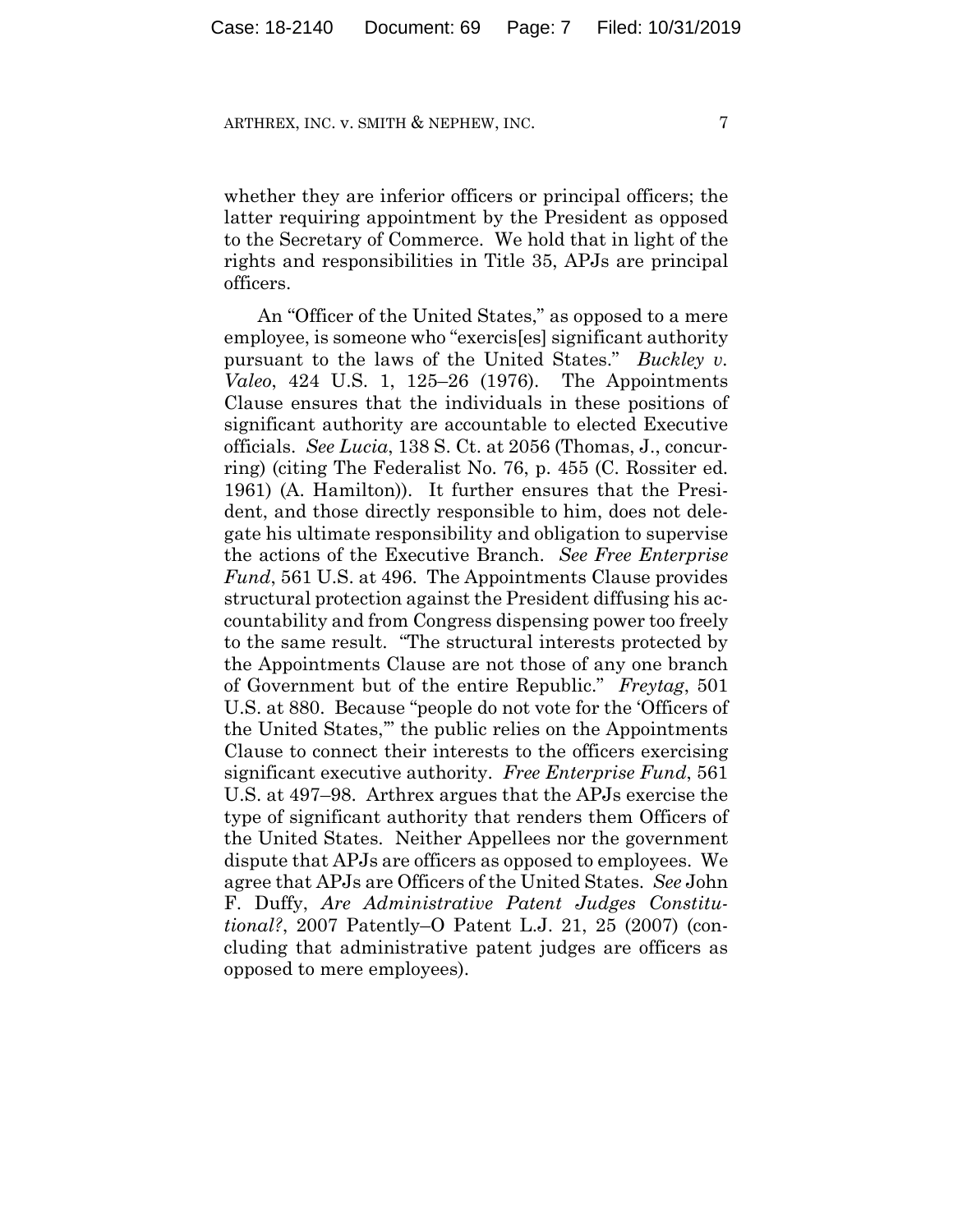whether they are inferior officers or principal officers; the latter requiring appointment by the President as opposed to the Secretary of Commerce. We hold that in light of the rights and responsibilities in Title 35, APJs are principal officers.

An "Officer of the United States," as opposed to a mere employee, is someone who "exercis[es] significant authority pursuant to the laws of the United States." *Buckley v. Valeo*, 424 U.S. 1, 125–26 (1976). The Appointments Clause ensures that the individuals in these positions of significant authority are accountable to elected Executive officials. *See Lucia*, 138 S. Ct. at 2056 (Thomas, J., concurring) (citing The Federalist No. 76, p. 455 (C. Rossiter ed. 1961) (A. Hamilton)). It further ensures that the President, and those directly responsible to him, does not delegate his ultimate responsibility and obligation to supervise the actions of the Executive Branch. *See Free Enterprise Fund*, 561 U.S. at 496. The Appointments Clause provides structural protection against the President diffusing his accountability and from Congress dispensing power too freely to the same result. "The structural interests protected by the Appointments Clause are not those of any one branch of Government but of the entire Republic." *Freytag*, 501 U.S. at 880. Because "people do not vote for the 'Officers of the United States,'" the public relies on the Appointments Clause to connect their interests to the officers exercising significant executive authority. *Free Enterprise Fund*, 561 U.S. at 497–98. Arthrex argues that the APJs exercise the type of significant authority that renders them Officers of the United States. Neither Appellees nor the government dispute that APJs are officers as opposed to employees. We agree that APJs are Officers of the United States. *See* John F. Duffy, *Are Administrative Patent Judges Constitutional?*, 2007 Patently–O Patent L.J. 21, 25 (2007) (concluding that administrative patent judges are officers as opposed to mere employees).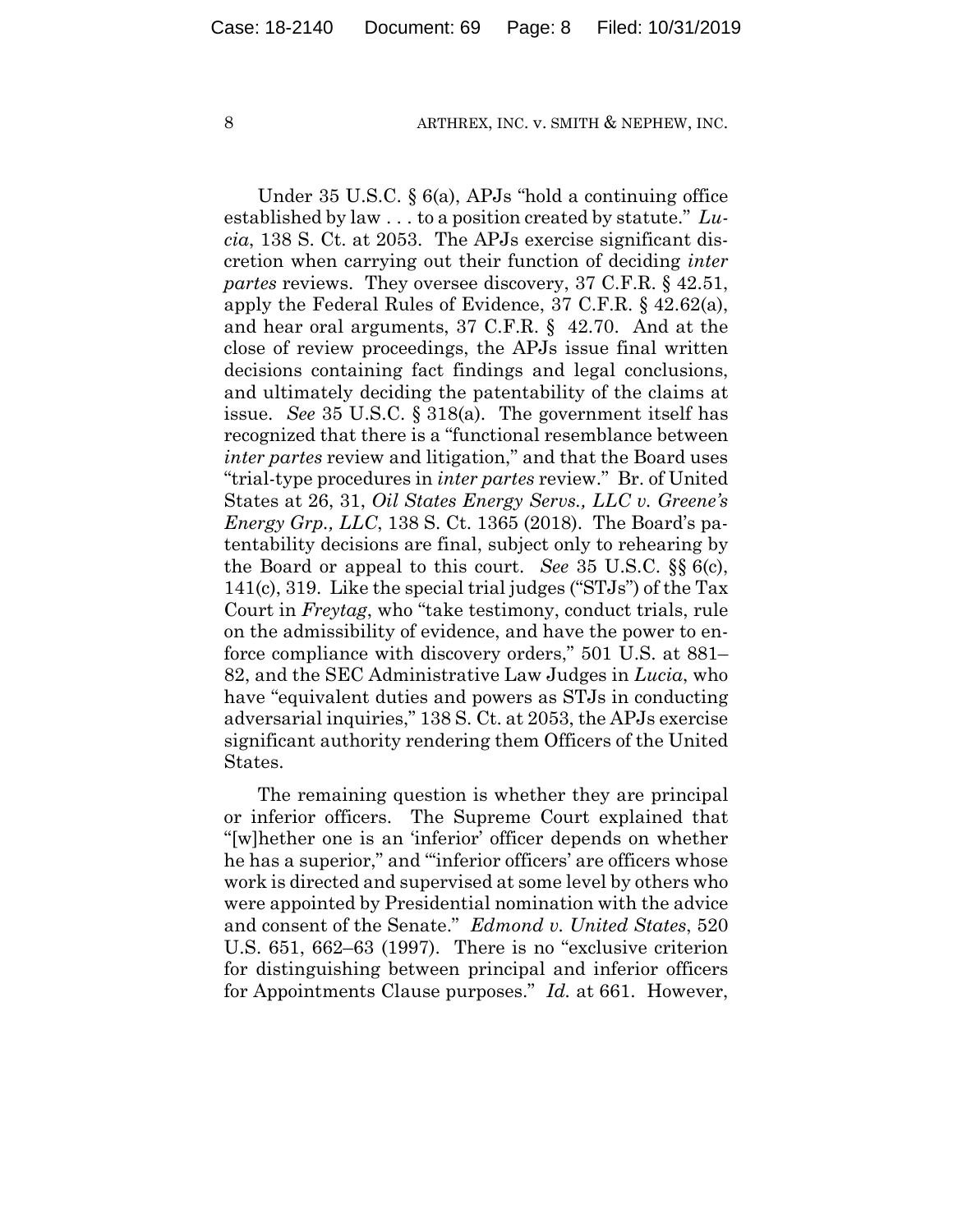Under 35 U.S.C. § 6(a), APJs "hold a continuing office established by law . . . to a position created by statute." *Lucia*, 138 S. Ct. at 2053. The APJs exercise significant discretion when carrying out their function of deciding *inter partes* reviews. They oversee discovery, 37 C.F.R. § 42.51, apply the Federal Rules of Evidence, 37 C.F.R. § 42.62(a), and hear oral arguments, 37 C.F.R. § 42.70. And at the close of review proceedings, the APJs issue final written decisions containing fact findings and legal conclusions, and ultimately deciding the patentability of the claims at issue. *See* 35 U.S.C. § 318(a). The government itself has recognized that there is a "functional resemblance between *inter partes* review and litigation," and that the Board uses "trial-type procedures in *inter partes* review." Br. of United States at 26, 31, *Oil States Energy Servs., LLC v. Greene's Energy Grp., LLC*, 138 S. Ct. 1365 (2018). The Board's patentability decisions are final, subject only to rehearing by the Board or appeal to this court. *See* 35 U.S.C. §§ 6(c), 141(c), 319. Like the special trial judges ("STJs") of the Tax Court in *Freytag*, who "take testimony, conduct trials, rule on the admissibility of evidence, and have the power to enforce compliance with discovery orders," 501 U.S. at 881– 82, and the SEC Administrative Law Judges in *Lucia*, who have "equivalent duties and powers as STJs in conducting adversarial inquiries," 138 S. Ct. at 2053, the APJs exercise significant authority rendering them Officers of the United States.

The remaining question is whether they are principal or inferior officers. The Supreme Court explained that "[w]hether one is an 'inferior' officer depends on whether he has a superior," and "inferior officers' are officers whose work is directed and supervised at some level by others who were appointed by Presidential nomination with the advice and consent of the Senate." *Edmond v. United States*, 520 U.S. 651, 662–63 (1997). There is no "exclusive criterion for distinguishing between principal and inferior officers for Appointments Clause purposes." *Id.* at 661. However,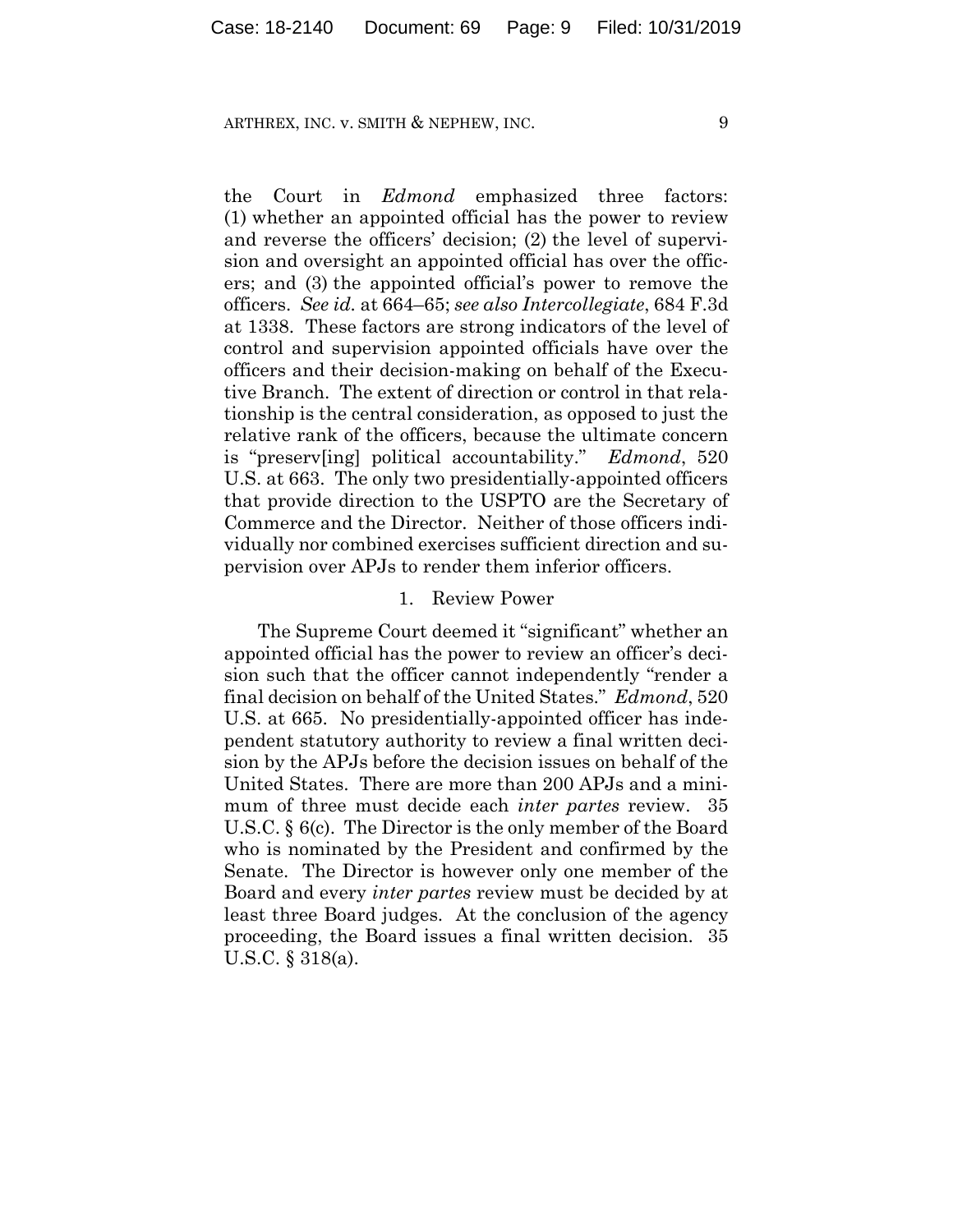the Court in *Edmond* emphasized three factors: (1) whether an appointed official has the power to review and reverse the officers' decision; (2) the level of supervision and oversight an appointed official has over the officers; and (3) the appointed official's power to remove the officers. *See id.* at 664–65; *see also Intercollegiate*, 684 F.3d at 1338. These factors are strong indicators of the level of control and supervision appointed officials have over the officers and their decision-making on behalf of the Executive Branch. The extent of direction or control in that relationship is the central consideration, as opposed to just the relative rank of the officers, because the ultimate concern is "preserv[ing] political accountability." *Edmond*, 520 U.S. at 663. The only two presidentially-appointed officers that provide direction to the USPTO are the Secretary of Commerce and the Director. Neither of those officers individually nor combined exercises sufficient direction and supervision over APJs to render them inferior officers.

### 1. Review Power

The Supreme Court deemed it "significant" whether an appointed official has the power to review an officer's decision such that the officer cannot independently "render a final decision on behalf of the United States." *Edmond*, 520 U.S. at 665. No presidentially-appointed officer has independent statutory authority to review a final written decision by the APJs before the decision issues on behalf of the United States. There are more than 200 APJs and a minimum of three must decide each *inter partes* review. 35 U.S.C. § 6(c). The Director is the only member of the Board who is nominated by the President and confirmed by the Senate. The Director is however only one member of the Board and every *inter partes* review must be decided by at least three Board judges. At the conclusion of the agency proceeding, the Board issues a final written decision. 35 U.S.C. § 318(a).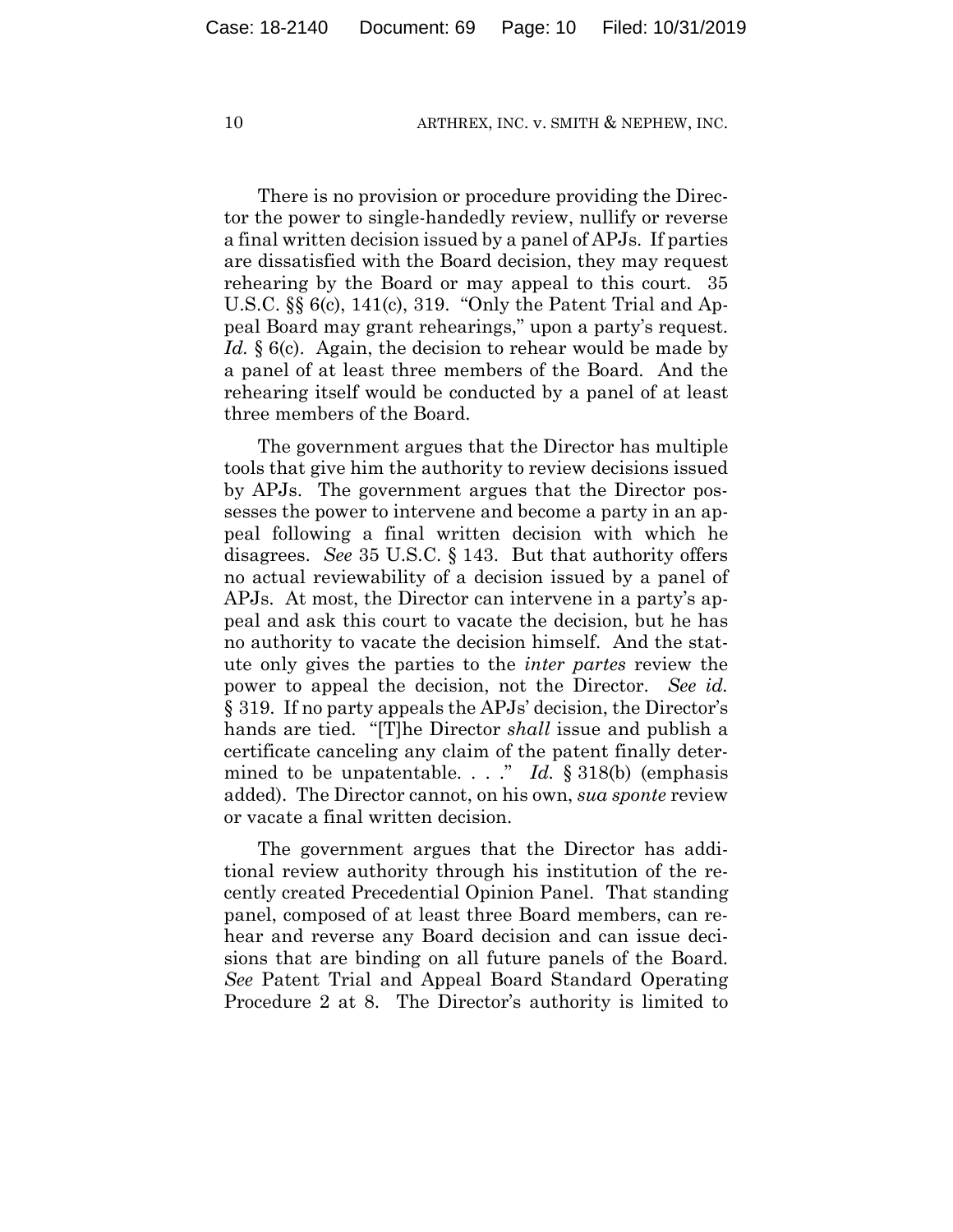There is no provision or procedure providing the Director the power to single-handedly review, nullify or reverse a final written decision issued by a panel of APJs. If parties are dissatisfied with the Board decision, they may request rehearing by the Board or may appeal to this court. 35 U.S.C. §§ 6(c), 141(c), 319. "Only the Patent Trial and Appeal Board may grant rehearings," upon a party's request. Id. § 6(c). Again, the decision to rehear would be made by a panel of at least three members of the Board. And the rehearing itself would be conducted by a panel of at least three members of the Board.

The government argues that the Director has multiple tools that give him the authority to review decisions issued by APJs. The government argues that the Director possesses the power to intervene and become a party in an appeal following a final written decision with which he disagrees. *See* 35 U.S.C. § 143. But that authority offers no actual reviewability of a decision issued by a panel of APJs. At most, the Director can intervene in a party's appeal and ask this court to vacate the decision, but he has no authority to vacate the decision himself. And the statute only gives the parties to the *inter partes* review the power to appeal the decision, not the Director. *See id.* § 319. If no party appeals the APJs' decision, the Director's hands are tied. "[T]he Director *shall* issue and publish a certificate canceling any claim of the patent finally determined to be unpatentable. . . ." *Id.* § 318(b) (emphasis added). The Director cannot, on his own, *sua sponte* review or vacate a final written decision.

The government argues that the Director has additional review authority through his institution of the recently created Precedential Opinion Panel.That standing panel, composed of at least three Board members, can rehear and reverse any Board decision and can issue decisions that are binding on all future panels of the Board. *See* Patent Trial and Appeal Board Standard Operating Procedure 2 at 8. The Director's authority is limited to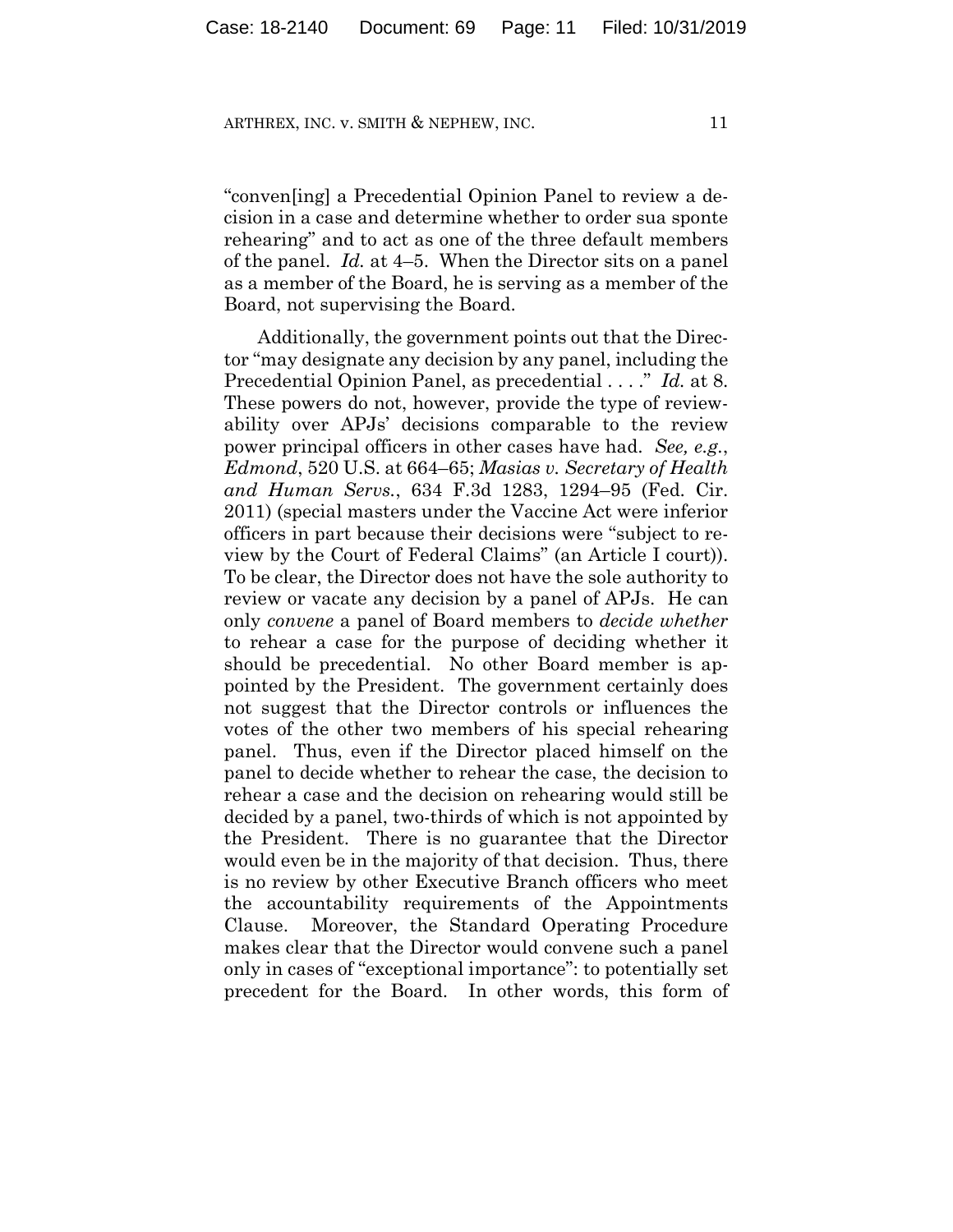"conven[ing] a Precedential Opinion Panel to review a decision in a case and determine whether to order sua sponte rehearing" and to act as one of the three default members of the panel. *Id.* at 4–5. When the Director sits on a panel as a member of the Board, he is serving as a member of the Board, not supervising the Board.

Additionally, the government points out that the Director "may designate any decision by any panel, including the Precedential Opinion Panel, as precedential . . . ." *Id.* at 8. These powers do not, however, provide the type of reviewability over APJs' decisions comparable to the review power principal officers in other cases have had. *See, e.g.*, *Edmond*, 520 U.S. at 664–65; *Masias v. Secretary of Health and Human Servs.*, 634 F.3d 1283, 1294–95 (Fed. Cir. 2011) (special masters under the Vaccine Act were inferior officers in part because their decisions were "subject to review by the Court of Federal Claims" (an Article I court)). To be clear, the Director does not have the sole authority to review or vacate any decision by a panel of APJs. He can only *convene* a panel of Board members to *decide whether* to rehear a case for the purpose of deciding whether it should be precedential. No other Board member is appointed by the President. The government certainly does not suggest that the Director controls or influences the votes of the other two members of his special rehearing panel. Thus, even if the Director placed himself on the panel to decide whether to rehear the case, the decision to rehear a case and the decision on rehearing would still be decided by a panel, two-thirds of which is not appointed by the President. There is no guarantee that the Director would even be in the majority of that decision. Thus, there is no review by other Executive Branch officers who meet the accountability requirements of the Appointments Clause. Moreover, the Standard Operating Procedure makes clear that the Director would convene such a panel only in cases of "exceptional importance": to potentially set precedent for the Board. In other words, this form of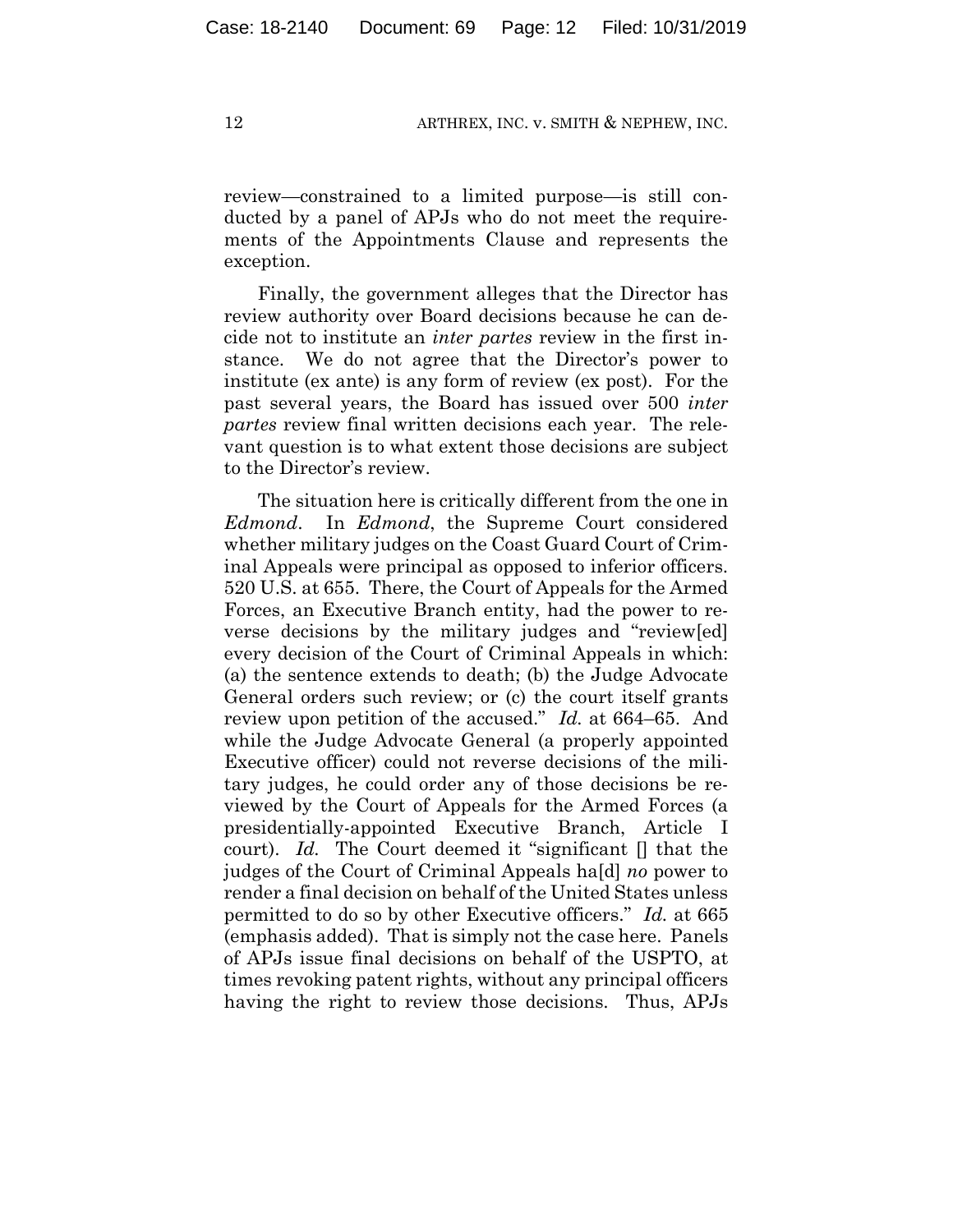review—constrained to a limited purpose—is still conducted by a panel of APJs who do not meet the requirements of the Appointments Clause and represents the exception.

Finally, the government alleges that the Director has review authority over Board decisions because he can decide not to institute an *inter partes* review in the first instance. We do not agree that the Director's power to institute (ex ante) is any form of review (ex post). For the past several years, the Board has issued over 500 *inter partes* review final written decisions each year. The relevant question is to what extent those decisions are subject to the Director's review.

The situation here is critically different from the one in *Edmond*. In *Edmond*, the Supreme Court considered whether military judges on the Coast Guard Court of Criminal Appeals were principal as opposed to inferior officers. 520 U.S. at 655. There, the Court of Appeals for the Armed Forces, an Executive Branch entity, had the power to reverse decisions by the military judges and "review[ed] every decision of the Court of Criminal Appeals in which: (a) the sentence extends to death; (b) the Judge Advocate General orders such review; or (c) the court itself grants review upon petition of the accused." *Id.* at 664–65. And while the Judge Advocate General (a properly appointed Executive officer) could not reverse decisions of the military judges, he could order any of those decisions be reviewed by the Court of Appeals for the Armed Forces (a presidentially-appointed Executive Branch, Article I court). *Id.* The Court deemed it "significant [] that the judges of the Court of Criminal Appeals ha[d] *no* power to render a final decision on behalf of the United States unless permitted to do so by other Executive officers." *Id.* at 665 (emphasis added). That is simply not the case here. Panels of APJs issue final decisions on behalf of the USPTO, at times revoking patent rights, without any principal officers having the right to review those decisions. Thus, APJs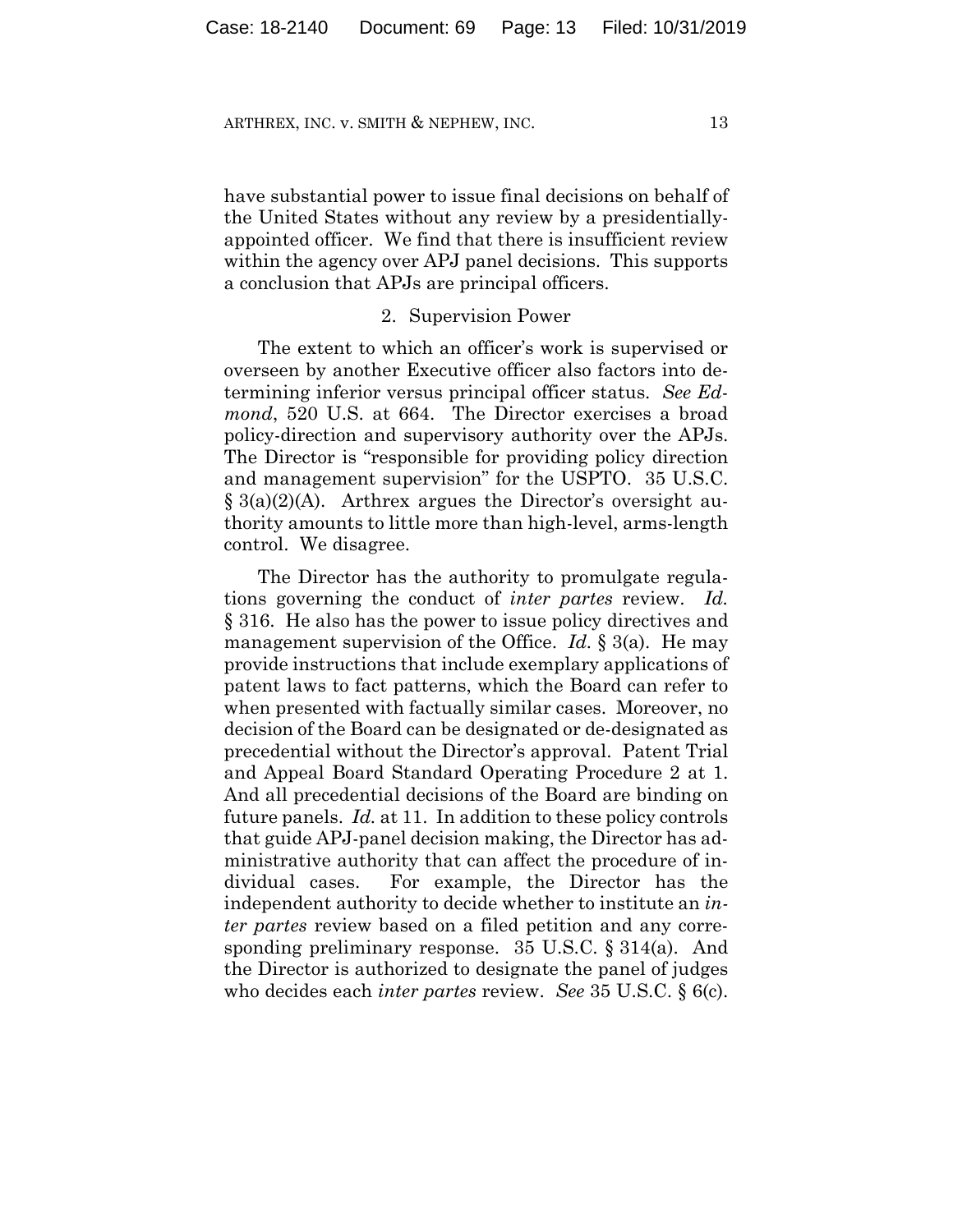have substantial power to issue final decisions on behalf of the United States without any review by a presidentiallyappointed officer. We find that there is insufficient review within the agency over APJ panel decisions. This supports a conclusion that APJs are principal officers.

#### 2. Supervision Power

The extent to which an officer's work is supervised or overseen by another Executive officer also factors into determining inferior versus principal officer status. *See Edmond*, 520 U.S. at 664. The Director exercises a broad policy-direction and supervisory authority over the APJs. The Director is "responsible for providing policy direction and management supervision" for the USPTO. 35 U.S.C.  $\S$  3(a)(2)(A). Arthrex argues the Director's oversight authority amounts to little more than high-level, arms-length control. We disagree.

The Director has the authority to promulgate regulations governing the conduct of *inter partes* review. *Id.* § 316. He also has the power to issue policy directives and management supervision of the Office. *Id.* § 3(a). He may provide instructions that include exemplary applications of patent laws to fact patterns, which the Board can refer to when presented with factually similar cases. Moreover, no decision of the Board can be designated or de-designated as precedential without the Director's approval. Patent Trial and Appeal Board Standard Operating Procedure 2 at 1. And all precedential decisions of the Board are binding on future panels. *Id.* at 11. In addition to these policy controls that guide APJ-panel decision making, the Director has administrative authority that can affect the procedure of individual cases. For example, the Director has the independent authority to decide whether to institute an *inter partes* review based on a filed petition and any corresponding preliminary response. 35 U.S.C. § 314(a). And the Director is authorized to designate the panel of judges who decides each *inter partes* review. *See* 35 U.S.C. § 6(c).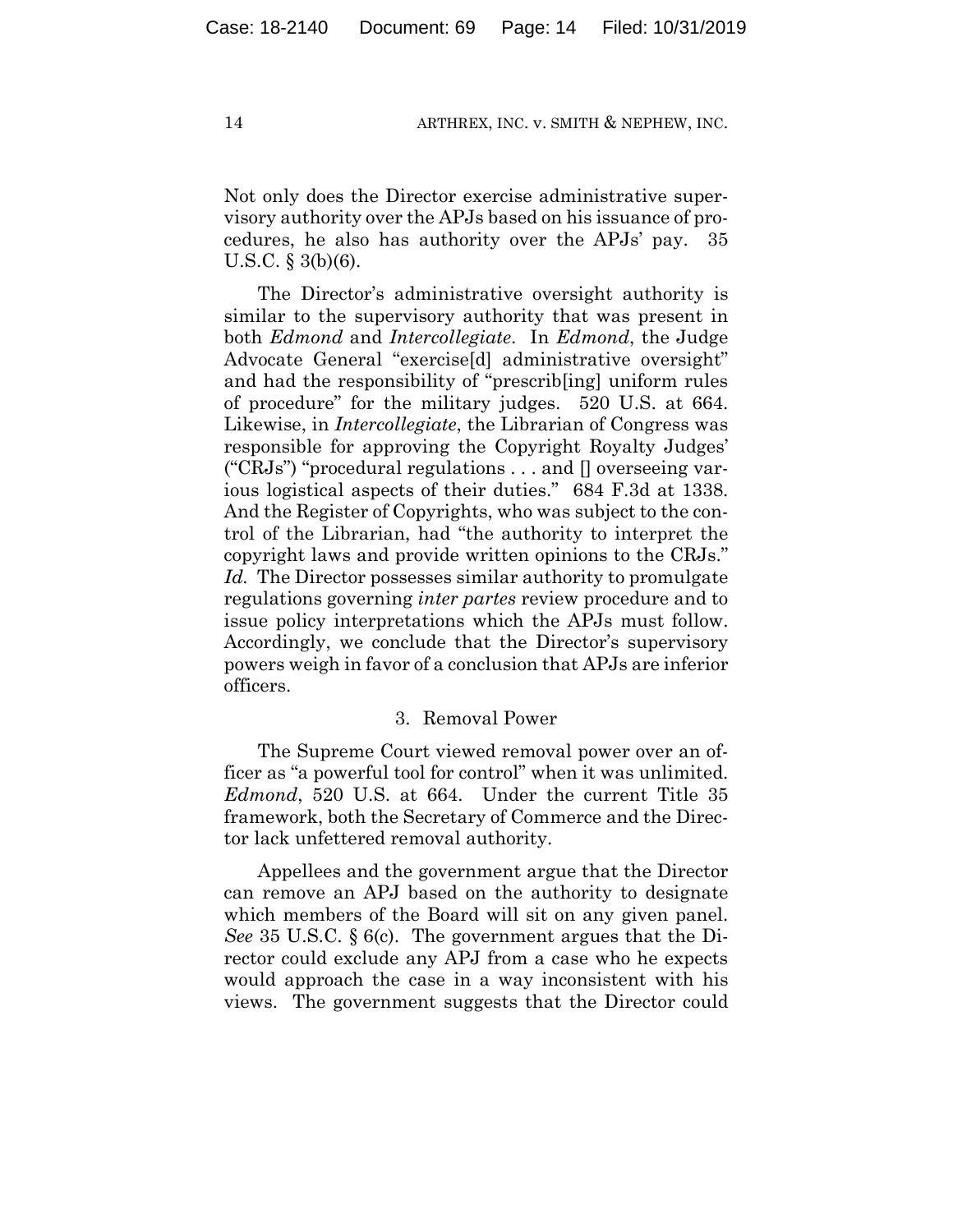Not only does the Director exercise administrative supervisory authority over the APJs based on his issuance of procedures, he also has authority over the APJs' pay. 35 U.S.C. § 3(b)(6).

The Director's administrative oversight authority is similar to the supervisory authority that was present in both *Edmond* and *Intercollegiate*. In *Edmond*, the Judge Advocate General "exercise[d] administrative oversight" and had the responsibility of "prescrib[ing] uniform rules of procedure" for the military judges. 520 U.S. at 664. Likewise, in *Intercollegiate*, the Librarian of Congress was responsible for approving the Copyright Royalty Judges' ("CRJs") "procedural regulations . . . and [] overseeing various logistical aspects of their duties." 684 F.3d at 1338. And the Register of Copyrights, who was subject to the control of the Librarian, had "the authority to interpret the copyright laws and provide written opinions to the CRJs." *Id.* The Director possesses similar authority to promulgate regulations governing *inter partes* review procedure and to issue policy interpretations which the APJs must follow. Accordingly, we conclude that the Director's supervisory powers weigh in favor of a conclusion that APJs are inferior officers.

#### 3. Removal Power

The Supreme Court viewed removal power over an officer as "a powerful tool for control" when it was unlimited. *Edmond*, 520 U.S. at 664. Under the current Title 35 framework, both the Secretary of Commerce and the Director lack unfettered removal authority.

Appellees and the government argue that the Director can remove an APJ based on the authority to designate which members of the Board will sit on any given panel. *See* 35 U.S.C. § 6(c). The government argues that the Director could exclude any APJ from a case who he expects would approach the case in a way inconsistent with his views. The government suggests that the Director could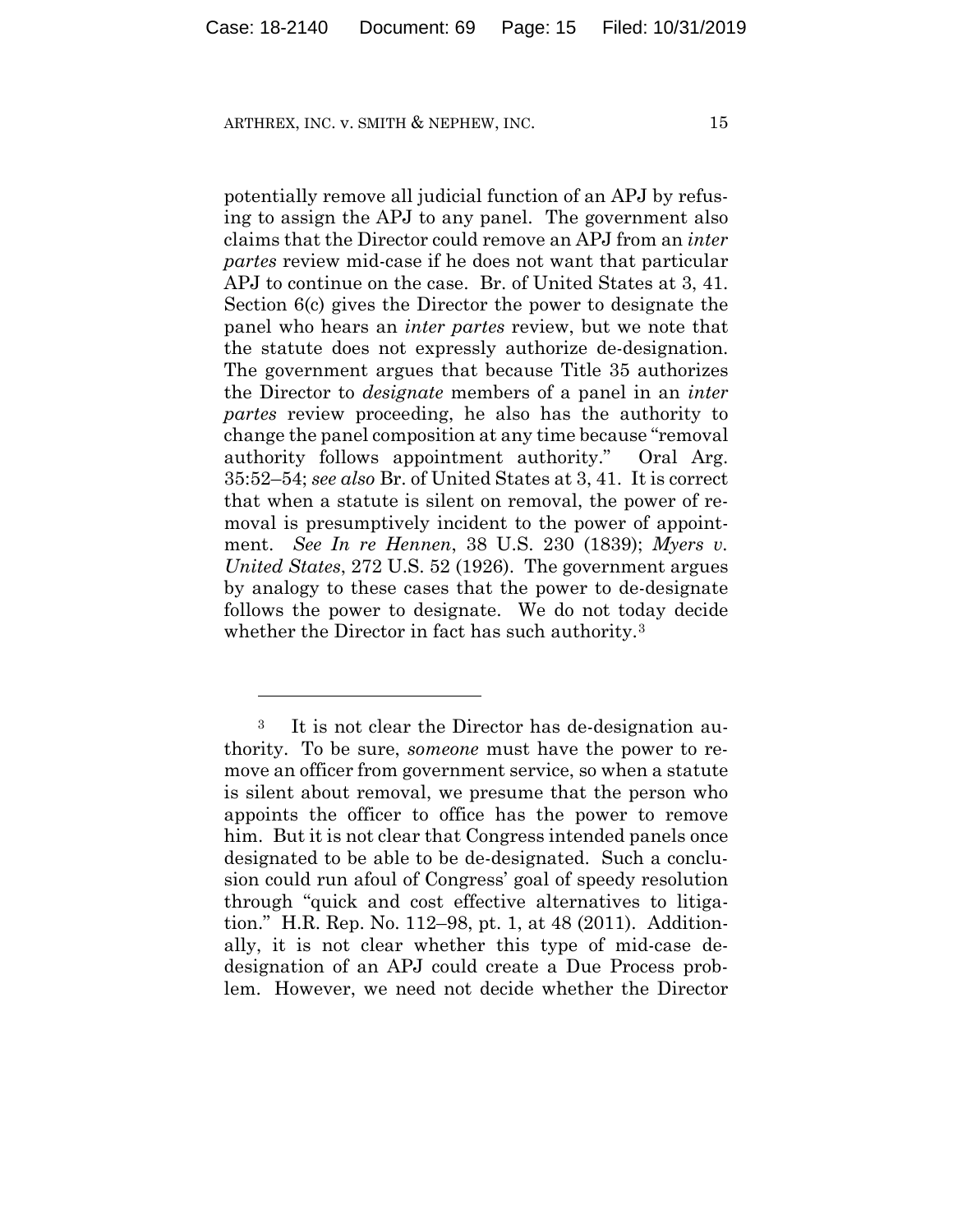1

potentially remove all judicial function of an APJ by refusing to assign the APJ to any panel. The government also claims that the Director could remove an APJ from an *inter partes* review mid-case if he does not want that particular APJ to continue on the case. Br. of United States at 3, 41. Section 6(c) gives the Director the power to designate the panel who hears an *inter partes* review, but we note that the statute does not expressly authorize de-designation. The government argues that because Title 35 authorizes the Director to *designate* members of a panel in an *inter partes* review proceeding, he also has the authority to change the panel composition at any time because "removal authority follows appointment authority." Oral Arg. 35:52–54; *see also* Br. of United States at 3, 41.It is correct that when a statute is silent on removal, the power of removal is presumptively incident to the power of appointment. *See In re Hennen*, 38 U.S. 230 (1839); *Myers v. United States*, 272 U.S. 52 (1926). The government argues by analogy to these cases that the power to de-designate follows the power to designate. We do not today decide whether the Director in fact has such authority.<sup>3</sup>

<sup>3</sup> It is not clear the Director has de-designation authority. To be sure, *someone* must have the power to remove an officer from government service, so when a statute is silent about removal, we presume that the person who appoints the officer to office has the power to remove him. But it is not clear that Congress intended panels once designated to be able to be de-designated. Such a conclusion could run afoul of Congress' goal of speedy resolution through "quick and cost effective alternatives to litigation." H.R. Rep. No. 112–98, pt. 1, at 48 (2011). Additionally, it is not clear whether this type of mid-case dedesignation of an APJ could create a Due Process problem. However, we need not decide whether the Director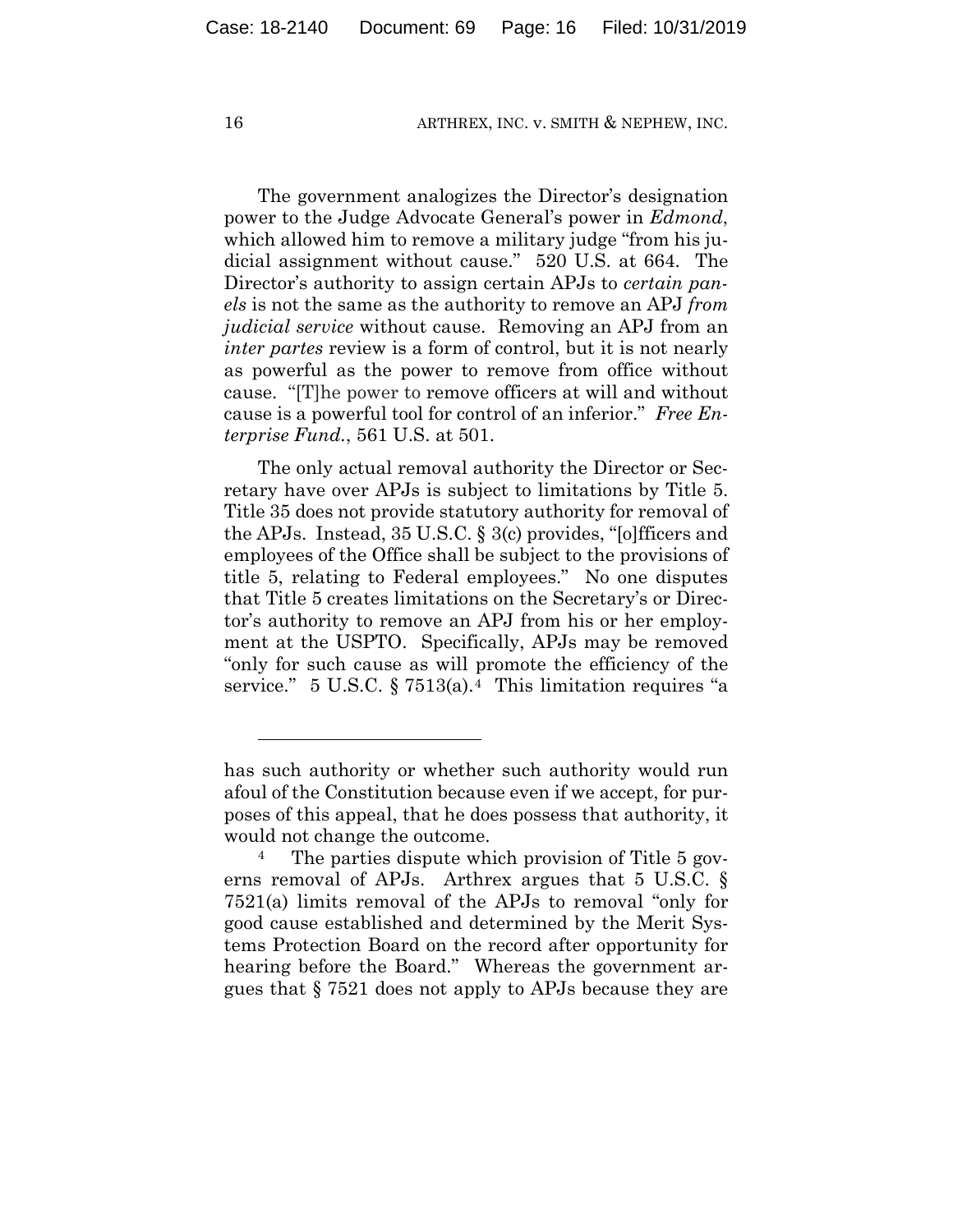The government analogizes the Director's designation power to the Judge Advocate General's power in *Edmond*, which allowed him to remove a military judge "from his judicial assignment without cause." 520 U.S. at 664. The Director's authority to assign certain APJs to *certain panels* is not the same as the authority to remove an APJ *from judicial service* without cause. Removing an APJ from an *inter partes* review is a form of control, but it is not nearly as powerful as the power to remove from office without cause. "[T]he power to remove officers at will and without cause is a powerful tool for control of an inferior." *Free Enterprise Fund.*, 561 U.S. at 501.

The only actual removal authority the Director or Secretary have over APJs is subject to limitations by Title 5. Title 35 does not provide statutory authority for removal of the APJs. Instead, 35 U.S.C. § 3(c) provides, "[o]fficers and employees of the Office shall be subject to the provisions of title 5, relating to Federal employees." No one disputes that Title 5 creates limitations on the Secretary's or Director's authority to remove an APJ from his or her employment at the USPTO. Specifically, APJs may be removed "only for such cause as will promote the efficiency of the service." 5 U.S.C.  $\S 7513(a).4$  This limitation requires "a

<u>.</u>

has such authority or whether such authority would run afoul of the Constitution because even if we accept, for purposes of this appeal, that he does possess that authority, it would not change the outcome.

<sup>&</sup>lt;sup>4</sup> The parties dispute which provision of Title 5 governs removal of APJs. Arthrex argues that 5 U.S.C. § 7521(a) limits removal of the APJs to removal "only for good cause established and determined by the Merit Systems Protection Board on the record after opportunity for hearing before the Board." Whereas the government argues that § 7521 does not apply to APJs because they are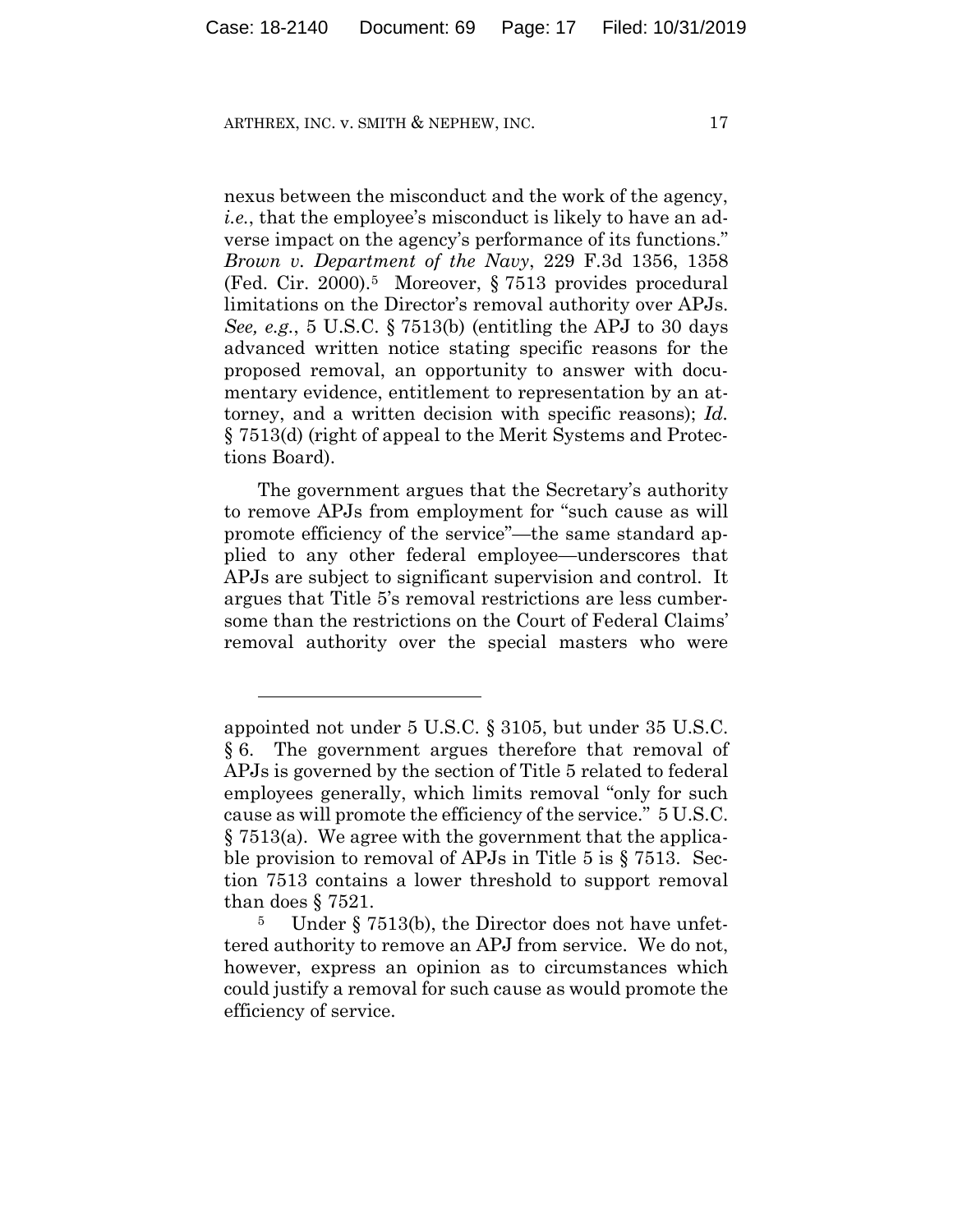1

nexus between the misconduct and the work of the agency, *i.e.*, that the employee's misconduct is likely to have an adverse impact on the agency's performance of its functions." *Brown v. Department of the Navy*, 229 F.3d 1356, 1358 (Fed. Cir. 2000).5 Moreover, § 7513 provides procedural limitations on the Director's removal authority over APJs. *See, e.g.*, 5 U.S.C. § 7513(b) (entitling the APJ to 30 days advanced written notice stating specific reasons for the proposed removal, an opportunity to answer with documentary evidence, entitlement to representation by an attorney, and a written decision with specific reasons); *Id.* § 7513(d) (right of appeal to the Merit Systems and Protections Board).

The government argues that the Secretary's authority to remove APJs from employment for "such cause as will promote efficiency of the service"—the same standard applied to any other federal employee—underscores that APJs are subject to significant supervision and control. It argues that Title 5's removal restrictions are less cumbersome than the restrictions on the Court of Federal Claims' removal authority over the special masters who were

appointed not under 5 U.S.C. § 3105, but under 35 U.S.C. § 6. The government argues therefore that removal of APJs is governed by the section of Title 5 related to federal employees generally, which limits removal "only for such cause as will promote the efficiency of the service." 5 U.S.C.  $\S 7513(a)$ . We agree with the government that the applicable provision to removal of APJs in Title 5 is § 7513. Section 7513 contains a lower threshold to support removal than does § 7521.

<sup>5</sup> Under § 7513(b), the Director does not have unfettered authority to remove an APJ from service. We do not, however, express an opinion as to circumstances which could justify a removal for such cause as would promote the efficiency of service.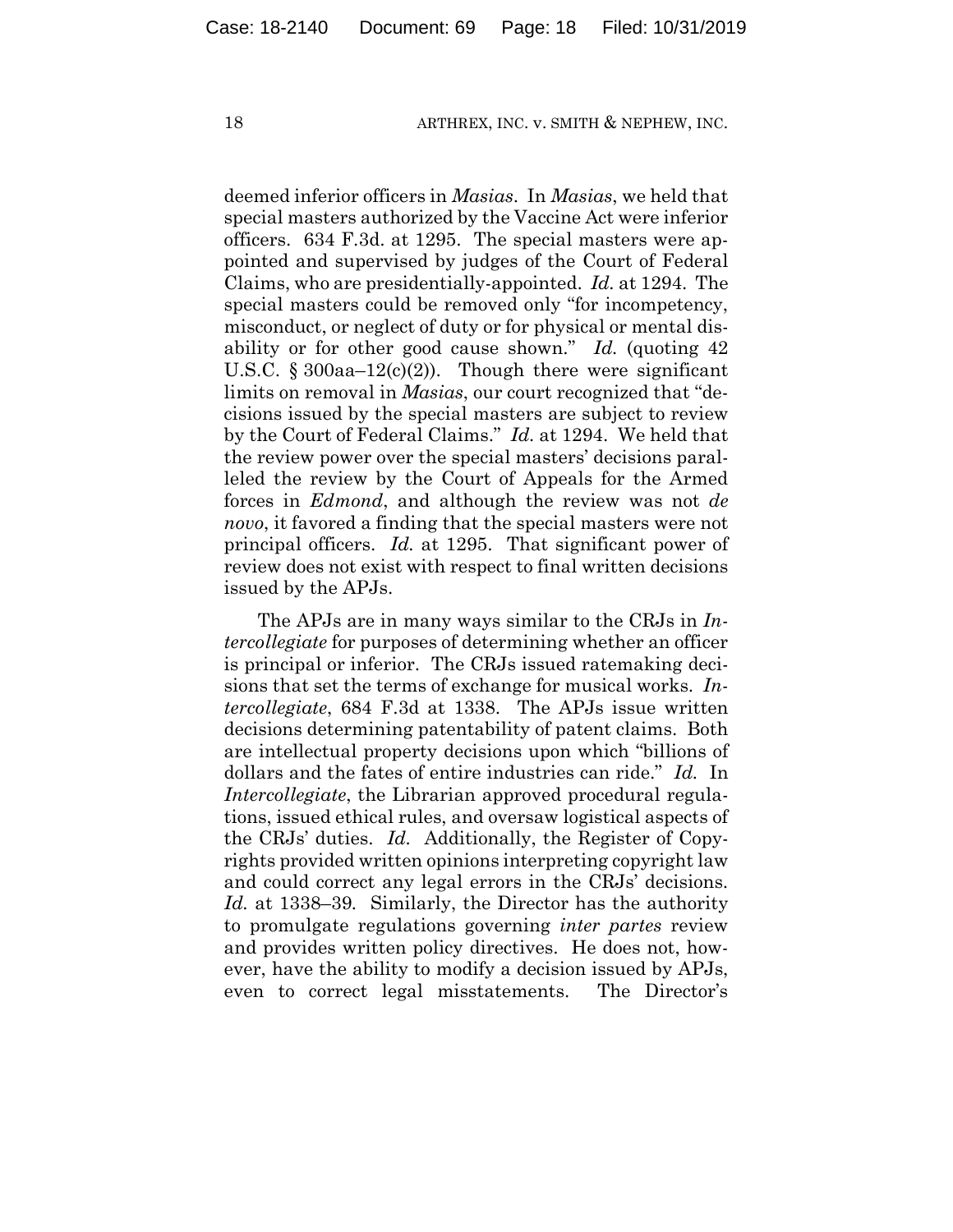deemed inferior officers in *Masias*. In *Masias*, we held that special masters authorized by the Vaccine Act were inferior officers. 634 F.3d. at 1295. The special masters were appointed and supervised by judges of the Court of Federal Claims, who are presidentially-appointed. *Id.* at 1294. The special masters could be removed only "for incompetency, misconduct, or neglect of duty or for physical or mental disability or for other good cause shown." *Id.* (quoting 42 U.S.C.  $\S 300$ aa–12(c)(2)). Though there were significant limits on removal in *Masias*, our court recognized that "decisions issued by the special masters are subject to review by the Court of Federal Claims." *Id.* at 1294. We held that the review power over the special masters' decisions paralleled the review by the Court of Appeals for the Armed forces in *Edmond*, and although the review was not *de novo*, it favored a finding that the special masters were not principal officers. *Id.* at 1295. That significant power of review does not exist with respect to final written decisions issued by the APJs.

The APJs are in many ways similar to the CRJs in *Intercollegiate* for purposes of determining whether an officer is principal or inferior. The CRJs issued ratemaking decisions that set the terms of exchange for musical works. *Intercollegiate*, 684 F.3d at 1338. The APJs issue written decisions determining patentability of patent claims. Both are intellectual property decisions upon which "billions of dollars and the fates of entire industries can ride." *Id.* In *Intercollegiate*, the Librarian approved procedural regulations, issued ethical rules, and oversaw logistical aspects of the CRJs' duties. *Id.* Additionally, the Register of Copyrights provided written opinions interpreting copyright law and could correct any legal errors in the CRJs' decisions. *Id.* at 1338–39*.* Similarly, the Director has the authority to promulgate regulations governing *inter partes* review and provides written policy directives. He does not, however, have the ability to modify a decision issued by APJs, even to correct legal misstatements. The Director's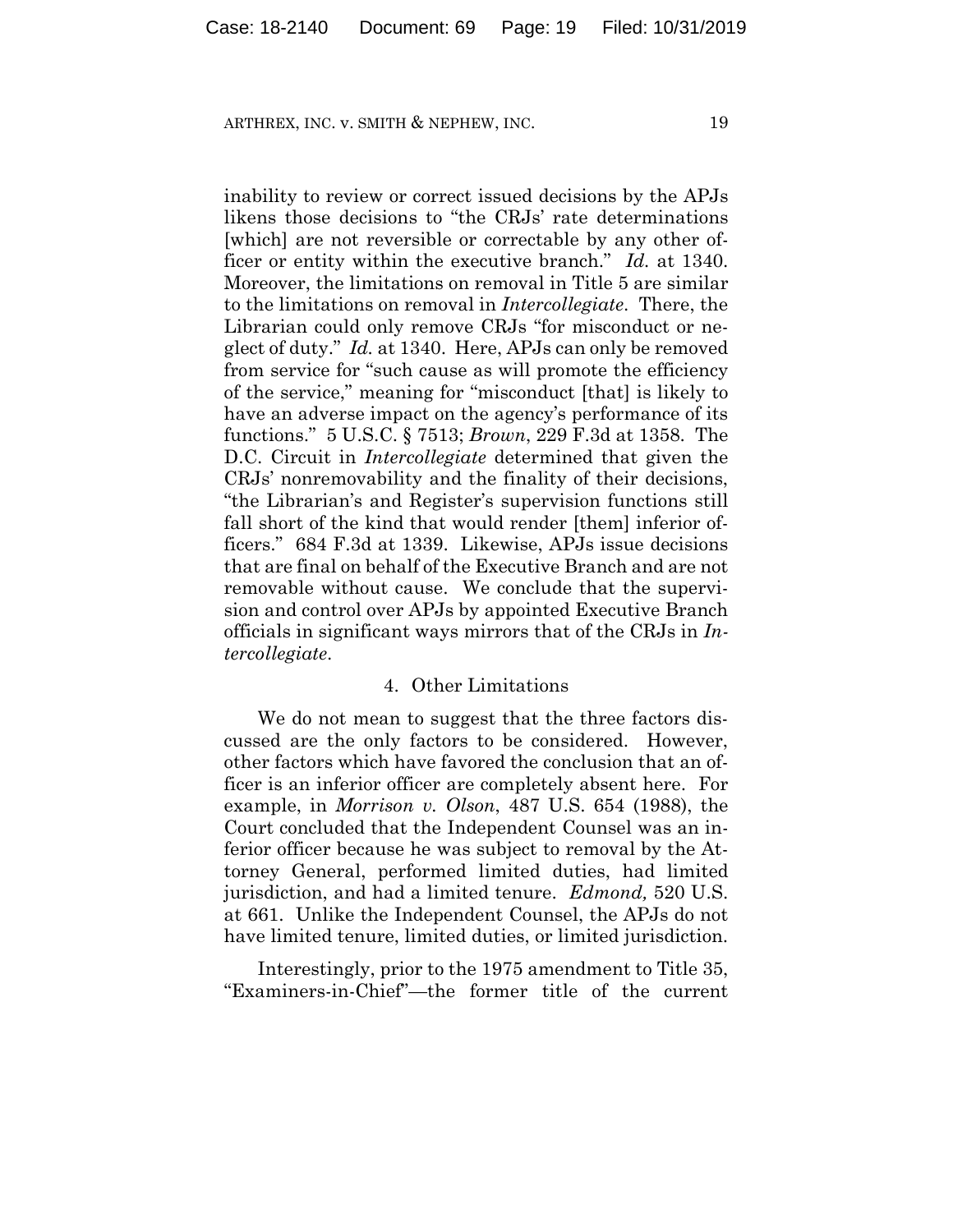inability to review or correct issued decisions by the APJs likens those decisions to "the CRJs' rate determinations [which] are not reversible or correctable by any other officer or entity within the executive branch." *Id.* at 1340. Moreover, the limitations on removal in Title 5 are similar to the limitations on removal in *Intercollegiate*. There, the Librarian could only remove CRJs "for misconduct or neglect of duty." *Id.* at 1340. Here, APJs can only be removed from service for "such cause as will promote the efficiency of the service," meaning for "misconduct [that] is likely to have an adverse impact on the agency's performance of its functions." 5 U.S.C. § 7513; *Brown*, 229 F.3d at 1358. The D.C. Circuit in *Intercollegiate* determined that given the CRJs' nonremovability and the finality of their decisions, "the Librarian's and Register's supervision functions still fall short of the kind that would render [them] inferior officers." 684 F.3d at 1339. Likewise, APJs issue decisions that are final on behalf of the Executive Branch and are not removable without cause. We conclude that the supervision and control over APJs by appointed Executive Branch officials in significant ways mirrors that of the CRJs in *Intercollegiate*.

#### 4. Other Limitations

We do not mean to suggest that the three factors discussed are the only factors to be considered. However, other factors which have favored the conclusion that an officer is an inferior officer are completely absent here. For example, in *Morrison v. Olson*, 487 U.S. 654 (1988), the Court concluded that the Independent Counsel was an inferior officer because he was subject to removal by the Attorney General, performed limited duties, had limited jurisdiction, and had a limited tenure. *Edmond,* 520 U.S. at 661. Unlike the Independent Counsel, the APJs do not have limited tenure, limited duties, or limited jurisdiction.

Interestingly, prior to the 1975 amendment to Title 35, "Examiners-in-Chief"—the former title of the current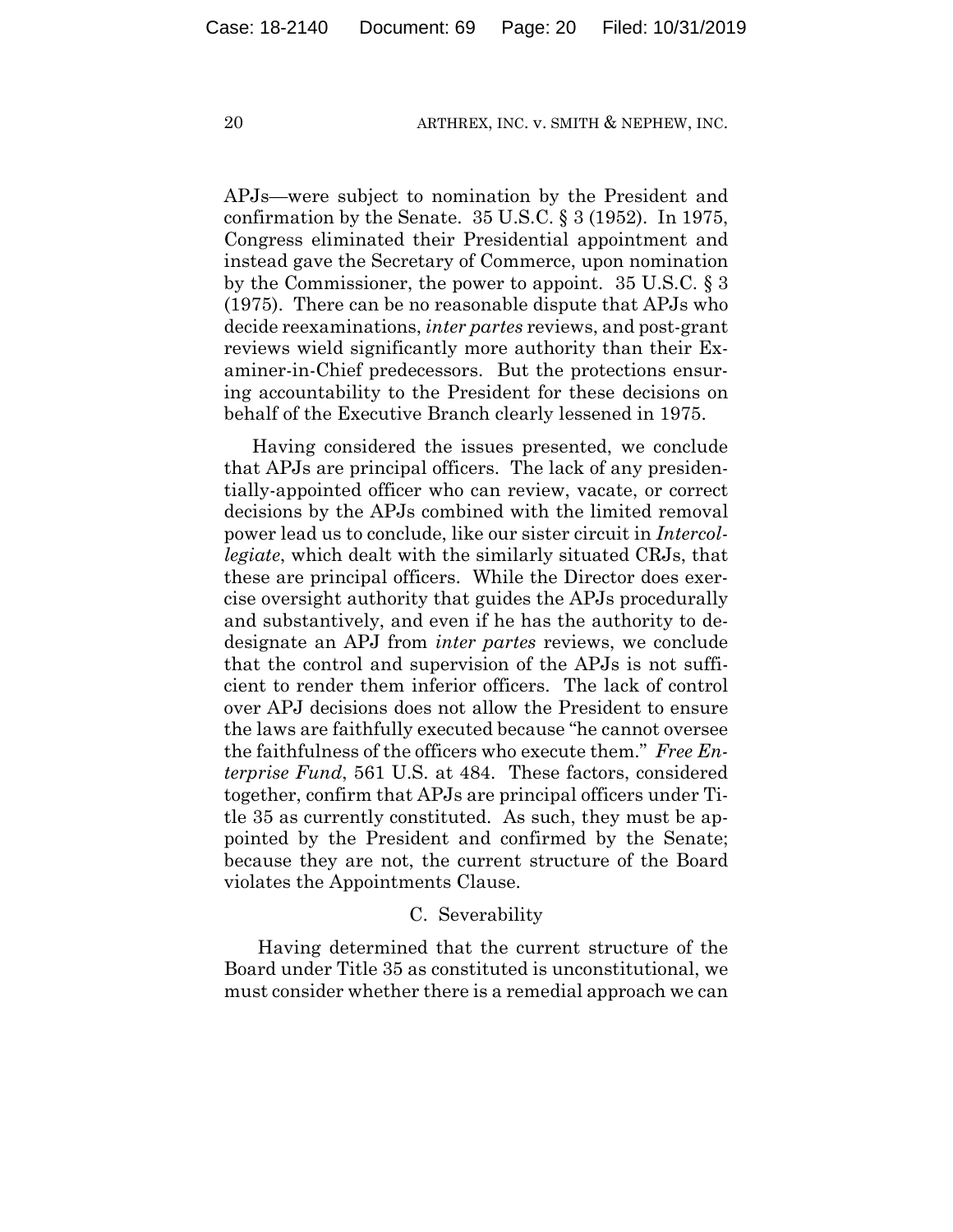APJs—were subject to nomination by the President and confirmation by the Senate. 35 U.S.C. § 3 (1952). In 1975, Congress eliminated their Presidential appointment and instead gave the Secretary of Commerce, upon nomination by the Commissioner, the power to appoint. 35 U.S.C. § 3 (1975). There can be no reasonable dispute that APJs who decide reexaminations, *inter partes* reviews, and post-grant reviews wield significantly more authority than their Examiner-in-Chief predecessors. But the protections ensuring accountability to the President for these decisions on behalf of the Executive Branch clearly lessened in 1975.

Having considered the issues presented, we conclude that APJs are principal officers. The lack of any presidentially-appointed officer who can review, vacate, or correct decisions by the APJs combined with the limited removal power lead us to conclude, like our sister circuit in *Intercollegiate*, which dealt with the similarly situated CRJs, that these are principal officers. While the Director does exercise oversight authority that guides the APJs procedurally and substantively, and even if he has the authority to dedesignate an APJ from *inter partes* reviews, we conclude that the control and supervision of the APJs is not sufficient to render them inferior officers. The lack of control over APJ decisions does not allow the President to ensure the laws are faithfully executed because "he cannot oversee the faithfulness of the officers who execute them." *Free Enterprise Fund*, 561 U.S. at 484. These factors, considered together, confirm that APJs are principal officers under Title 35 as currently constituted. As such, they must be appointed by the President and confirmed by the Senate; because they are not, the current structure of the Board violates the Appointments Clause.

#### C. Severability

Having determined that the current structure of the Board under Title 35 as constituted is unconstitutional, we must consider whether there is a remedial approach we can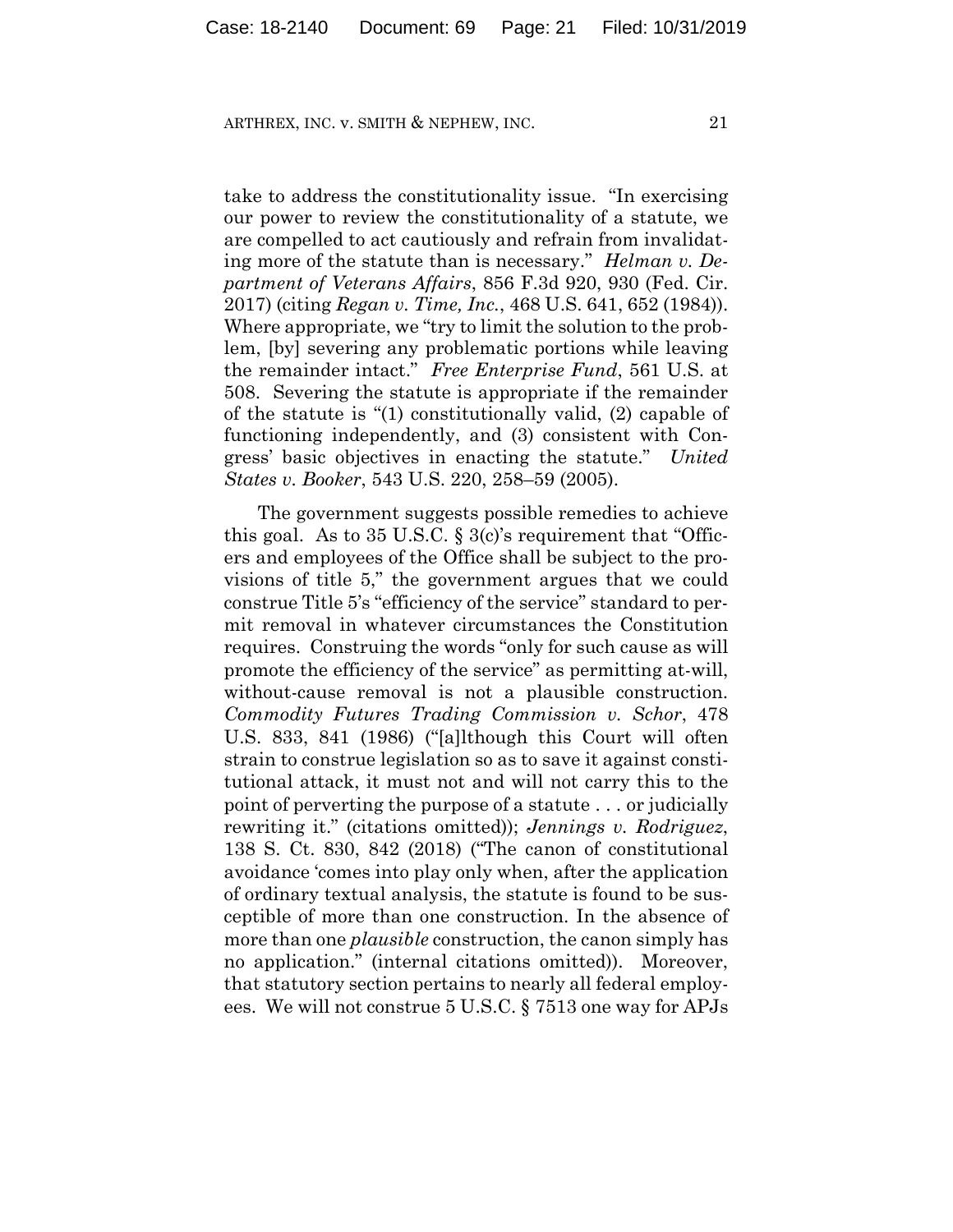take to address the constitutionality issue. "In exercising our power to review the constitutionality of a statute, we are compelled to act cautiously and refrain from invalidating more of the statute than is necessary." *Helman v. Department of Veterans Affairs*, 856 F.3d 920, 930 (Fed. Cir. 2017) (citing *Regan v. Time, Inc.*, 468 U.S. 641, 652 (1984)). Where appropriate, we "try to limit the solution to the problem, [by] severing any problematic portions while leaving the remainder intact." *Free Enterprise Fund*, 561 U.S. at 508. Severing the statute is appropriate if the remainder of the statute is "(1) constitutionally valid, (2) capable of functioning independently, and (3) consistent with Congress' basic objectives in enacting the statute." *United States v. Booker*, 543 U.S. 220, 258–59 (2005).

The government suggests possible remedies to achieve this goal. As to 35 U.S.C.  $\S 3(c)$ 's requirement that "Officers and employees of the Office shall be subject to the provisions of title 5," the government argues that we could construe Title 5's "efficiency of the service" standard to permit removal in whatever circumstances the Constitution requires. Construing the words "only for such cause as will promote the efficiency of the service" as permitting at-will, without-cause removal is not a plausible construction. *Commodity Futures Trading Commission v. Schor*, 478 U.S. 833, 841 (1986) ("[a]lthough this Court will often strain to construe legislation so as to save it against constitutional attack, it must not and will not carry this to the point of perverting the purpose of a statute . . . or judicially rewriting it." (citations omitted)); *Jennings v. Rodriguez*, 138 S. Ct. 830, 842 (2018) ("The canon of constitutional avoidance 'comes into play only when, after the application of ordinary textual analysis, the statute is found to be susceptible of more than one construction. In the absence of more than one *plausible* construction, the canon simply has no application." (internal citations omitted)). Moreover, that statutory section pertains to nearly all federal employees. We will not construe 5 U.S.C. § 7513 one way for APJs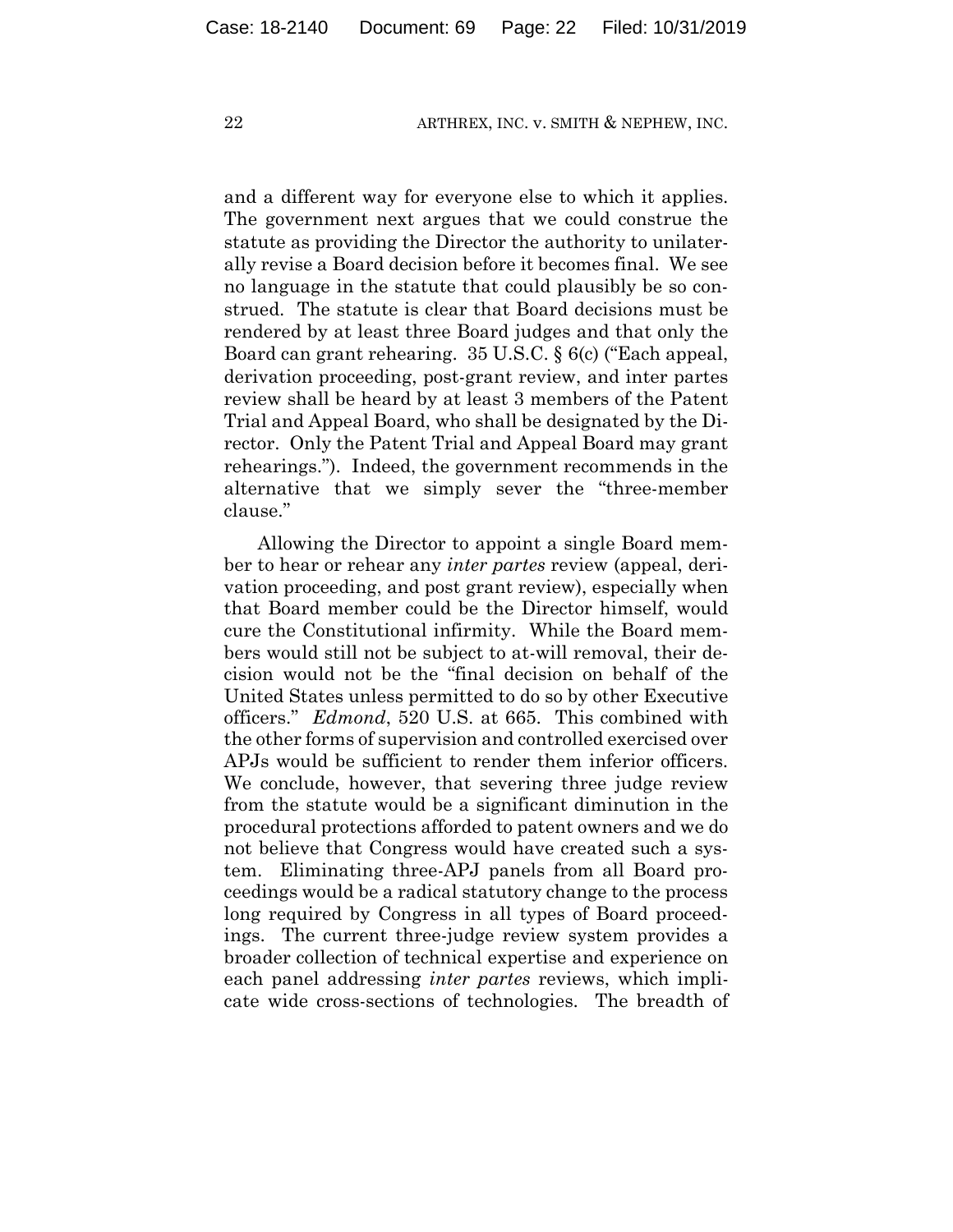and a different way for everyone else to which it applies. The government next argues that we could construe the statute as providing the Director the authority to unilaterally revise a Board decision before it becomes final. We see no language in the statute that could plausibly be so construed. The statute is clear that Board decisions must be rendered by at least three Board judges and that only the Board can grant rehearing. 35 U.S.C. § 6(c) ("Each appeal, derivation proceeding, post-grant review, and inter partes review shall be heard by at least 3 members of the Patent Trial and Appeal Board, who shall be designated by the Director. Only the Patent Trial and Appeal Board may grant rehearings."). Indeed, the government recommends in the alternative that we simply sever the "three-member clause."

Allowing the Director to appoint a single Board member to hear or rehear any *inter partes* review (appeal, derivation proceeding, and post grant review), especially when that Board member could be the Director himself, would cure the Constitutional infirmity. While the Board members would still not be subject to at-will removal, their decision would not be the "final decision on behalf of the United States unless permitted to do so by other Executive officers." *Edmond*, 520 U.S. at 665. This combined with the other forms of supervision and controlled exercised over APJs would be sufficient to render them inferior officers. We conclude, however, that severing three judge review from the statute would be a significant diminution in the procedural protections afforded to patent owners and we do not believe that Congress would have created such a system. Eliminating three-APJ panels from all Board proceedings would be a radical statutory change to the process long required by Congress in all types of Board proceedings. The current three-judge review system provides a broader collection of technical expertise and experience on each panel addressing *inter partes* reviews, which implicate wide cross-sections of technologies. The breadth of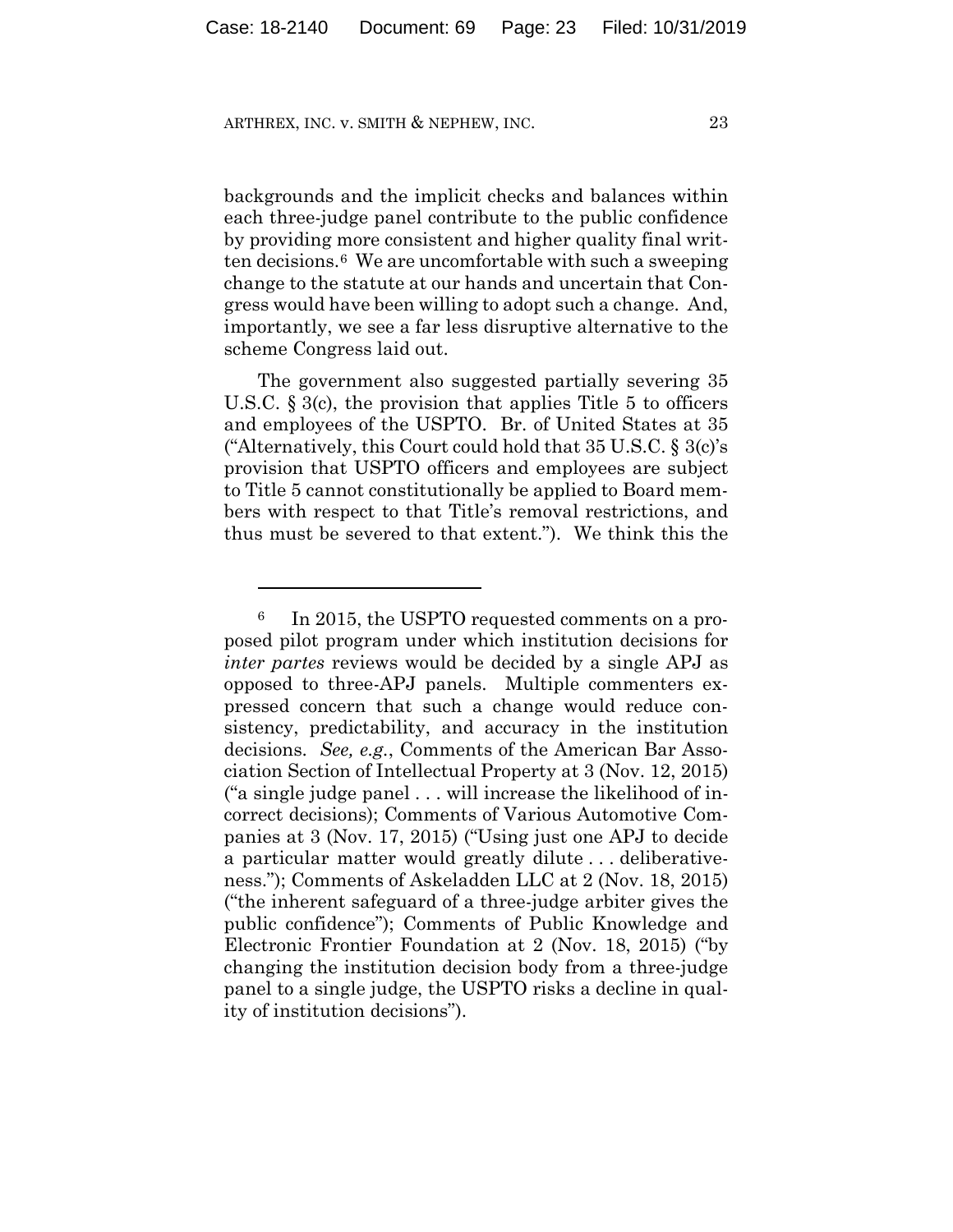<u>.</u>

backgrounds and the implicit checks and balances within each three-judge panel contribute to the public confidence by providing more consistent and higher quality final written decisions.6 We are uncomfortable with such a sweeping change to the statute at our hands and uncertain that Congress would have been willing to adopt such a change. And, importantly, we see a far less disruptive alternative to the scheme Congress laid out.

The government also suggested partially severing 35 U.S.C.  $\S 3(c)$ , the provision that applies Title 5 to officers and employees of the USPTO. Br. of United States at 35 ("Alternatively, this Court could hold that  $35 \text{ U.S.C.}$   $\S 3(c)$ 's provision that USPTO officers and employees are subject to Title 5 cannot constitutionally be applied to Board members with respect to that Title's removal restrictions, and thus must be severed to that extent."). We think this the

<sup>6</sup> In 2015, the USPTO requested comments on a proposed pilot program under which institution decisions for *inter partes* reviews would be decided by a single APJ as opposed to three-APJ panels. Multiple commenters expressed concern that such a change would reduce consistency, predictability, and accuracy in the institution decisions. *See, e.g.*, Comments of the American Bar Association Section of Intellectual Property at 3 (Nov. 12, 2015) ("a single judge panel . . . will increase the likelihood of incorrect decisions); Comments of Various Automotive Companies at 3 (Nov. 17, 2015) ("Using just one APJ to decide a particular matter would greatly dilute . . . deliberativeness."); Comments of Askeladden LLC at 2 (Nov. 18, 2015) ("the inherent safeguard of a three-judge arbiter gives the public confidence"); Comments of Public Knowledge and Electronic Frontier Foundation at 2 (Nov. 18, 2015) ("by changing the institution decision body from a three-judge panel to a single judge, the USPTO risks a decline in quality of institution decisions").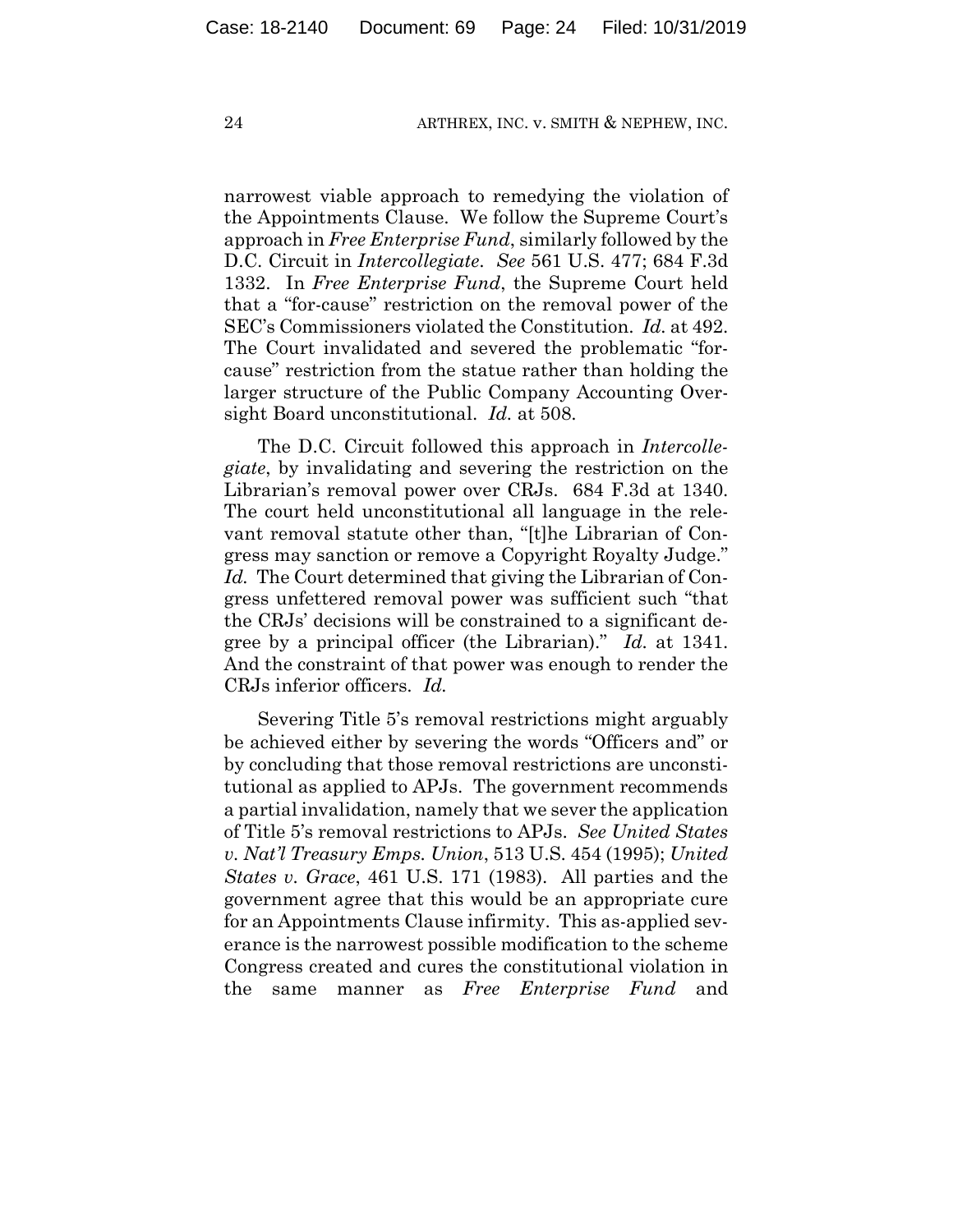narrowest viable approach to remedying the violation of the Appointments Clause. We follow the Supreme Court's approach in *Free Enterprise Fund*, similarly followed by the D.C. Circuit in *Intercollegiate*. *See* 561 U.S. 477; 684 F.3d 1332. In *Free Enterprise Fund*, the Supreme Court held that a "for-cause" restriction on the removal power of the SEC's Commissioners violated the Constitution. *Id.* at 492. The Court invalidated and severed the problematic "forcause" restriction from the statue rather than holding the larger structure of the Public Company Accounting Oversight Board unconstitutional. *Id.* at 508.

The D.C. Circuit followed this approach in *Intercollegiate*, by invalidating and severing the restriction on the Librarian's removal power over CRJs. 684 F.3d at 1340. The court held unconstitutional all language in the relevant removal statute other than, "[t]he Librarian of Congress may sanction or remove a Copyright Royalty Judge." *Id.* The Court determined that giving the Librarian of Congress unfettered removal power was sufficient such "that the CRJs' decisions will be constrained to a significant degree by a principal officer (the Librarian)." *Id.* at 1341. And the constraint of that power was enough to render the CRJs inferior officers. *Id.*

Severing Title 5's removal restrictions might arguably be achieved either by severing the words "Officers and" or by concluding that those removal restrictions are unconstitutional as applied to APJs. The government recommends a partial invalidation, namely that we sever the application of Title 5's removal restrictions to APJs. *See United States v. Nat'l Treasury Emps. Union*, 513 U.S. 454 (1995); *United States v. Grace*, 461 U.S. 171 (1983). All parties and the government agree that this would be an appropriate cure for an Appointments Clause infirmity. This as-applied severance is the narrowest possible modification to the scheme Congress created and cures the constitutional violation in the same manner as *Free Enterprise Fund* and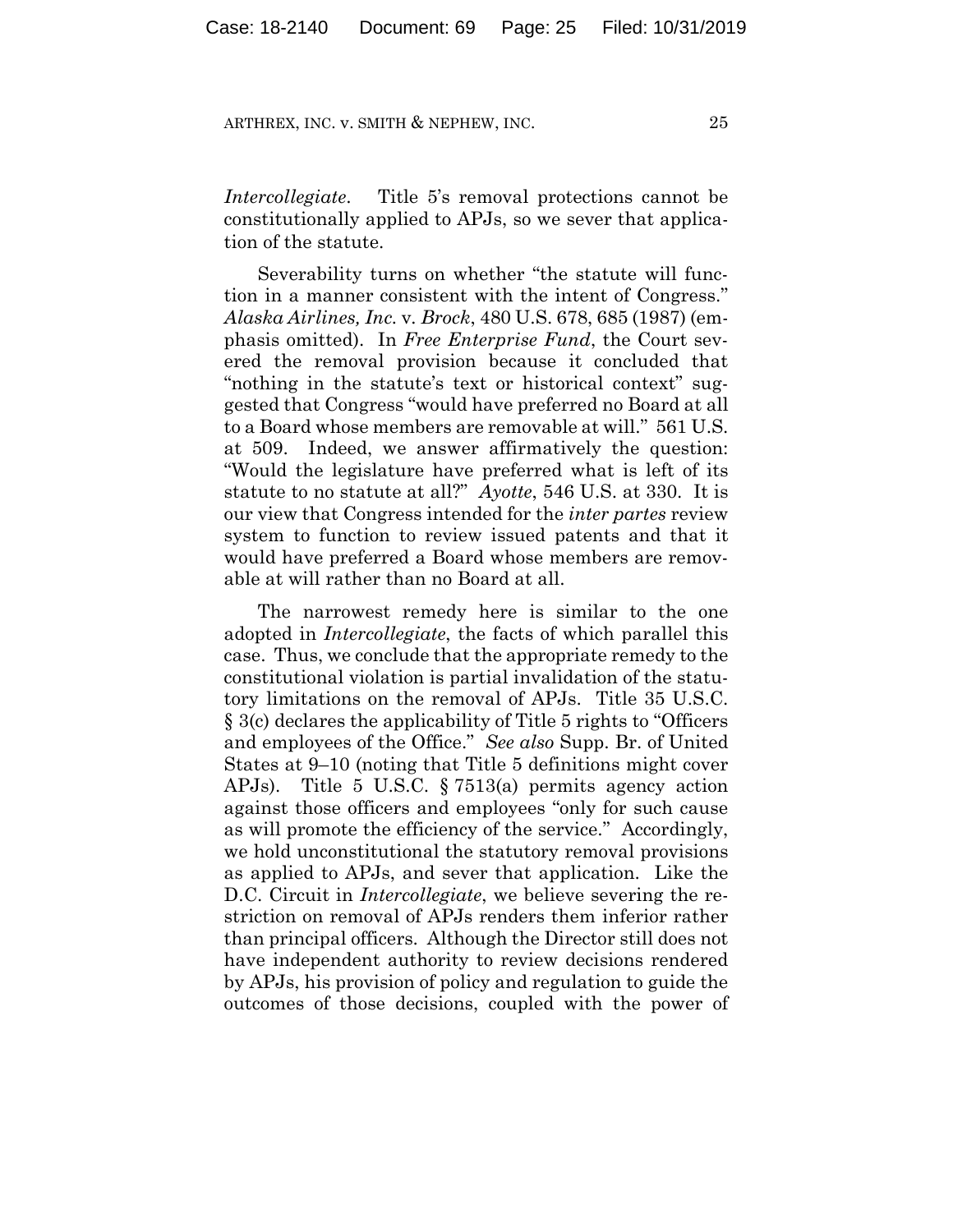*Intercollegiate*. Title 5's removal protections cannot be constitutionally applied to APJs, so we sever that application of the statute.

Severability turns on whether "the statute will function in a manner consistent with the intent of Congress." *Alaska Airlines, Inc.* v*. Brock*, 480 U.S. 678, 685 (1987) (emphasis omitted). In *Free Enterprise Fund*, the Court severed the removal provision because it concluded that "nothing in the statute's text or historical context" suggested that Congress "would have preferred no Board at all to a Board whose members are removable at will." 561 U.S. at 509. Indeed, we answer affirmatively the question: "Would the legislature have preferred what is left of its statute to no statute at all?" *Ayotte*, 546 U.S. at 330. It is our view that Congress intended for the *inter partes* review system to function to review issued patents and that it would have preferred a Board whose members are removable at will rather than no Board at all.

The narrowest remedy here is similar to the one adopted in *Intercollegiate*, the facts of which parallel this case. Thus, we conclude that the appropriate remedy to the constitutional violation is partial invalidation of the statutory limitations on the removal of APJs. Title 35 U.S.C. § 3(c) declares the applicability of Title 5 rights to "Officers and employees of the Office." *See also* Supp. Br. of United States at 9–10 (noting that Title 5 definitions might cover APJs). Title 5 U.S.C. § 7513(a) permits agency action against those officers and employees "only for such cause as will promote the efficiency of the service." Accordingly, we hold unconstitutional the statutory removal provisions as applied to APJs, and sever that application. Like the D.C. Circuit in *Intercollegiate*, we believe severing the restriction on removal of APJs renders them inferior rather than principal officers. Although the Director still does not have independent authority to review decisions rendered by APJs, his provision of policy and regulation to guide the outcomes of those decisions, coupled with the power of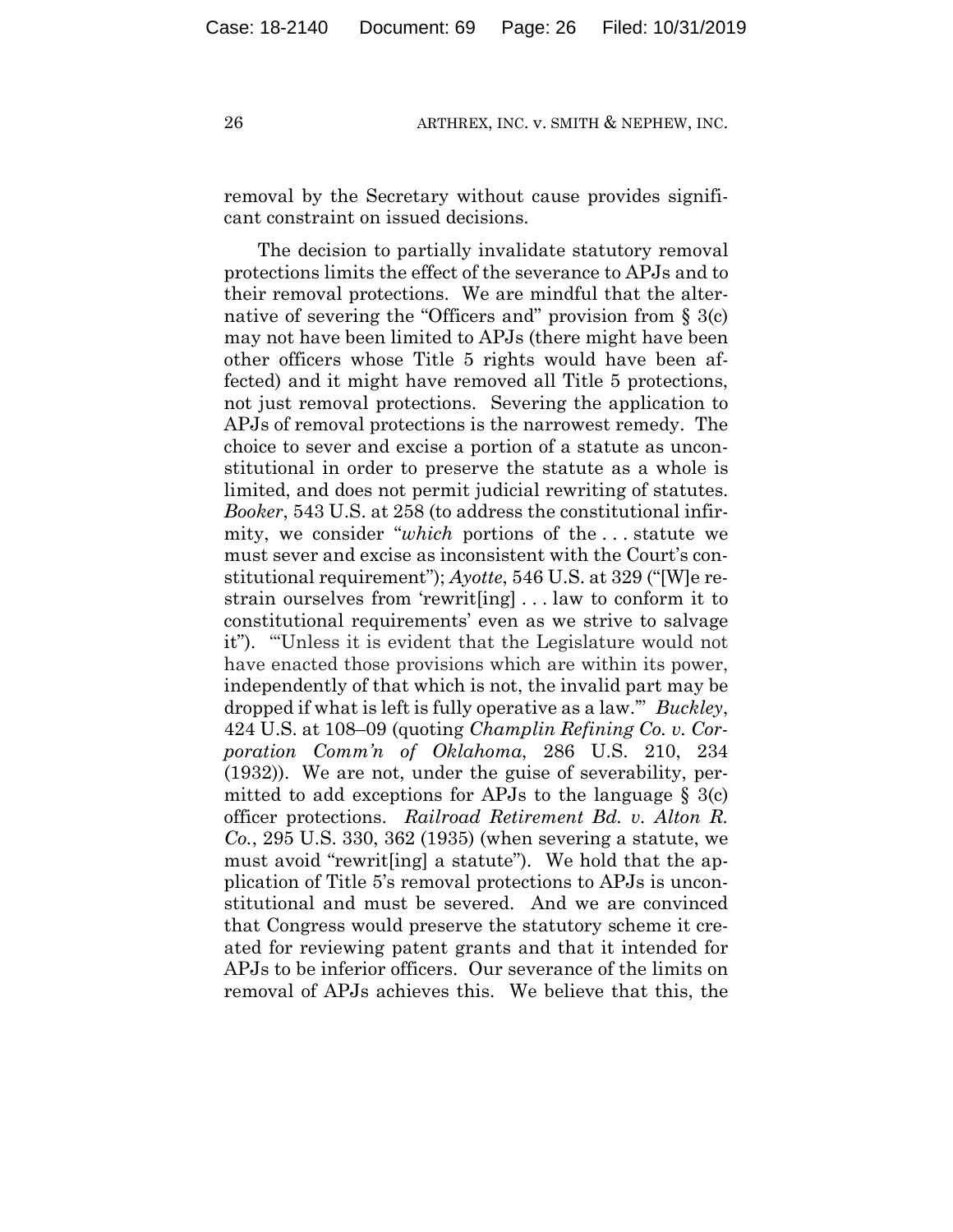removal by the Secretary without cause provides significant constraint on issued decisions.

The decision to partially invalidate statutory removal protections limits the effect of the severance to APJs and to their removal protections. We are mindful that the alternative of severing the "Officers and" provision from  $\S$  3(c) may not have been limited to APJs (there might have been other officers whose Title 5 rights would have been affected) and it might have removed all Title 5 protections, not just removal protections. Severing the application to APJs of removal protections is the narrowest remedy. The choice to sever and excise a portion of a statute as unconstitutional in order to preserve the statute as a whole is limited, and does not permit judicial rewriting of statutes. *Booker*, 543 U.S. at 258 (to address the constitutional infirmity, we consider "*which* portions of the . . . statute we must sever and excise as inconsistent with the Court's constitutional requirement"); *Ayotte*, 546 U.S. at 329 ("[W]e restrain ourselves from 'rewrit[ing] . . . law to conform it to constitutional requirements' even as we strive to salvage it"). "'Unless it is evident that the Legislature would not have enacted those provisions which are within its power, independently of that which is not, the invalid part may be dropped if what is left is fully operative as a law.'" *Buckley*, 424 U.S. at 108–09 (quoting *Champlin Refining Co. v. Corporation Comm'n of Oklahoma*, 286 U.S. 210, 234 (1932)). We are not, under the guise of severability, permitted to add exceptions for APJs to the language  $\S$  3(c) officer protections. *Railroad Retirement Bd. v. Alton R. Co.*, 295 U.S. 330, 362 (1935) (when severing a statute, we must avoid "rewrit[ing] a statute"). We hold that the application of Title 5's removal protections to APJs is unconstitutional and must be severed. And we are convinced that Congress would preserve the statutory scheme it created for reviewing patent grants and that it intended for APJs to be inferior officers. Our severance of the limits on removal of APJs achieves this. We believe that this, the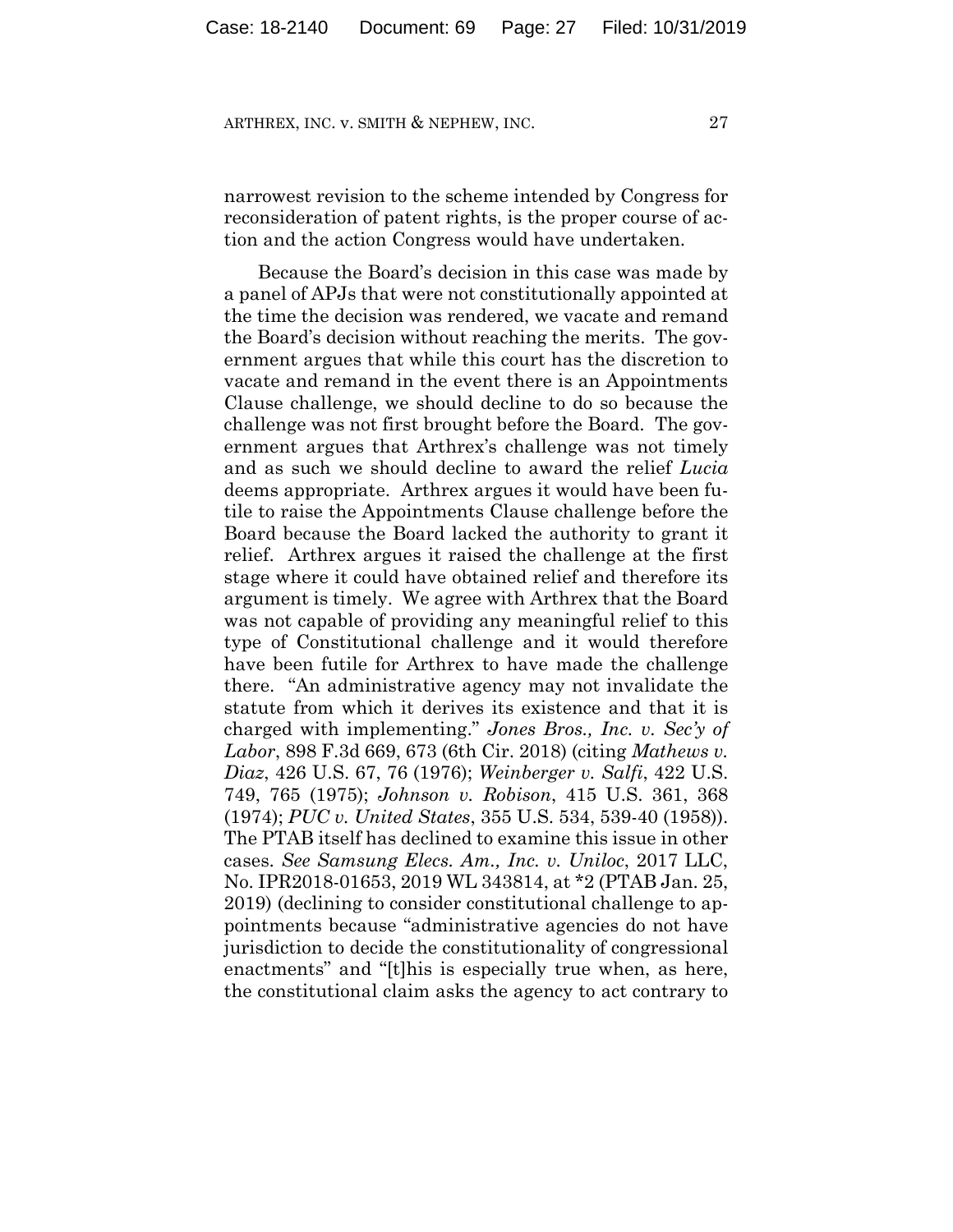narrowest revision to the scheme intended by Congress for reconsideration of patent rights, is the proper course of action and the action Congress would have undertaken.

Because the Board's decision in this case was made by a panel of APJs that were not constitutionally appointed at the time the decision was rendered, we vacate and remand the Board's decision without reaching the merits. The government argues that while this court has the discretion to vacate and remand in the event there is an Appointments Clause challenge, we should decline to do so because the challenge was not first brought before the Board. The government argues that Arthrex's challenge was not timely and as such we should decline to award the relief *Lucia*  deems appropriate. Arthrex argues it would have been futile to raise the Appointments Clause challenge before the Board because the Board lacked the authority to grant it relief. Arthrex argues it raised the challenge at the first stage where it could have obtained relief and therefore its argument is timely. We agree with Arthrex that the Board was not capable of providing any meaningful relief to this type of Constitutional challenge and it would therefore have been futile for Arthrex to have made the challenge there. "An administrative agency may not invalidate the statute from which it derives its existence and that it is charged with implementing." *Jones Bros., Inc. v. Sec'y of Labor*, 898 F.3d 669, 673 (6th Cir. 2018) (citing *Mathews v. Diaz*, 426 U.S. 67, 76 (1976); *Weinberger v. Salfi*, 422 U.S. 749, 765 (1975); *Johnson v. Robison*, 415 U.S. 361, 368 (1974); *PUC v. United States*, 355 U.S. 534, 539-40 (1958)). The PTAB itself has declined to examine this issue in other cases. *See Samsung Elecs. Am., Inc. v. Uniloc*, 2017 LLC, No. IPR2018-01653, 2019 WL 343814, at \*2 (PTAB Jan. 25, 2019) (declining to consider constitutional challenge to appointments because "administrative agencies do not have jurisdiction to decide the constitutionality of congressional enactments" and "[t]his is especially true when, as here, the constitutional claim asks the agency to act contrary to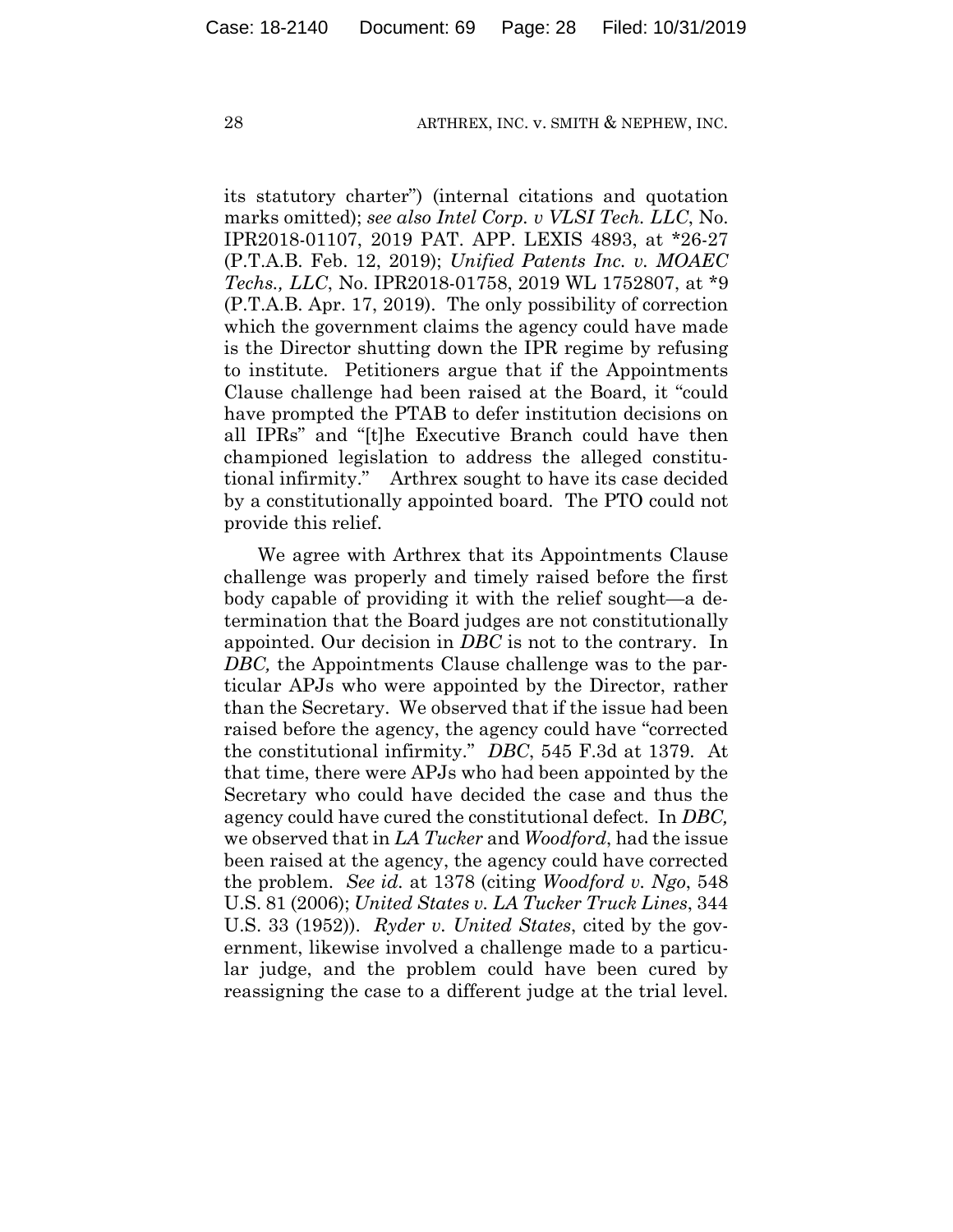its statutory charter") (internal citations and quotation marks omitted); *see also Intel Corp. v VLSI Tech. LLC*, No. IPR2018-01107, 2019 PAT. APP. LEXIS 4893, at \*26-27 (P.T.A.B. Feb. 12, 2019); *Unified Patents Inc. v. MOAEC Techs., LLC*, No. IPR2018-01758, 2019 WL 1752807, at \*9 (P.T.A.B. Apr. 17, 2019). The only possibility of correction which the government claims the agency could have made is the Director shutting down the IPR regime by refusing to institute. Petitioners argue that if the Appointments Clause challenge had been raised at the Board, it "could have prompted the PTAB to defer institution decisions on all IPRs" and "[t]he Executive Branch could have then championed legislation to address the alleged constitutional infirmity." Arthrex sought to have its case decided by a constitutionally appointed board. The PTO could not provide this relief.

We agree with Arthrex that its Appointments Clause challenge was properly and timely raised before the first body capable of providing it with the relief sought—a determination that the Board judges are not constitutionally appointed. Our decision in *DBC* is not to the contrary. In *DBC,* the Appointments Clause challenge was to the particular APJs who were appointed by the Director, rather than the Secretary. We observed that if the issue had been raised before the agency, the agency could have "corrected the constitutional infirmity." *DBC*, 545 F.3d at 1379. At that time, there were APJs who had been appointed by the Secretary who could have decided the case and thus the agency could have cured the constitutional defect. In *DBC,*  we observed that in *LA Tucker* and *Woodford*, had the issue been raised at the agency, the agency could have corrected the problem. *See id.* at 1378 (citing *Woodford v. Ngo*, 548 U.S. 81 (2006); *United States v. LA Tucker Truck Lines*, 344 U.S. 33 (1952)). *Ryder v. United States*, cited by the government, likewise involved a challenge made to a particular judge, and the problem could have been cured by reassigning the case to a different judge at the trial level.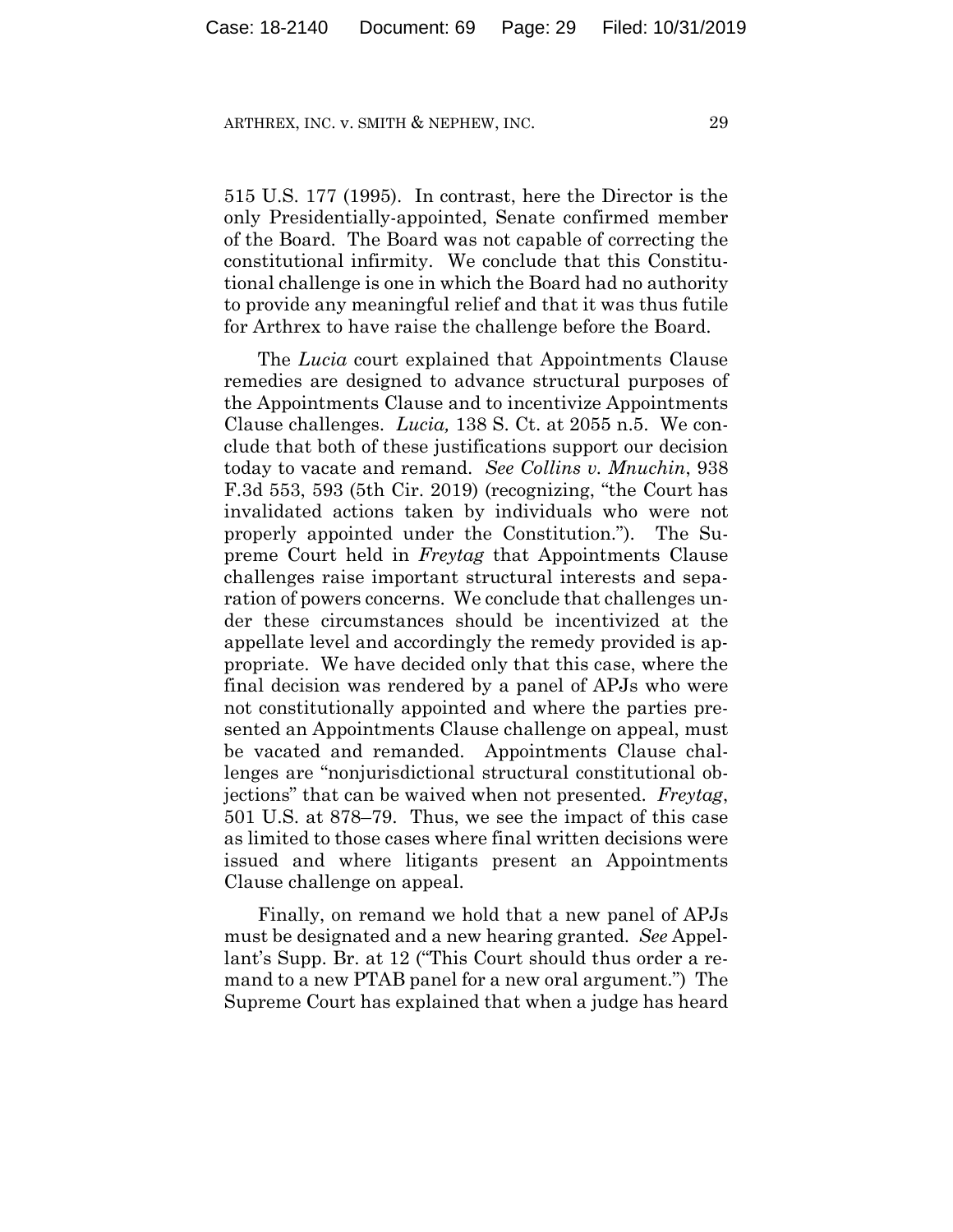515 U.S. 177 (1995). In contrast, here the Director is the only Presidentially-appointed, Senate confirmed member of the Board. The Board was not capable of correcting the constitutional infirmity. We conclude that this Constitutional challenge is one in which the Board had no authority to provide any meaningful relief and that it was thus futile for Arthrex to have raise the challenge before the Board.

The *Lucia* court explained that Appointments Clause remedies are designed to advance structural purposes of the Appointments Clause and to incentivize Appointments Clause challenges. *Lucia,* 138 S. Ct. at 2055 n.5.We conclude that both of these justifications support our decision today to vacate and remand. *See Collins v. Mnuchin*, 938 F.3d 553, 593 (5th Cir. 2019) (recognizing, "the Court has invalidated actions taken by individuals who were not properly appointed under the Constitution."). The Supreme Court held in *Freytag* that Appointments Clause challenges raise important structural interests and separation of powers concerns. We conclude that challenges under these circumstances should be incentivized at the appellate level and accordingly the remedy provided is appropriate. We have decided only that this case, where the final decision was rendered by a panel of APJs who were not constitutionally appointed and where the parties presented an Appointments Clause challenge on appeal, must be vacated and remanded. Appointments Clause challenges are "nonjurisdictional structural constitutional objections" that can be waived when not presented. *Freytag*, 501 U.S. at 878–79. Thus, we see the impact of this case as limited to those cases where final written decisions were issued and where litigants present an Appointments Clause challenge on appeal.

Finally, on remand we hold that a new panel of APJs must be designated and a new hearing granted. *See* Appellant's Supp. Br. at 12 ("This Court should thus order a remand to a new PTAB panel for a new oral argument.") The Supreme Court has explained that when a judge has heard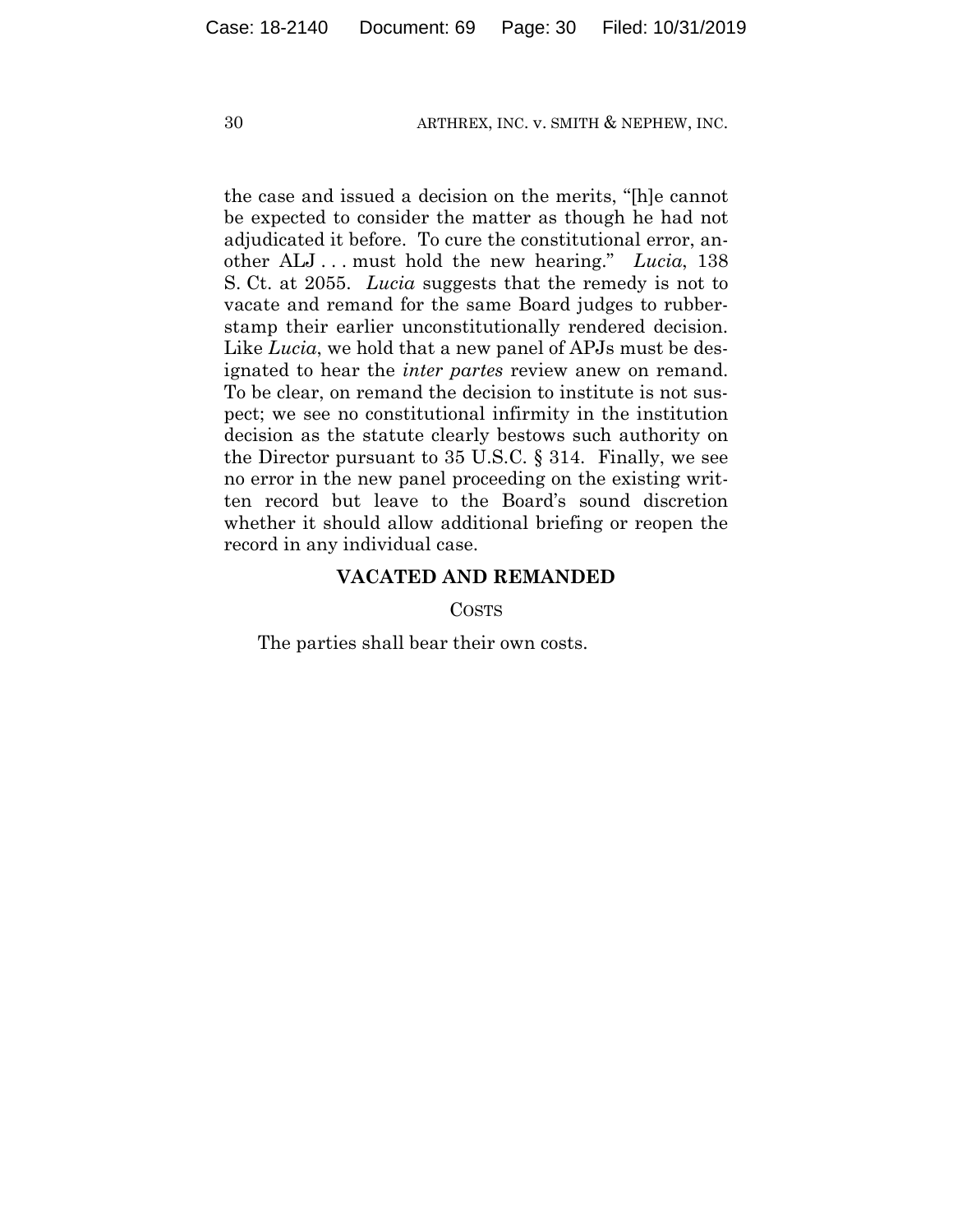the case and issued a decision on the merits, "[h]e cannot be expected to consider the matter as though he had not adjudicated it before. To cure the constitutional error, another ALJ . . . must hold the new hearing." *Lucia*, 138 S. Ct. at 2055. *Lucia* suggests that the remedy is not to vacate and remand for the same Board judges to rubberstamp their earlier unconstitutionally rendered decision. Like *Lucia*, we hold that a new panel of APJs must be designated to hear the *inter partes* review anew on remand. To be clear, on remand the decision to institute is not suspect; we see no constitutional infirmity in the institution decision as the statute clearly bestows such authority on the Director pursuant to 35 U.S.C. § 314. Finally, we see no error in the new panel proceeding on the existing written record but leave to the Board's sound discretion whether it should allow additional briefing or reopen the record in any individual case.

## **VACATED AND REMANDED**

**COSTS** 

The parties shall bear their own costs.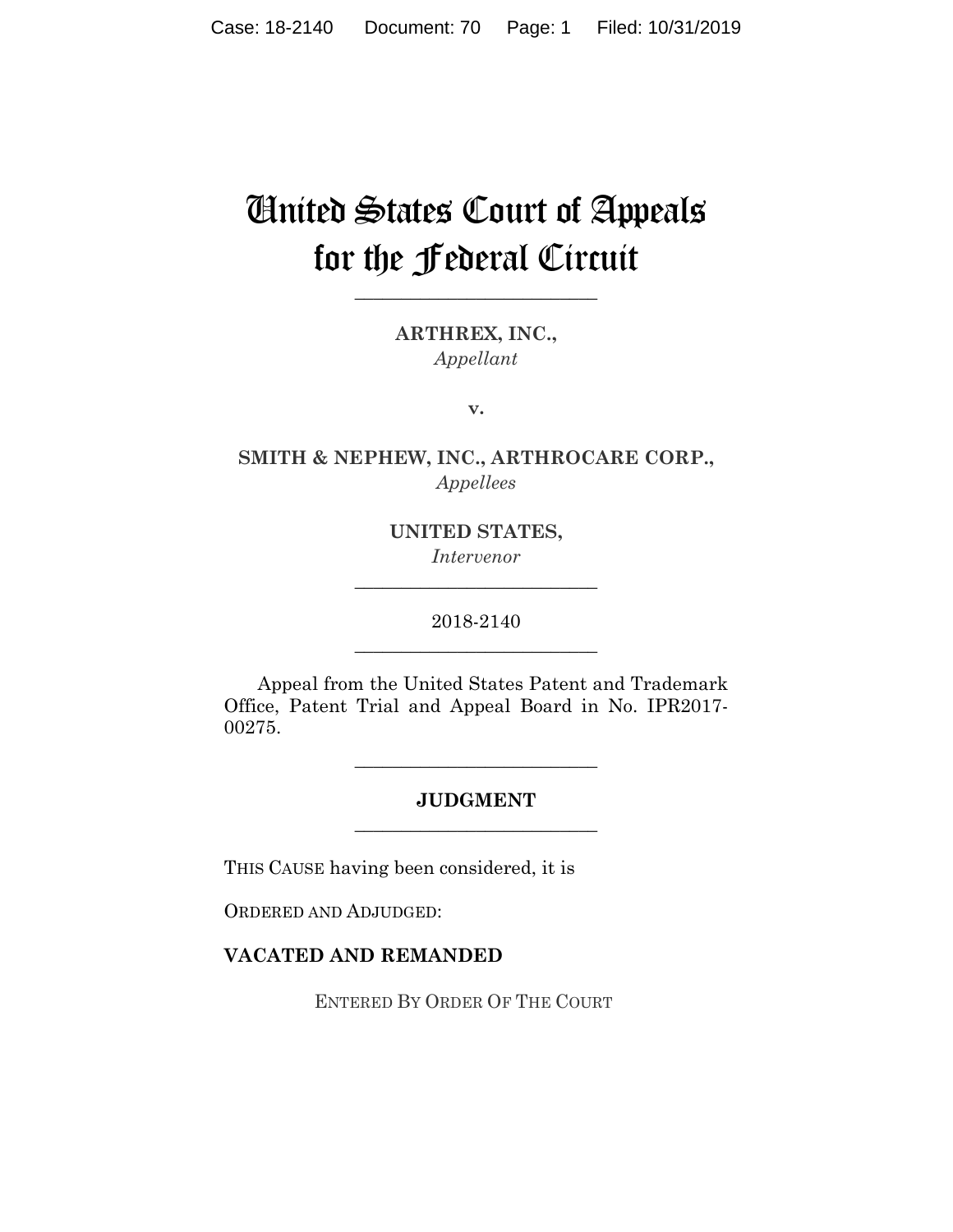# United States Court of Appeals for the Federal Circuit

**\_\_\_\_\_\_\_\_\_\_\_\_\_\_\_\_\_\_\_\_\_\_\_\_\_\_** 

**ARTHREX, INC.,**  *Appellant*

**v.**

**SMITH & NEPHEW, INC., ARTHROCARE CORP.,**  *Appellees*

> **UNITED STATES,**  *Intervenor*

**\_\_\_\_\_\_\_\_\_\_\_\_\_\_\_\_\_\_\_\_\_\_\_\_\_\_** 

2018-2140 **\_\_\_\_\_\_\_\_\_\_\_\_\_\_\_\_\_\_\_\_\_\_\_\_\_\_** 

Appeal from the United States Patent and Trademark Office, Patent Trial and Appeal Board in No. IPR2017- 00275.

## **JUDGMENT \_\_\_\_\_\_\_\_\_\_\_\_\_\_\_\_\_\_\_\_\_\_\_\_\_\_**

**\_\_\_\_\_\_\_\_\_\_\_\_\_\_\_\_\_\_\_\_\_\_\_\_\_\_** 

THIS CAUSE having been considered, it is

ORDERED AND ADJUDGED:

### **VACATED AND REMANDED**

ENTERED BY ORDER OF THE COURT